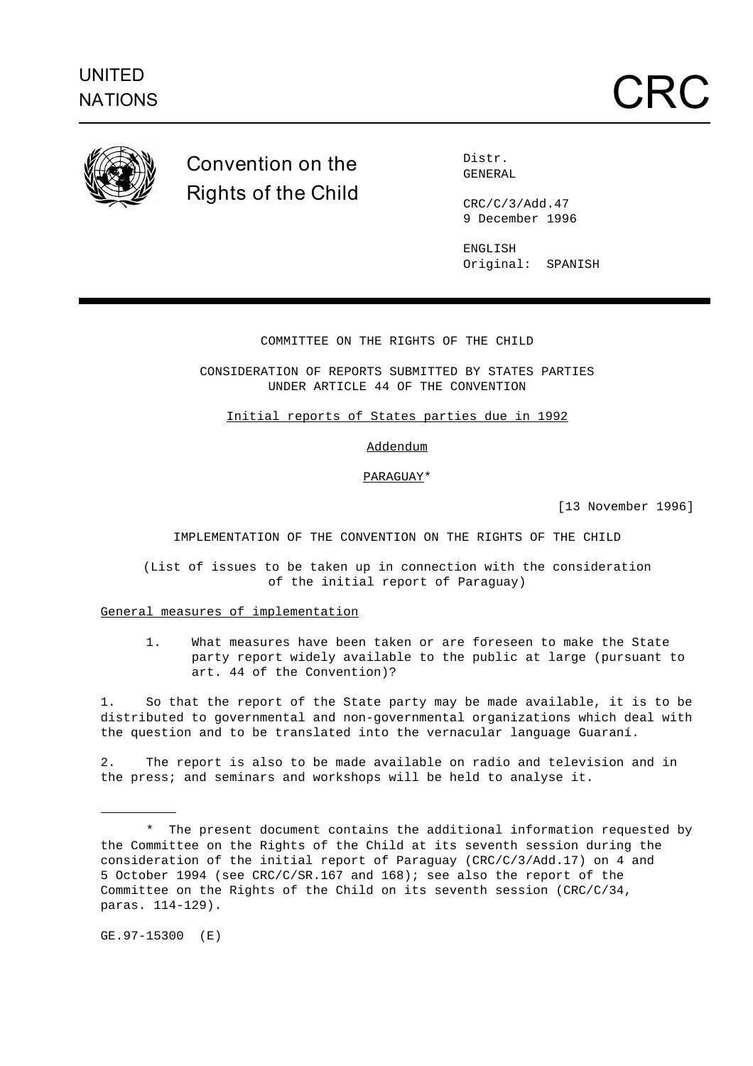

# **Convention on the Rights of the Child**

Distr. GENERAL

CRC/C/3/Add.47 9 December 1996

ENGLISH Original: SPANISH

# COMMITTEE ON THE RIGHTS OF THE CHILD

CONSIDERATION OF REPORTS SUBMITTED BY STATES PARTIES UNDER ARTICLE 44 OF THE CONVENTION

Initial reports of States parties due in 1992

# Addendum

# PARAGUAY\*

[13 November 1996]

IMPLEMENTATION OF THE CONVENTION ON THE RIGHTS OF THE CHILD

(List of issues to be taken up in connection with the consideration of the initial report of Paraguay)

General measures of implementation

1. What measures have been taken or are foreseen to make the State party report widely available to the public at large (pursuant to art. 44 of the Convention)?

1. So that the report of the State party may be made available, it is to be distributed to governmental and non-governmental organizations which deal with the question and to be translated into the vernacular language Guaraní.

2. The report is also to be made available on radio and television and in the press; and seminars and workshops will be held to analyse it.

GE.97-15300 (E)

j.

<sup>\*</sup> The present document contains the additional information requested by the Committee on the Rights of the Child at its seventh session during the consideration of the initial report of Paraguay (CRC/C/3/Add.17) on 4 and 5 October 1994 (see CRC/C/SR.167 and 168); see also the report of the Committee on the Rights of the Child on its seventh session (CRC/C/34, paras. 114-129).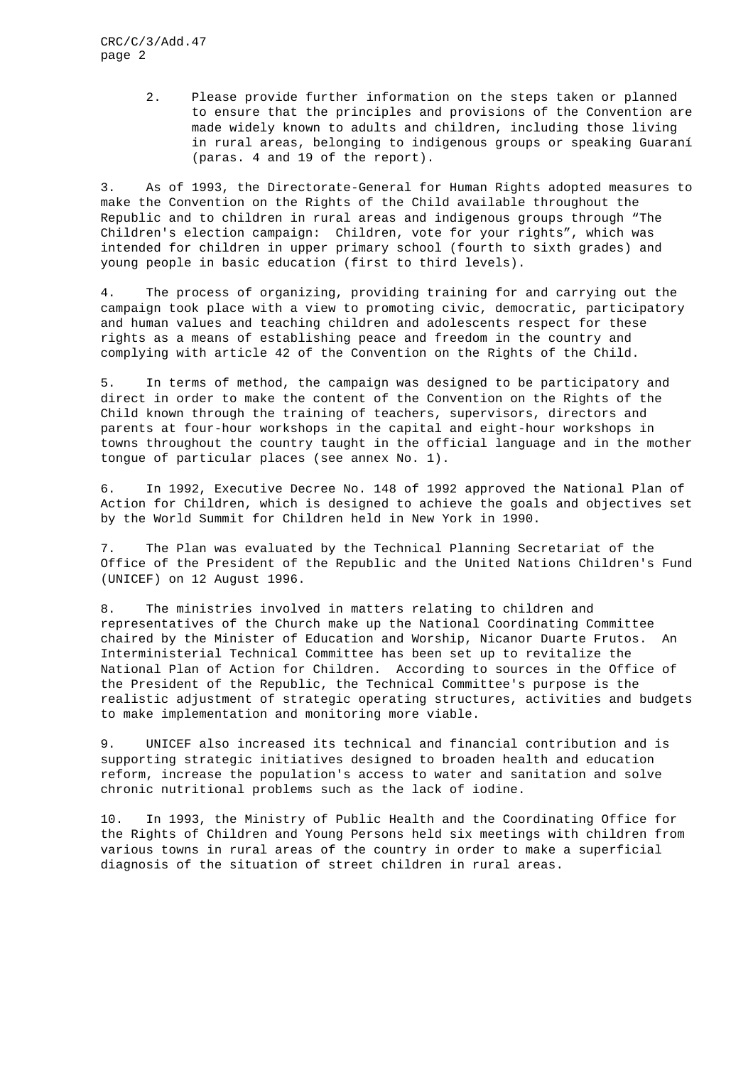2. Please provide further information on the steps taken or planned to ensure that the principles and provisions of the Convention are made widely known to adults and children, including those living in rural areas, belonging to indigenous groups or speaking Guaraní (paras. 4 and 19 of the report).

3. As of 1993, the Directorate-General for Human Rights adopted measures to make the Convention on the Rights of the Child available throughout the Republic and to children in rural areas and indigenous groups through "The Children's election campaign: Children, vote for your rights", which was intended for children in upper primary school (fourth to sixth grades) and young people in basic education (first to third levels).

4. The process of organizing, providing training for and carrying out the campaign took place with a view to promoting civic, democratic, participatory and human values and teaching children and adolescents respect for these rights as a means of establishing peace and freedom in the country and complying with article 42 of the Convention on the Rights of the Child.

5. In terms of method, the campaign was designed to be participatory and direct in order to make the content of the Convention on the Rights of the Child known through the training of teachers, supervisors, directors and parents at four-hour workshops in the capital and eight-hour workshops in towns throughout the country taught in the official language and in the mother tongue of particular places (see annex No. 1).

6. In 1992, Executive Decree No. 148 of 1992 approved the National Plan of Action for Children, which is designed to achieve the goals and objectives set by the World Summit for Children held in New York in 1990.

7. The Plan was evaluated by the Technical Planning Secretariat of the Office of the President of the Republic and the United Nations Children's Fund (UNICEF) on 12 August 1996.

8. The ministries involved in matters relating to children and representatives of the Church make up the National Coordinating Committee chaired by the Minister of Education and Worship, Nicanor Duarte Frutos. An Interministerial Technical Committee has been set up to revitalize the National Plan of Action for Children. According to sources in the Office of the President of the Republic, the Technical Committee's purpose is the realistic adjustment of strategic operating structures, activities and budgets to make implementation and monitoring more viable.

9. UNICEF also increased its technical and financial contribution and is supporting strategic initiatives designed to broaden health and education reform, increase the population's access to water and sanitation and solve chronic nutritional problems such as the lack of iodine.

10. In 1993, the Ministry of Public Health and the Coordinating Office for the Rights of Children and Young Persons held six meetings with children from various towns in rural areas of the country in order to make a superficial diagnosis of the situation of street children in rural areas.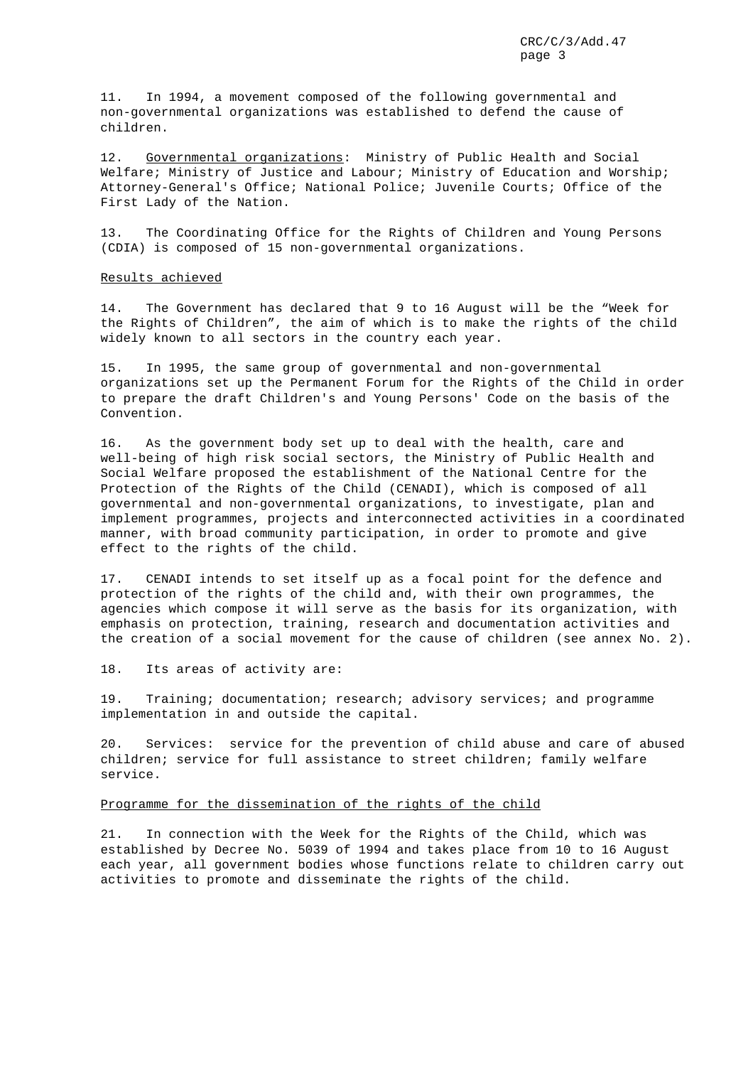11. In 1994, a movement composed of the following governmental and non-governmental organizations was established to defend the cause of children.

12. Governmental organizations: Ministry of Public Health and Social Welfare; Ministry of Justice and Labour; Ministry of Education and Worship; Attorney-General's Office; National Police; Juvenile Courts; Office of the First Lady of the Nation.

13. The Coordinating Office for the Rights of Children and Young Persons (CDIA) is composed of 15 non-governmental organizations.

# Results achieved

14. The Government has declared that 9 to 16 August will be the "Week for the Rights of Children", the aim of which is to make the rights of the child widely known to all sectors in the country each year.

15. In 1995, the same group of governmental and non-governmental organizations set up the Permanent Forum for the Rights of the Child in order to prepare the draft Children's and Young Persons' Code on the basis of the Convention.

16. As the government body set up to deal with the health, care and well-being of high risk social sectors, the Ministry of Public Health and Social Welfare proposed the establishment of the National Centre for the Protection of the Rights of the Child (CENADI), which is composed of all governmental and non-governmental organizations, to investigate, plan and implement programmes, projects and interconnected activities in a coordinated manner, with broad community participation, in order to promote and give effect to the rights of the child.

17. CENADI intends to set itself up as a focal point for the defence and protection of the rights of the child and, with their own programmes, the agencies which compose it will serve as the basis for its organization, with emphasis on protection, training, research and documentation activities and the creation of a social movement for the cause of children (see annex No. 2).

18. Its areas of activity are:

19. Training; documentation; research; advisory services; and programme implementation in and outside the capital.

20. Services: service for the prevention of child abuse and care of abused children; service for full assistance to street children; family welfare service.

# Programme for the dissemination of the rights of the child

21. In connection with the Week for the Rights of the Child, which was established by Decree No. 5039 of 1994 and takes place from 10 to 16 August each year, all government bodies whose functions relate to children carry out activities to promote and disseminate the rights of the child.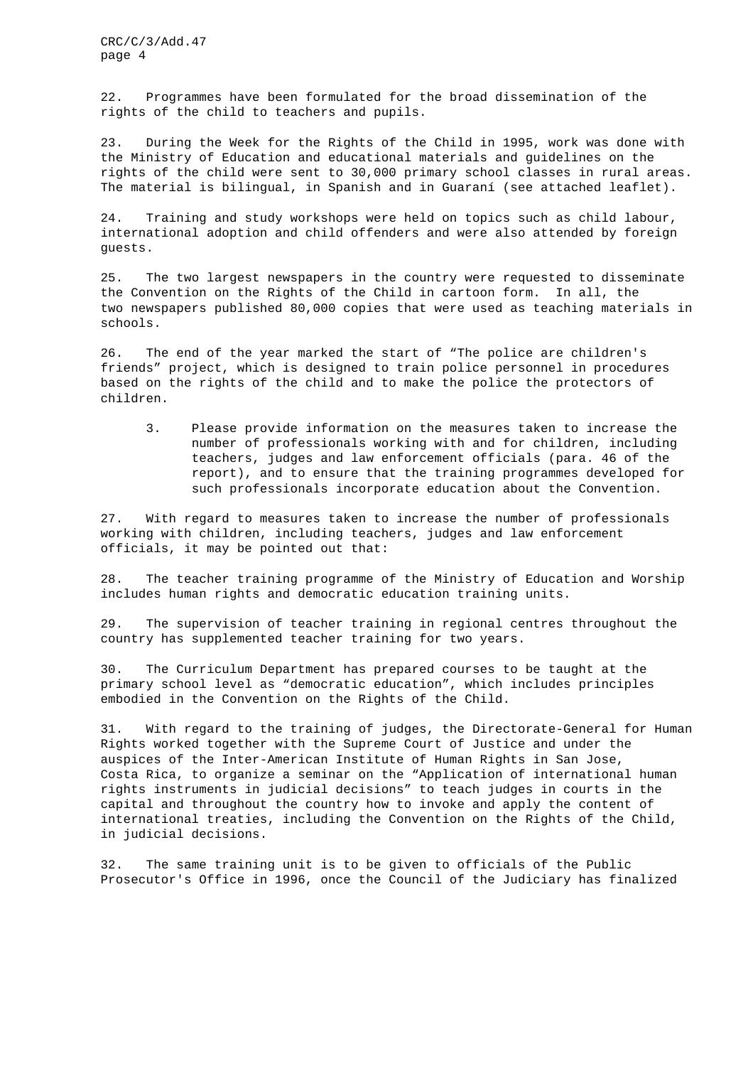22. Programmes have been formulated for the broad dissemination of the rights of the child to teachers and pupils.

23. During the Week for the Rights of the Child in 1995, work was done with the Ministry of Education and educational materials and guidelines on the rights of the child were sent to 30,000 primary school classes in rural areas. The material is bilingual, in Spanish and in Guaraní (see attached leaflet).

24. Training and study workshops were held on topics such as child labour, international adoption and child offenders and were also attended by foreign guests.

25. The two largest newspapers in the country were requested to disseminate the Convention on the Rights of the Child in cartoon form. In all, the two newspapers published 80,000 copies that were used as teaching materials in schools.

26. The end of the year marked the start of "The police are children's friends" project, which is designed to train police personnel in procedures based on the rights of the child and to make the police the protectors of children.

3. Please provide information on the measures taken to increase the number of professionals working with and for children, including teachers, judges and law enforcement officials (para. 46 of the report), and to ensure that the training programmes developed for such professionals incorporate education about the Convention.

27. With regard to measures taken to increase the number of professionals working with children, including teachers, judges and law enforcement officials, it may be pointed out that:

28. The teacher training programme of the Ministry of Education and Worship includes human rights and democratic education training units.

29. The supervision of teacher training in regional centres throughout the country has supplemented teacher training for two years.

30. The Curriculum Department has prepared courses to be taught at the primary school level as "democratic education", which includes principles embodied in the Convention on the Rights of the Child.

31. With regard to the training of judges, the Directorate-General for Human Rights worked together with the Supreme Court of Justice and under the auspices of the Inter-American Institute of Human Rights in San Jose, Costa Rica, to organize a seminar on the "Application of international human rights instruments in judicial decisions" to teach judges in courts in the capital and throughout the country how to invoke and apply the content of international treaties, including the Convention on the Rights of the Child, in judicial decisions.

32. The same training unit is to be given to officials of the Public Prosecutor's Office in 1996, once the Council of the Judiciary has finalized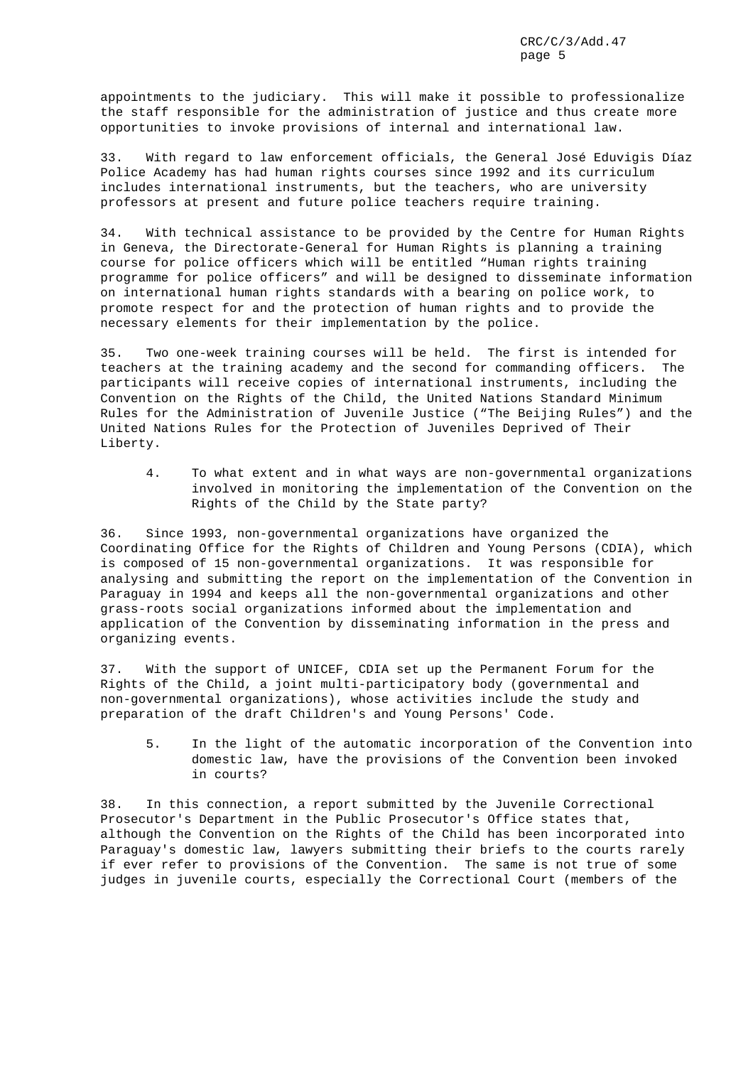appointments to the judiciary. This will make it possible to professionalize the staff responsible for the administration of justice and thus create more opportunities to invoke provisions of internal and international law.

33. With regard to law enforcement officials, the General José Eduvigis Díaz Police Academy has had human rights courses since 1992 and its curriculum includes international instruments, but the teachers, who are university professors at present and future police teachers require training.

34. With technical assistance to be provided by the Centre for Human Rights in Geneva, the Directorate-General for Human Rights is planning a training course for police officers which will be entitled "Human rights training programme for police officers" and will be designed to disseminate information on international human rights standards with a bearing on police work, to promote respect for and the protection of human rights and to provide the necessary elements for their implementation by the police.

35. Two one-week training courses will be held. The first is intended for teachers at the training academy and the second for commanding officers. The participants will receive copies of international instruments, including the Convention on the Rights of the Child, the United Nations Standard Minimum Rules for the Administration of Juvenile Justice ("The Beijing Rules") and the United Nations Rules for the Protection of Juveniles Deprived of Their Liberty.

4. To what extent and in what ways are non-governmental organizations involved in monitoring the implementation of the Convention on the Rights of the Child by the State party?

36. Since 1993, non-governmental organizations have organized the Coordinating Office for the Rights of Children and Young Persons (CDIA), which is composed of 15 non-governmental organizations. It was responsible for analysing and submitting the report on the implementation of the Convention in Paraguay in 1994 and keeps all the non-governmental organizations and other grass-roots social organizations informed about the implementation and application of the Convention by disseminating information in the press and organizing events.

37. With the support of UNICEF, CDIA set up the Permanent Forum for the Rights of the Child, a joint multi-participatory body (governmental and non-governmental organizations), whose activities include the study and preparation of the draft Children's and Young Persons' Code.

5. In the light of the automatic incorporation of the Convention into domestic law, have the provisions of the Convention been invoked in courts?

38. In this connection, a report submitted by the Juvenile Correctional Prosecutor's Department in the Public Prosecutor's Office states that, although the Convention on the Rights of the Child has been incorporated into Paraguay's domestic law, lawyers submitting their briefs to the courts rarely if ever refer to provisions of the Convention. The same is not true of some judges in juvenile courts, especially the Correctional Court (members of the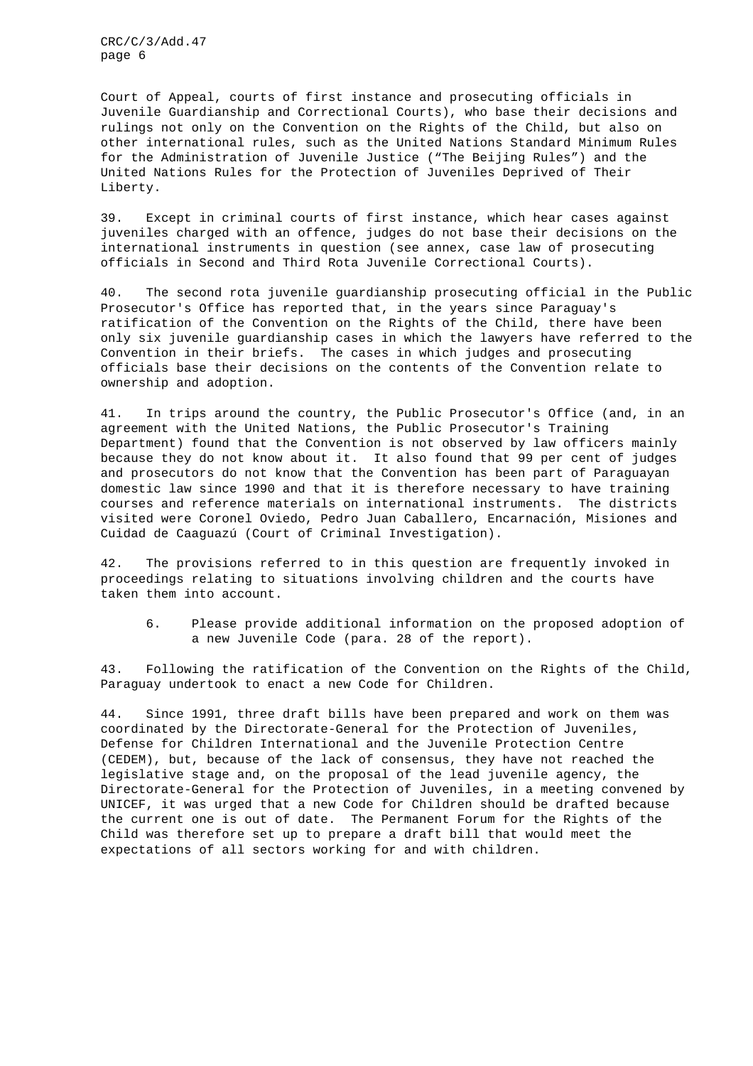Court of Appeal, courts of first instance and prosecuting officials in Juvenile Guardianship and Correctional Courts), who base their decisions and rulings not only on the Convention on the Rights of the Child, but also on other international rules, such as the United Nations Standard Minimum Rules for the Administration of Juvenile Justice ("The Beijing Rules") and the United Nations Rules for the Protection of Juveniles Deprived of Their Liberty.

39. Except in criminal courts of first instance, which hear cases against juveniles charged with an offence, judges do not base their decisions on the international instruments in question (see annex, case law of prosecuting officials in Second and Third Rota Juvenile Correctional Courts).

40. The second rota juvenile guardianship prosecuting official in the Public Prosecutor's Office has reported that, in the years since Paraguay's ratification of the Convention on the Rights of the Child, there have been only six juvenile guardianship cases in which the lawyers have referred to the Convention in their briefs. The cases in which judges and prosecuting officials base their decisions on the contents of the Convention relate to ownership and adoption.

41. In trips around the country, the Public Prosecutor's Office (and, in an agreement with the United Nations, the Public Prosecutor's Training Department) found that the Convention is not observed by law officers mainly because they do not know about it. It also found that 99 per cent of judges and prosecutors do not know that the Convention has been part of Paraguayan domestic law since 1990 and that it is therefore necessary to have training courses and reference materials on international instruments. The districts visited were Coronel Oviedo, Pedro Juan Caballero, Encarnación, Misiones and Cuidad de Caaguazú (Court of Criminal Investigation).

42. The provisions referred to in this question are frequently invoked in proceedings relating to situations involving children and the courts have taken them into account.

6. Please provide additional information on the proposed adoption of a new Juvenile Code (para. 28 of the report).

43. Following the ratification of the Convention on the Rights of the Child, Paraguay undertook to enact a new Code for Children.

44. Since 1991, three draft bills have been prepared and work on them was coordinated by the Directorate-General for the Protection of Juveniles, Defense for Children International and the Juvenile Protection Centre (CEDEM), but, because of the lack of consensus, they have not reached the legislative stage and, on the proposal of the lead juvenile agency, the Directorate-General for the Protection of Juveniles, in a meeting convened by UNICEF, it was urged that a new Code for Children should be drafted because the current one is out of date. The Permanent Forum for the Rights of the Child was therefore set up to prepare a draft bill that would meet the expectations of all sectors working for and with children.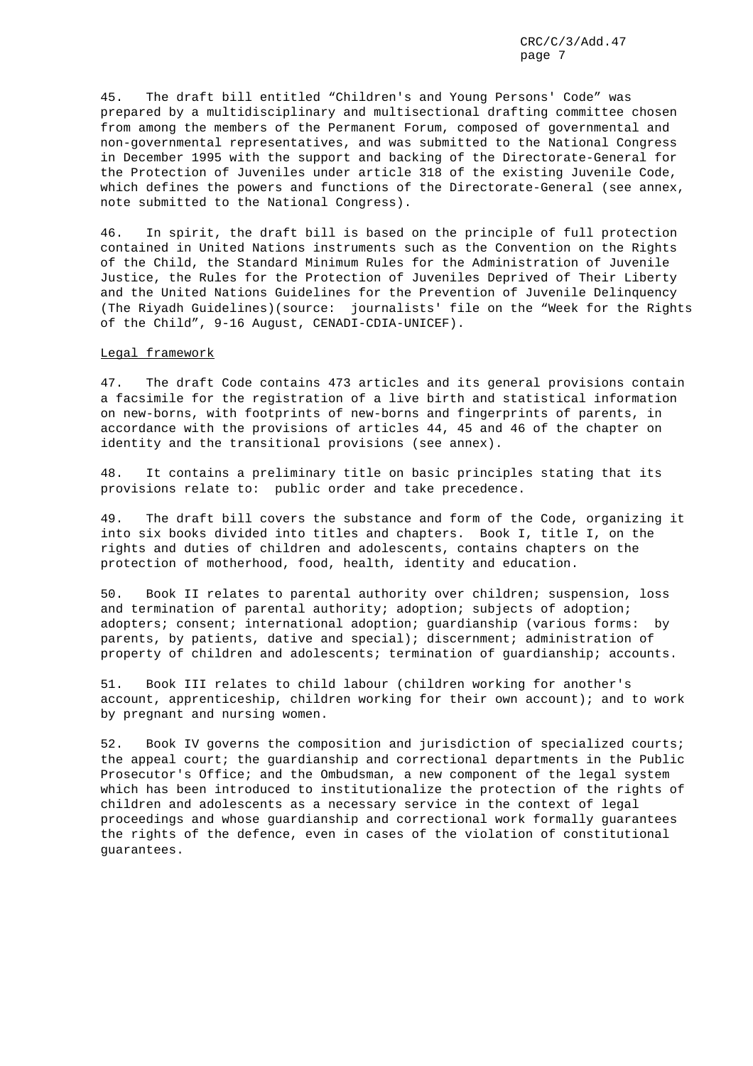45. The draft bill entitled "Children's and Young Persons' Code" was prepared by a multidisciplinary and multisectional drafting committee chosen from among the members of the Permanent Forum, composed of governmental and non-governmental representatives, and was submitted to the National Congress in December 1995 with the support and backing of the Directorate-General for the Protection of Juveniles under article 318 of the existing Juvenile Code, which defines the powers and functions of the Directorate-General (see annex, note submitted to the National Congress).

46. In spirit, the draft bill is based on the principle of full protection contained in United Nations instruments such as the Convention on the Rights of the Child, the Standard Minimum Rules for the Administration of Juvenile Justice, the Rules for the Protection of Juveniles Deprived of Their Liberty and the United Nations Guidelines for the Prevention of Juvenile Delinquency (The Riyadh Guidelines)(source: journalists' file on the "Week for the Rights of the Child", 9-16 August, CENADI-CDIA-UNICEF).

# Legal framework

47. The draft Code contains 473 articles and its general provisions contain a facsimile for the registration of a live birth and statistical information on new-borns, with footprints of new-borns and fingerprints of parents, in accordance with the provisions of articles 44, 45 and 46 of the chapter on identity and the transitional provisions (see annex).

48. It contains a preliminary title on basic principles stating that its provisions relate to: public order and take precedence.

49. The draft bill covers the substance and form of the Code, organizing it into six books divided into titles and chapters. Book I, title I, on the rights and duties of children and adolescents, contains chapters on the protection of motherhood, food, health, identity and education.

50. Book II relates to parental authority over children; suspension, loss and termination of parental authority; adoption; subjects of adoption; adopters; consent; international adoption; guardianship (various forms: by parents, by patients, dative and special); discernment; administration of property of children and adolescents; termination of guardianship; accounts.

51. Book III relates to child labour (children working for another's account, apprenticeship, children working for their own account); and to work by pregnant and nursing women.

52. Book IV governs the composition and jurisdiction of specialized courts; the appeal court; the guardianship and correctional departments in the Public Prosecutor's Office; and the Ombudsman, a new component of the legal system which has been introduced to institutionalize the protection of the rights of children and adolescents as a necessary service in the context of legal proceedings and whose guardianship and correctional work formally guarantees the rights of the defence, even in cases of the violation of constitutional guarantees.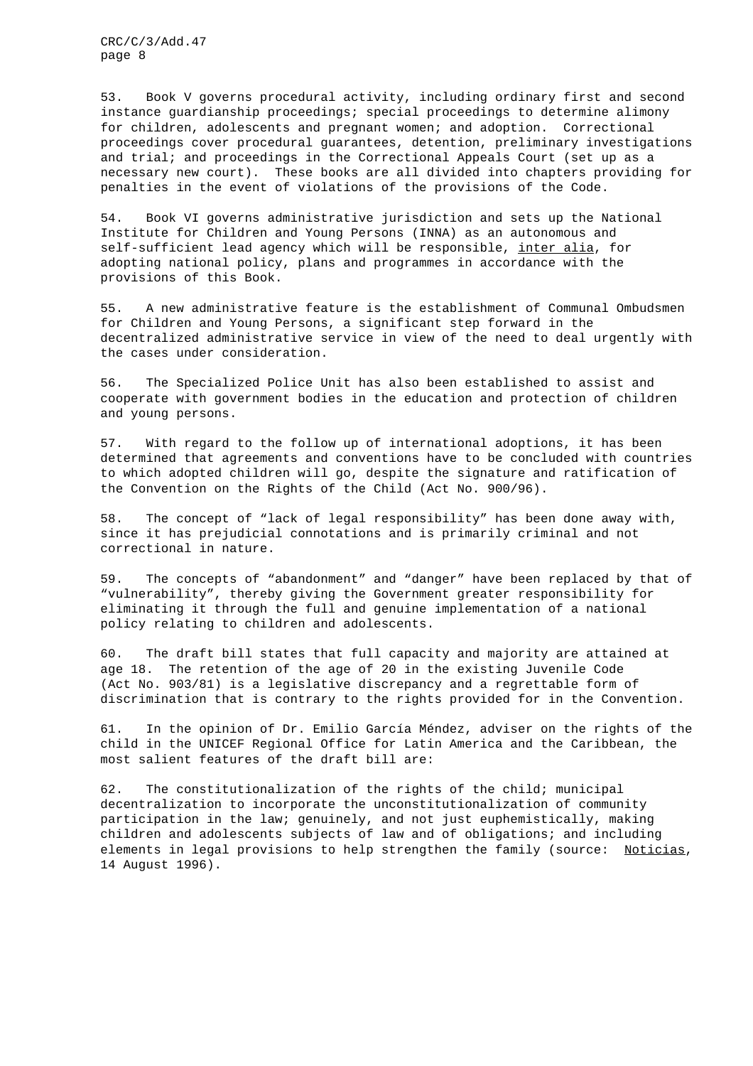53. Book V governs procedural activity, including ordinary first and second instance guardianship proceedings; special proceedings to determine alimony for children, adolescents and pregnant women; and adoption. Correctional proceedings cover procedural guarantees, detention, preliminary investigations and trial; and proceedings in the Correctional Appeals Court (set up as a necessary new court). These books are all divided into chapters providing for penalties in the event of violations of the provisions of the Code.

54. Book VI governs administrative jurisdiction and sets up the National Institute for Children and Young Persons (INNA) as an autonomous and self-sufficient lead agency which will be responsible, inter alia, for adopting national policy, plans and programmes in accordance with the provisions of this Book.

55. A new administrative feature is the establishment of Communal Ombudsmen for Children and Young Persons, a significant step forward in the decentralized administrative service in view of the need to deal urgently with the cases under consideration.

56. The Specialized Police Unit has also been established to assist and cooperate with government bodies in the education and protection of children and young persons.

57. With regard to the follow up of international adoptions, it has been determined that agreements and conventions have to be concluded with countries to which adopted children will go, despite the signature and ratification of the Convention on the Rights of the Child (Act No. 900/96).

58. The concept of "lack of legal responsibility" has been done away with, since it has prejudicial connotations and is primarily criminal and not correctional in nature.

59. The concepts of "abandonment" and "danger" have been replaced by that of "vulnerability", thereby giving the Government greater responsibility for eliminating it through the full and genuine implementation of a national policy relating to children and adolescents.

60. The draft bill states that full capacity and majority are attained at age 18. The retention of the age of 20 in the existing Juvenile Code (Act No. 903/81) is a legislative discrepancy and a regrettable form of discrimination that is contrary to the rights provided for in the Convention.

61. In the opinion of Dr. Emilio García Méndez, adviser on the rights of the child in the UNICEF Regional Office for Latin America and the Caribbean, the most salient features of the draft bill are:

62. The constitutionalization of the rights of the child; municipal decentralization to incorporate the unconstitutionalization of community participation in the law; genuinely, and not just euphemistically, making children and adolescents subjects of law and of obligations; and including elements in legal provisions to help strengthen the family (source: Noticias, 14 August 1996).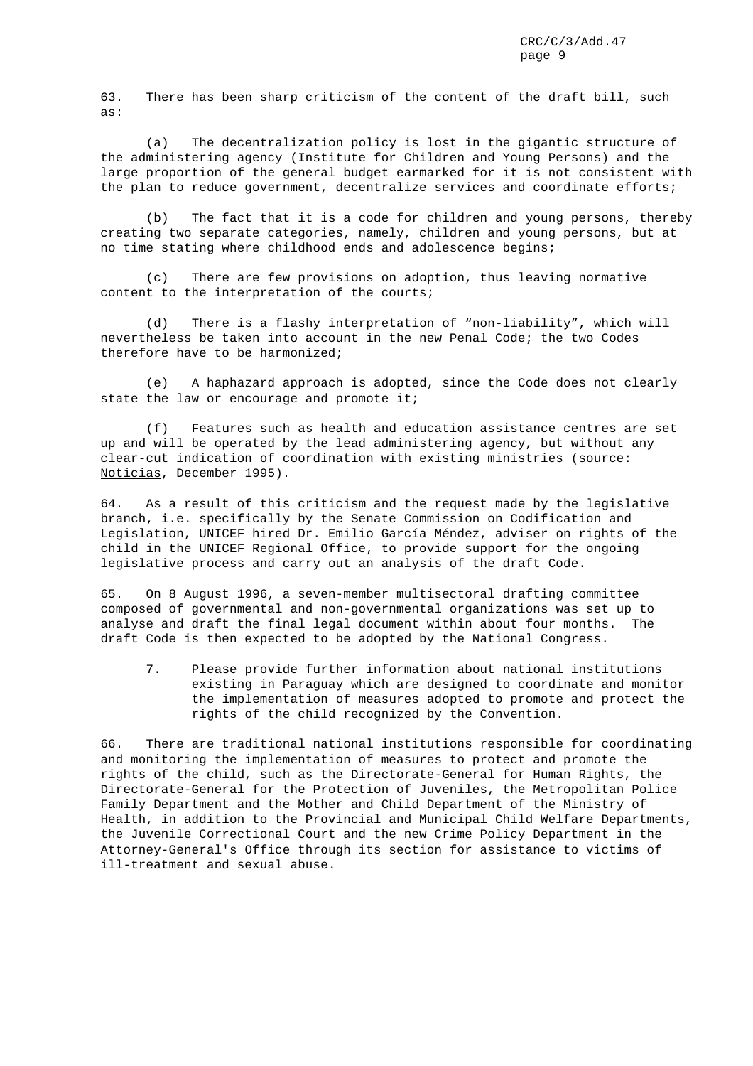63. There has been sharp criticism of the content of the draft bill, such as:

(a) The decentralization policy is lost in the gigantic structure of the administering agency (Institute for Children and Young Persons) and the large proportion of the general budget earmarked for it is not consistent with the plan to reduce government, decentralize services and coordinate efforts;

(b) The fact that it is a code for children and young persons, thereby creating two separate categories, namely, children and young persons, but at no time stating where childhood ends and adolescence begins;

(c) There are few provisions on adoption, thus leaving normative content to the interpretation of the courts;

(d) There is a flashy interpretation of "non-liability", which will nevertheless be taken into account in the new Penal Code; the two Codes therefore have to be harmonized;

(e) A haphazard approach is adopted, since the Code does not clearly state the law or encourage and promote it;

(f) Features such as health and education assistance centres are set up and will be operated by the lead administering agency, but without any clear-cut indication of coordination with existing ministries (source: Noticias, December 1995).

64. As a result of this criticism and the request made by the legislative branch, i.e. specifically by the Senate Commission on Codification and Legislation, UNICEF hired Dr. Emilio García Méndez, adviser on rights of the child in the UNICEF Regional Office, to provide support for the ongoing legislative process and carry out an analysis of the draft Code.

65. On 8 August 1996, a seven-member multisectoral drafting committee composed of governmental and non-governmental organizations was set up to analyse and draft the final legal document within about four months. The draft Code is then expected to be adopted by the National Congress.

7. Please provide further information about national institutions existing in Paraguay which are designed to coordinate and monitor the implementation of measures adopted to promote and protect the rights of the child recognized by the Convention.

66. There are traditional national institutions responsible for coordinating and monitoring the implementation of measures to protect and promote the rights of the child, such as the Directorate-General for Human Rights, the Directorate-General for the Protection of Juveniles, the Metropolitan Police Family Department and the Mother and Child Department of the Ministry of Health, in addition to the Provincial and Municipal Child Welfare Departments, the Juvenile Correctional Court and the new Crime Policy Department in the Attorney-General's Office through its section for assistance to victims of ill-treatment and sexual abuse.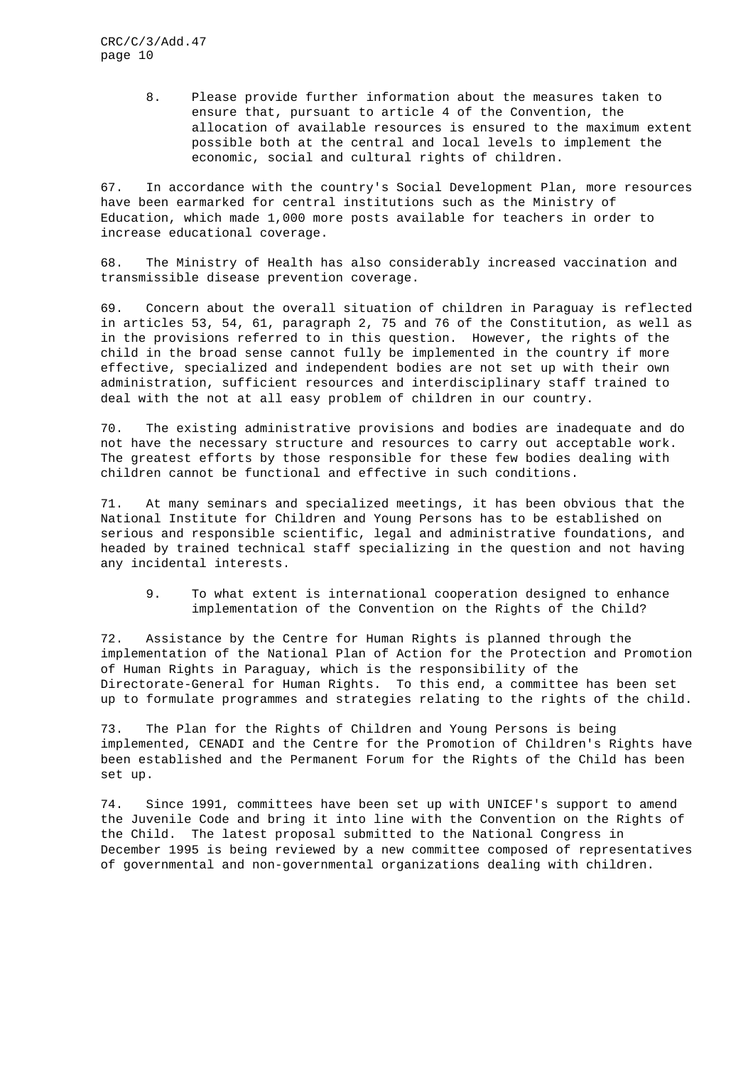> 8. Please provide further information about the measures taken to ensure that, pursuant to article 4 of the Convention, the allocation of available resources is ensured to the maximum extent possible both at the central and local levels to implement the economic, social and cultural rights of children.

67. In accordance with the country's Social Development Plan, more resources have been earmarked for central institutions such as the Ministry of Education, which made 1,000 more posts available for teachers in order to increase educational coverage.

68. The Ministry of Health has also considerably increased vaccination and transmissible disease prevention coverage.

69. Concern about the overall situation of children in Paraguay is reflected in articles 53, 54, 61, paragraph 2, 75 and 76 of the Constitution, as well as in the provisions referred to in this question. However, the rights of the child in the broad sense cannot fully be implemented in the country if more effective, specialized and independent bodies are not set up with their own administration, sufficient resources and interdisciplinary staff trained to deal with the not at all easy problem of children in our country.

70. The existing administrative provisions and bodies are inadequate and do not have the necessary structure and resources to carry out acceptable work. The greatest efforts by those responsible for these few bodies dealing with children cannot be functional and effective in such conditions.

71. At many seminars and specialized meetings, it has been obvious that the National Institute for Children and Young Persons has to be established on serious and responsible scientific, legal and administrative foundations, and headed by trained technical staff specializing in the question and not having any incidental interests.

9. To what extent is international cooperation designed to enhance implementation of the Convention on the Rights of the Child?

72. Assistance by the Centre for Human Rights is planned through the implementation of the National Plan of Action for the Protection and Promotion of Human Rights in Paraguay, which is the responsibility of the Directorate-General for Human Rights. To this end, a committee has been set up to formulate programmes and strategies relating to the rights of the child.

73. The Plan for the Rights of Children and Young Persons is being implemented, CENADI and the Centre for the Promotion of Children's Rights have been established and the Permanent Forum for the Rights of the Child has been set up.

74. Since 1991, committees have been set up with UNICEF's support to amend the Juvenile Code and bring it into line with the Convention on the Rights of the Child. The latest proposal submitted to the National Congress in December 1995 is being reviewed by a new committee composed of representatives of governmental and non-governmental organizations dealing with children.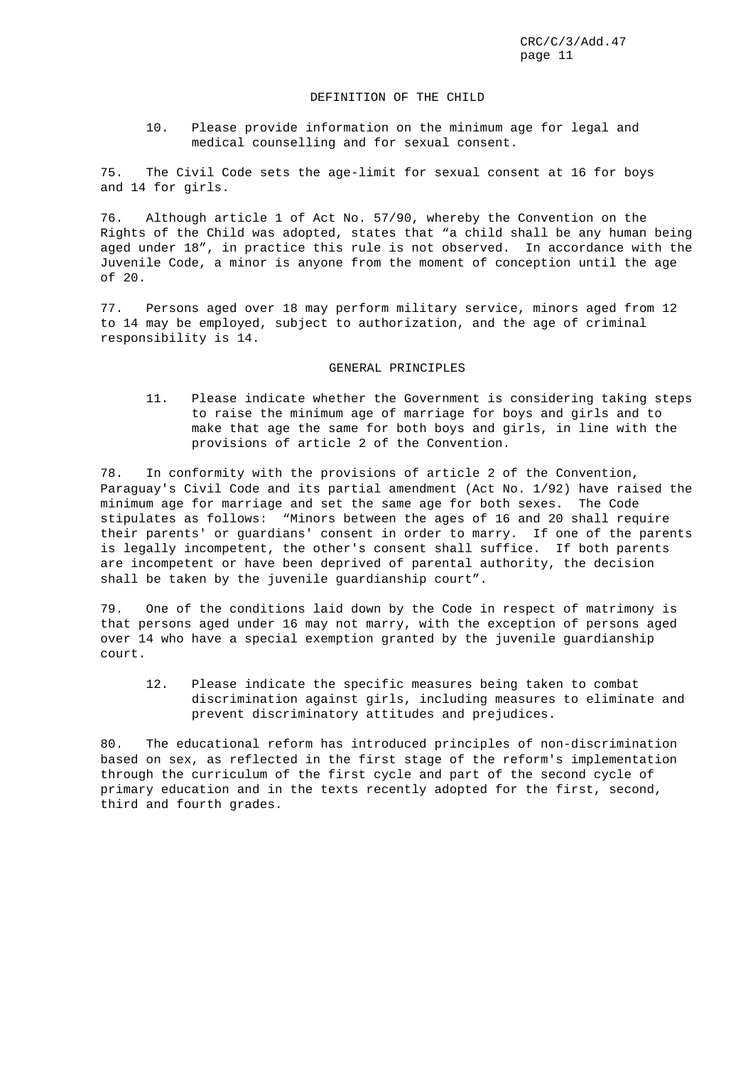## DEFINITION OF THE CHILD

10. Please provide information on the minimum age for legal and medical counselling and for sexual consent.

75. The Civil Code sets the age-limit for sexual consent at 16 for boys and 14 for girls.

76. Although article 1 of Act No. 57/90, whereby the Convention on the Rights of the Child was adopted, states that "a child shall be any human being aged under 18", in practice this rule is not observed. In accordance with the Juvenile Code, a minor is anyone from the moment of conception until the age of 20.

77. Persons aged over 18 may perform military service, minors aged from 12 to 14 may be employed, subject to authorization, and the age of criminal responsibility is 14.

## GENERAL PRINCIPLES

11. Please indicate whether the Government is considering taking steps to raise the minimum age of marriage for boys and girls and to make that age the same for both boys and girls, in line with the provisions of article 2 of the Convention.

78. In conformity with the provisions of article 2 of the Convention, Paraguay's Civil Code and its partial amendment (Act No. 1/92) have raised the minimum age for marriage and set the same age for both sexes. The Code stipulates as follows: "Minors between the ages of 16 and 20 shall require their parents' or guardians' consent in order to marry. If one of the parents is legally incompetent, the other's consent shall suffice. If both parents are incompetent or have been deprived of parental authority, the decision shall be taken by the juvenile guardianship court".

79. One of the conditions laid down by the Code in respect of matrimony is that persons aged under 16 may not marry, with the exception of persons aged over 14 who have a special exemption granted by the juvenile guardianship court.

12. Please indicate the specific measures being taken to combat discrimination against girls, including measures to eliminate and prevent discriminatory attitudes and prejudices.

80. The educational reform has introduced principles of non-discrimination based on sex, as reflected in the first stage of the reform's implementation through the curriculum of the first cycle and part of the second cycle of primary education and in the texts recently adopted for the first, second, third and fourth grades.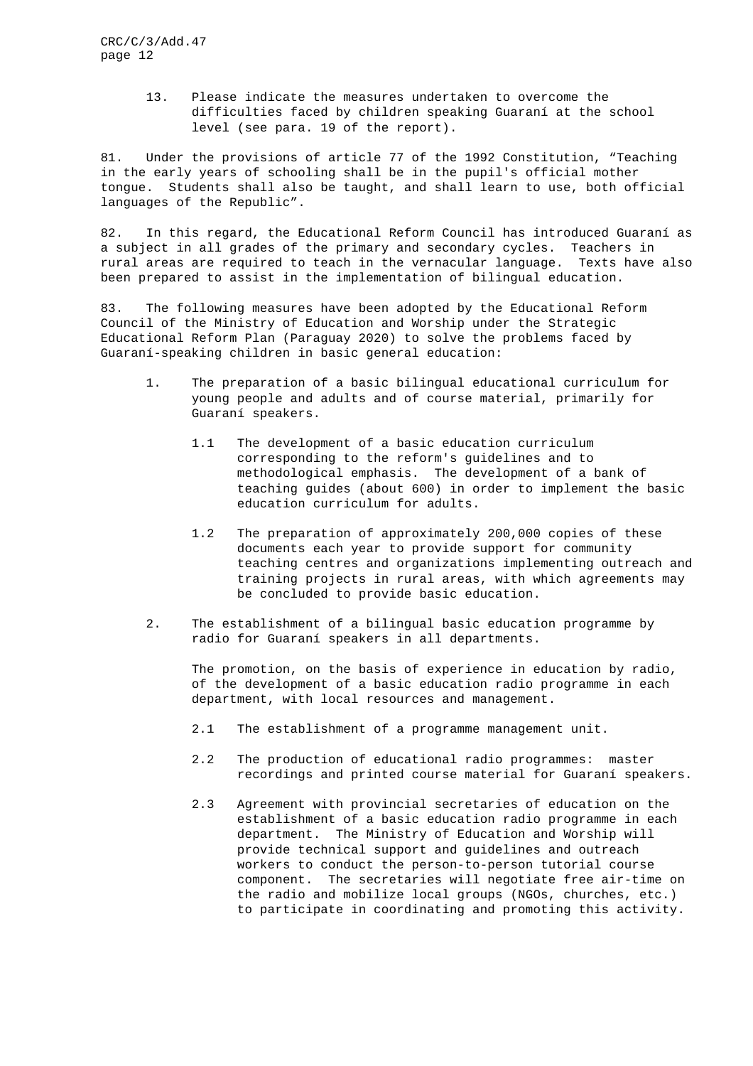13. Please indicate the measures undertaken to overcome the difficulties faced by children speaking Guaraní at the school level (see para. 19 of the report).

81. Under the provisions of article 77 of the 1992 Constitution, "Teaching in the early years of schooling shall be in the pupil's official mother tongue. Students shall also be taught, and shall learn to use, both official languages of the Republic".

82. In this regard, the Educational Reform Council has introduced Guaraní as a subject in all grades of the primary and secondary cycles. Teachers in rural areas are required to teach in the vernacular language. Texts have also been prepared to assist in the implementation of bilingual education.

83. The following measures have been adopted by the Educational Reform Council of the Ministry of Education and Worship under the Strategic Educational Reform Plan (Paraguay 2020) to solve the problems faced by Guaraní-speaking children in basic general education:

- 1. The preparation of a basic bilingual educational curriculum for young people and adults and of course material, primarily for Guaraní speakers.
	- 1.1 The development of a basic education curriculum corresponding to the reform's guidelines and to methodological emphasis. The development of a bank of teaching guides (about 600) in order to implement the basic education curriculum for adults.
	- 1.2 The preparation of approximately 200,000 copies of these documents each year to provide support for community teaching centres and organizations implementing outreach and training projects in rural areas, with which agreements may be concluded to provide basic education.
- 2. The establishment of a bilingual basic education programme by radio for Guaraní speakers in all departments.

The promotion, on the basis of experience in education by radio, of the development of a basic education radio programme in each department, with local resources and management.

- 2.1 The establishment of a programme management unit.
- 2.2 The production of educational radio programmes: master recordings and printed course material for Guaraní speakers.
- 2.3 Agreement with provincial secretaries of education on the establishment of a basic education radio programme in each department. The Ministry of Education and Worship will provide technical support and guidelines and outreach workers to conduct the person-to-person tutorial course component. The secretaries will negotiate free air-time on the radio and mobilize local groups (NGOs, churches, etc.) to participate in coordinating and promoting this activity.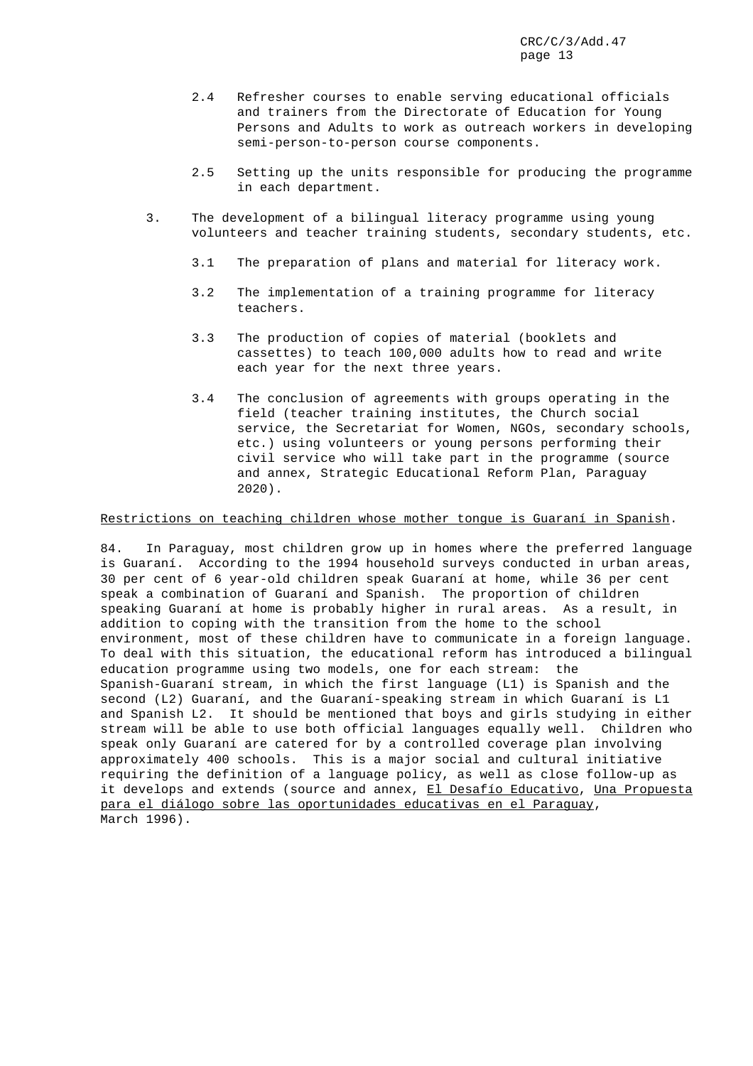- 2.4 Refresher courses to enable serving educational officials and trainers from the Directorate of Education for Young Persons and Adults to work as outreach workers in developing semi-person-to-person course components.
- 2.5 Setting up the units responsible for producing the programme in each department.
- 3. The development of a bilingual literacy programme using young volunteers and teacher training students, secondary students, etc.
	- 3.1 The preparation of plans and material for literacy work.
	- 3.2 The implementation of a training programme for literacy teachers.
	- 3.3 The production of copies of material (booklets and cassettes) to teach 100,000 adults how to read and write each year for the next three years.
	- 3.4 The conclusion of agreements with groups operating in the field (teacher training institutes, the Church social service, the Secretariat for Women, NGOs, secondary schools, etc.) using volunteers or young persons performing their civil service who will take part in the programme (source and annex, Strategic Educational Reform Plan, Paraguay 2020).

## Restrictions on teaching children whose mother tongue is Guaraní in Spanish.

84. In Paraguay, most children grow up in homes where the preferred language is Guaraní. According to the 1994 household surveys conducted in urban areas, 30 per cent of 6 year-old children speak Guaraní at home, while 36 per cent speak a combination of Guaraní and Spanish. The proportion of children speaking Guaraní at home is probably higher in rural areas. As a result, in addition to coping with the transition from the home to the school environment, most of these children have to communicate in a foreign language. To deal with this situation, the educational reform has introduced a bilingual education programme using two models, one for each stream: the Spanish-Guaraní stream, in which the first language (L1) is Spanish and the second (L2) Guaraní, and the Guaraní-speaking stream in which Guaraní is L1 and Spanish L2. It should be mentioned that boys and girls studying in either stream will be able to use both official languages equally well. Children who speak only Guaraní are catered for by a controlled coverage plan involving approximately 400 schools. This is a major social and cultural initiative requiring the definition of a language policy, as well as close follow-up as it develops and extends (source and annex, El Desafío Educativo, Una Propuesta para el diálogo sobre las oportunidades educativas en el Paraguay, March 1996).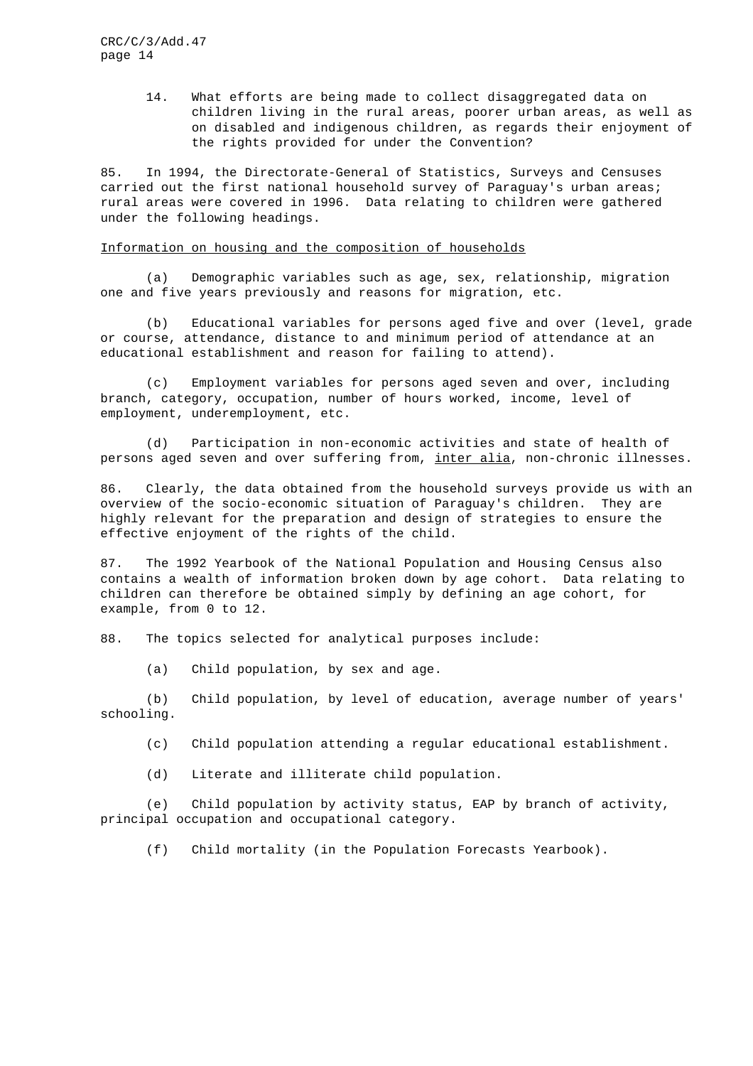> 14. What efforts are being made to collect disaggregated data on children living in the rural areas, poorer urban areas, as well as on disabled and indigenous children, as regards their enjoyment of the rights provided for under the Convention?

85. In 1994, the Directorate-General of Statistics, Surveys and Censuses carried out the first national household survey of Paraguay's urban areas; rural areas were covered in 1996. Data relating to children were gathered under the following headings.

#### Information on housing and the composition of households

(a) Demographic variables such as age, sex, relationship, migration one and five years previously and reasons for migration, etc.

(b) Educational variables for persons aged five and over (level, grade or course, attendance, distance to and minimum period of attendance at an educational establishment and reason for failing to attend).

(c) Employment variables for persons aged seven and over, including branch, category, occupation, number of hours worked, income, level of employment, underemployment, etc.

(d) Participation in non-economic activities and state of health of persons aged seven and over suffering from, inter alia, non-chronic illnesses.

86. Clearly, the data obtained from the household surveys provide us with an overview of the socio-economic situation of Paraguay's children. They are highly relevant for the preparation and design of strategies to ensure the effective enjoyment of the rights of the child.

87. The 1992 Yearbook of the National Population and Housing Census also contains a wealth of information broken down by age cohort. Data relating to children can therefore be obtained simply by defining an age cohort, for example, from 0 to 12.

88. The topics selected for analytical purposes include:

(a) Child population, by sex and age.

(b) Child population, by level of education, average number of years' schooling.

(c) Child population attending a regular educational establishment.

(d) Literate and illiterate child population.

(e) Child population by activity status, EAP by branch of activity, principal occupation and occupational category.

(f) Child mortality (in the Population Forecasts Yearbook).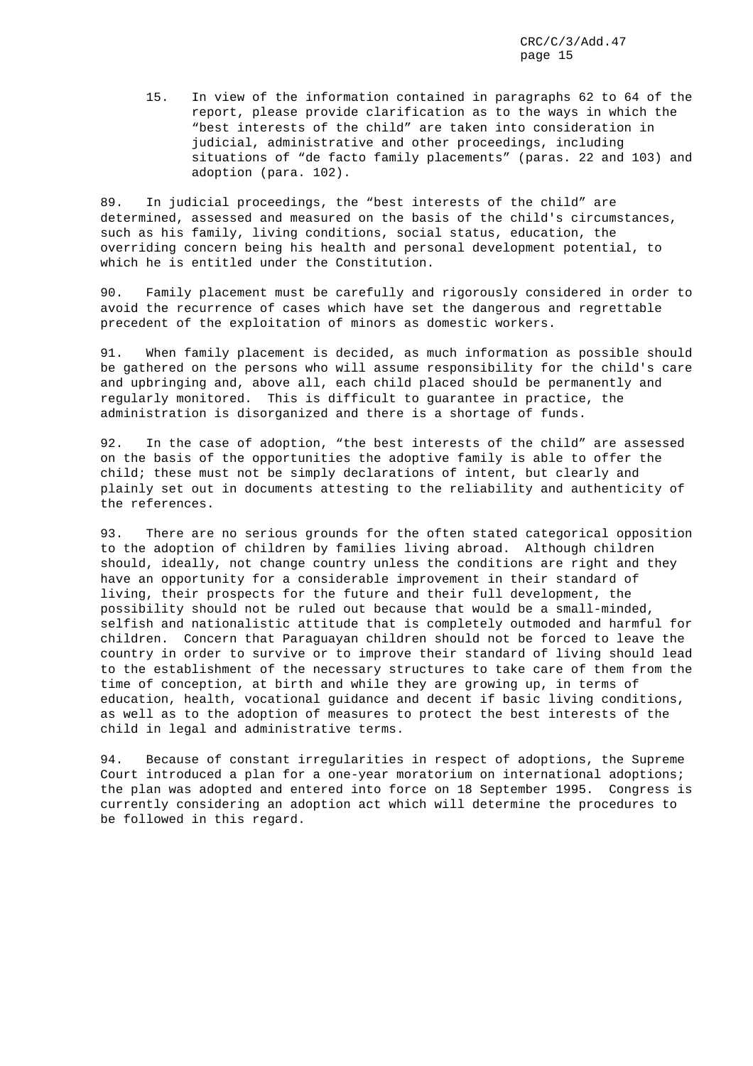15. In view of the information contained in paragraphs 62 to 64 of the report, please provide clarification as to the ways in which the "best interests of the child" are taken into consideration in judicial, administrative and other proceedings, including situations of "de facto family placements" (paras. 22 and 103) and adoption (para. 102).

89. In judicial proceedings, the "best interests of the child" are determined, assessed and measured on the basis of the child's circumstances, such as his family, living conditions, social status, education, the overriding concern being his health and personal development potential, to which he is entitled under the Constitution.

90. Family placement must be carefully and rigorously considered in order to avoid the recurrence of cases which have set the dangerous and regrettable precedent of the exploitation of minors as domestic workers.

91. When family placement is decided, as much information as possible should be gathered on the persons who will assume responsibility for the child's care and upbringing and, above all, each child placed should be permanently and regularly monitored. This is difficult to guarantee in practice, the administration is disorganized and there is a shortage of funds.

92. In the case of adoption, "the best interests of the child" are assessed on the basis of the opportunities the adoptive family is able to offer the child; these must not be simply declarations of intent, but clearly and plainly set out in documents attesting to the reliability and authenticity of the references.

93. There are no serious grounds for the often stated categorical opposition to the adoption of children by families living abroad. Although children should, ideally, not change country unless the conditions are right and they have an opportunity for a considerable improvement in their standard of living, their prospects for the future and their full development, the possibility should not be ruled out because that would be a small-minded, selfish and nationalistic attitude that is completely outmoded and harmful for children. Concern that Paraguayan children should not be forced to leave the country in order to survive or to improve their standard of living should lead to the establishment of the necessary structures to take care of them from the time of conception, at birth and while they are growing up, in terms of education, health, vocational guidance and decent if basic living conditions, as well as to the adoption of measures to protect the best interests of the child in legal and administrative terms.

94. Because of constant irregularities in respect of adoptions, the Supreme Court introduced a plan for a one-year moratorium on international adoptions; the plan was adopted and entered into force on 18 September 1995. Congress is currently considering an adoption act which will determine the procedures to be followed in this regard.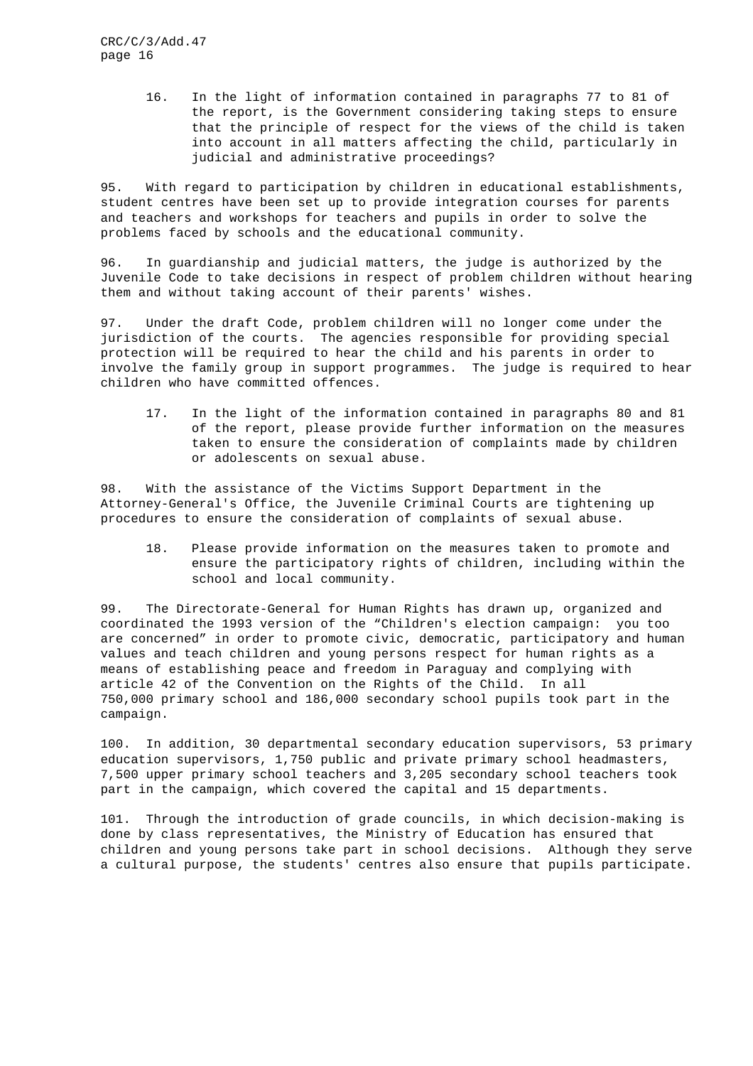> 16. In the light of information contained in paragraphs 77 to 81 of the report, is the Government considering taking steps to ensure that the principle of respect for the views of the child is taken into account in all matters affecting the child, particularly in judicial and administrative proceedings?

95. With regard to participation by children in educational establishments, student centres have been set up to provide integration courses for parents and teachers and workshops for teachers and pupils in order to solve the problems faced by schools and the educational community.

96. In guardianship and judicial matters, the judge is authorized by the Juvenile Code to take decisions in respect of problem children without hearing them and without taking account of their parents' wishes.

97. Under the draft Code, problem children will no longer come under the jurisdiction of the courts. The agencies responsible for providing special protection will be required to hear the child and his parents in order to involve the family group in support programmes. The judge is required to hear children who have committed offences.

17. In the light of the information contained in paragraphs 80 and 81 of the report, please provide further information on the measures taken to ensure the consideration of complaints made by children or adolescents on sexual abuse.

98. With the assistance of the Victims Support Department in the Attorney-General's Office, the Juvenile Criminal Courts are tightening up procedures to ensure the consideration of complaints of sexual abuse.

18. Please provide information on the measures taken to promote and ensure the participatory rights of children, including within the school and local community.

99. The Directorate-General for Human Rights has drawn up, organized and coordinated the 1993 version of the "Children's election campaign: you too are concerned" in order to promote civic, democratic, participatory and human values and teach children and young persons respect for human rights as a means of establishing peace and freedom in Paraguay and complying with article 42 of the Convention on the Rights of the Child. In all 750,000 primary school and 186,000 secondary school pupils took part in the campaign.

100. In addition, 30 departmental secondary education supervisors, 53 primary education supervisors, 1,750 public and private primary school headmasters, 7,500 upper primary school teachers and 3,205 secondary school teachers took part in the campaign, which covered the capital and 15 departments.

101. Through the introduction of grade councils, in which decision-making is done by class representatives, the Ministry of Education has ensured that children and young persons take part in school decisions. Although they serve a cultural purpose, the students' centres also ensure that pupils participate.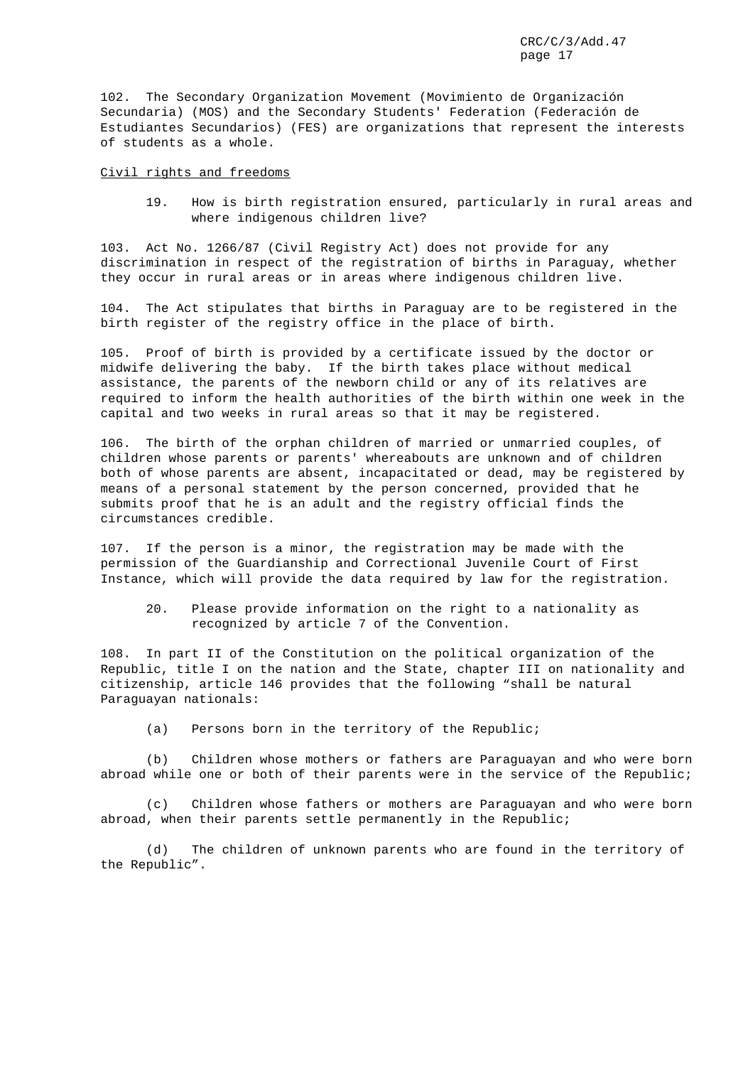102. The Secondary Organization Movement (Movimiento de Organización Secundaria) (MOS) and the Secondary Students' Federation (Federación de Estudiantes Secundarios) (FES) are organizations that represent the interests of students as a whole.

#### Civil rights and freedoms

19. How is birth registration ensured, particularly in rural areas and where indigenous children live?

103. Act No. 1266/87 (Civil Registry Act) does not provide for any discrimination in respect of the registration of births in Paraguay, whether they occur in rural areas or in areas where indigenous children live.

104. The Act stipulates that births in Paraguay are to be registered in the birth register of the registry office in the place of birth.

105. Proof of birth is provided by a certificate issued by the doctor or midwife delivering the baby. If the birth takes place without medical assistance, the parents of the newborn child or any of its relatives are required to inform the health authorities of the birth within one week in the capital and two weeks in rural areas so that it may be registered.

106. The birth of the orphan children of married or unmarried couples, of children whose parents or parents' whereabouts are unknown and of children both of whose parents are absent, incapacitated or dead, may be registered by means of a personal statement by the person concerned, provided that he submits proof that he is an adult and the registry official finds the circumstances credible.

107. If the person is a minor, the registration may be made with the permission of the Guardianship and Correctional Juvenile Court of First Instance, which will provide the data required by law for the registration.

20. Please provide information on the right to a nationality as recognized by article 7 of the Convention.

108. In part II of the Constitution on the political organization of the Republic, title I on the nation and the State, chapter III on nationality and citizenship, article 146 provides that the following "shall be natural Paraguayan nationals:

(a) Persons born in the territory of the Republic;

(b) Children whose mothers or fathers are Paraguayan and who were born abroad while one or both of their parents were in the service of the Republic;

(c) Children whose fathers or mothers are Paraguayan and who were born abroad, when their parents settle permanently in the Republic;

(d) The children of unknown parents who are found in the territory of the Republic".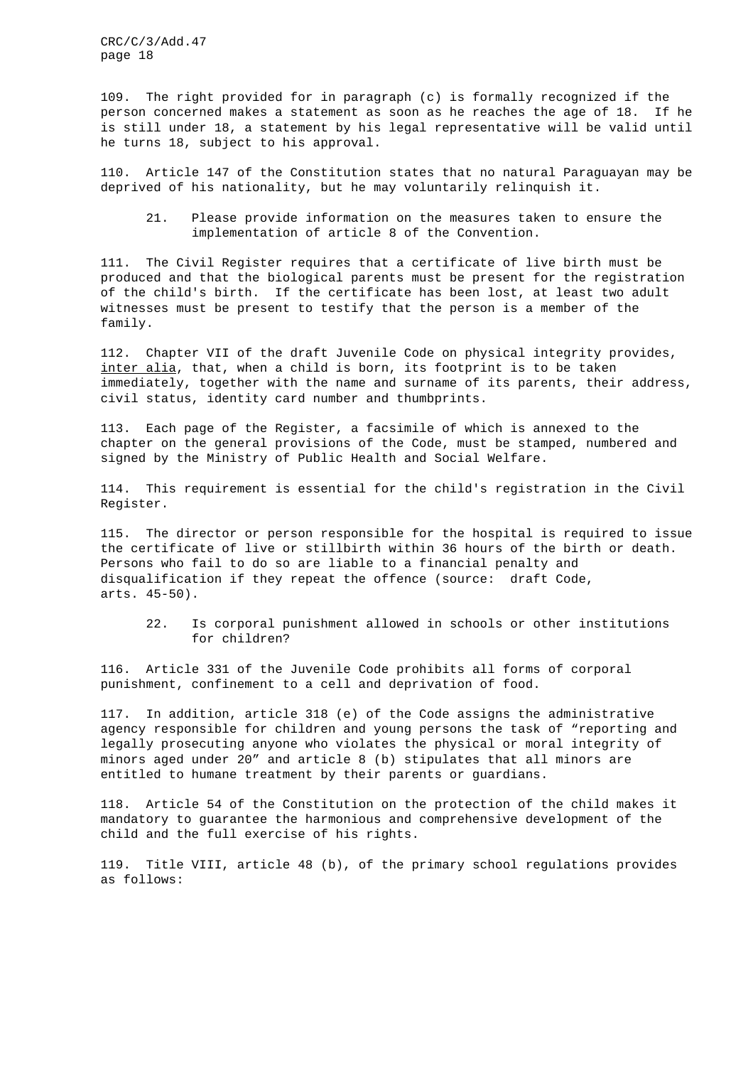109. The right provided for in paragraph (c) is formally recognized if the person concerned makes a statement as soon as he reaches the age of 18. If he is still under 18, a statement by his legal representative will be valid until he turns 18, subject to his approval.

110. Article 147 of the Constitution states that no natural Paraguayan may be deprived of his nationality, but he may voluntarily relinquish it.

21. Please provide information on the measures taken to ensure the implementation of article 8 of the Convention.

111. The Civil Register requires that a certificate of live birth must be produced and that the biological parents must be present for the registration of the child's birth. If the certificate has been lost, at least two adult witnesses must be present to testify that the person is a member of the family.

112. Chapter VII of the draft Juvenile Code on physical integrity provides, inter alia, that, when a child is born, its footprint is to be taken immediately, together with the name and surname of its parents, their address, civil status, identity card number and thumbprints.

113. Each page of the Register, a facsimile of which is annexed to the chapter on the general provisions of the Code, must be stamped, numbered and signed by the Ministry of Public Health and Social Welfare.

114. This requirement is essential for the child's registration in the Civil Register.

115. The director or person responsible for the hospital is required to issue the certificate of live or stillbirth within 36 hours of the birth or death. Persons who fail to do so are liable to a financial penalty and disqualification if they repeat the offence (source: draft Code, arts. 45-50).

22. Is corporal punishment allowed in schools or other institutions for children?

116. Article 331 of the Juvenile Code prohibits all forms of corporal punishment, confinement to a cell and deprivation of food.

117. In addition, article 318 (e) of the Code assigns the administrative agency responsible for children and young persons the task of "reporting and legally prosecuting anyone who violates the physical or moral integrity of minors aged under 20" and article 8 (b) stipulates that all minors are entitled to humane treatment by their parents or guardians.

118. Article 54 of the Constitution on the protection of the child makes it mandatory to guarantee the harmonious and comprehensive development of the child and the full exercise of his rights.

119. Title VIII, article 48 (b), of the primary school regulations provides as follows: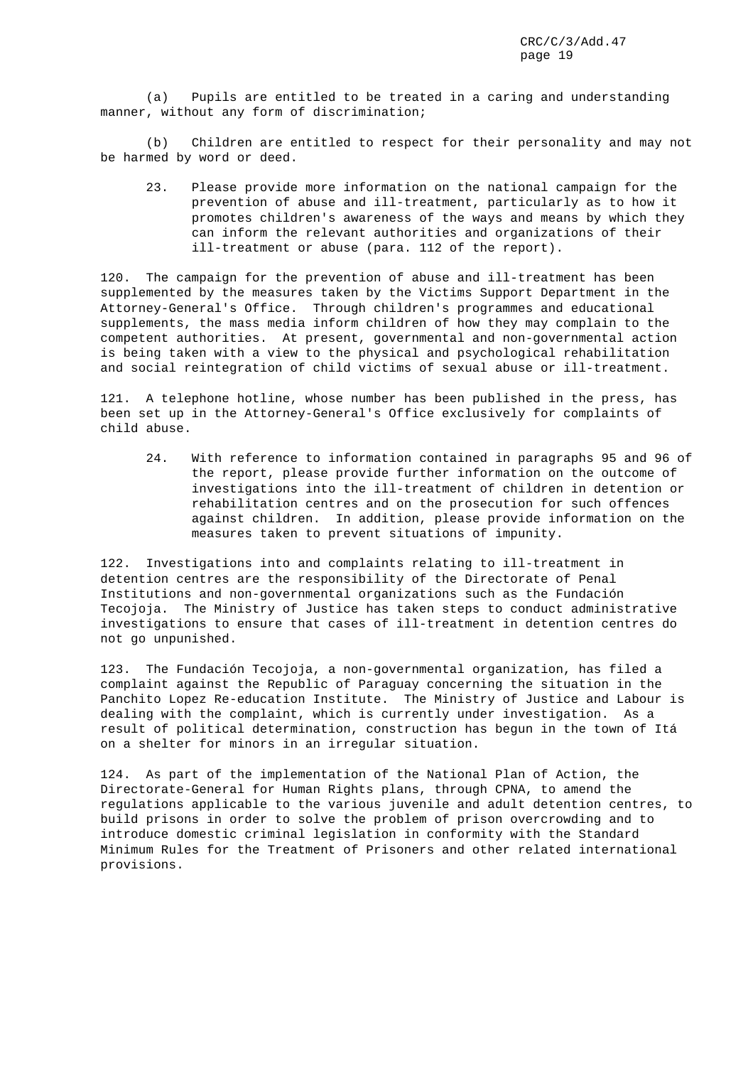(a) Pupils are entitled to be treated in a caring and understanding manner, without any form of discrimination;

(b) Children are entitled to respect for their personality and may not be harmed by word or deed.

23. Please provide more information on the national campaign for the prevention of abuse and ill-treatment, particularly as to how it promotes children's awareness of the ways and means by which they can inform the relevant authorities and organizations of their ill-treatment or abuse (para. 112 of the report).

120. The campaign for the prevention of abuse and ill-treatment has been supplemented by the measures taken by the Victims Support Department in the Attorney-General's Office. Through children's programmes and educational supplements, the mass media inform children of how they may complain to the competent authorities. At present, governmental and non-governmental action is being taken with a view to the physical and psychological rehabilitation and social reintegration of child victims of sexual abuse or ill-treatment.

121. A telephone hotline, whose number has been published in the press, has been set up in the Attorney-General's Office exclusively for complaints of child abuse.

24. With reference to information contained in paragraphs 95 and 96 of the report, please provide further information on the outcome of investigations into the ill-treatment of children in detention or rehabilitation centres and on the prosecution for such offences against children. In addition, please provide information on the measures taken to prevent situations of impunity.

122. Investigations into and complaints relating to ill-treatment in detention centres are the responsibility of the Directorate of Penal Institutions and non-governmental organizations such as the Fundación Tecojoja. The Ministry of Justice has taken steps to conduct administrative investigations to ensure that cases of ill-treatment in detention centres do not go unpunished.

123. The Fundación Tecojoja, a non-governmental organization, has filed a complaint against the Republic of Paraguay concerning the situation in the Panchito Lopez Re-education Institute. The Ministry of Justice and Labour is dealing with the complaint, which is currently under investigation. As a result of political determination, construction has begun in the town of Itá on a shelter for minors in an irregular situation.

124. As part of the implementation of the National Plan of Action, the Directorate-General for Human Rights plans, through CPNA, to amend the regulations applicable to the various juvenile and adult detention centres, to build prisons in order to solve the problem of prison overcrowding and to introduce domestic criminal legislation in conformity with the Standard Minimum Rules for the Treatment of Prisoners and other related international provisions.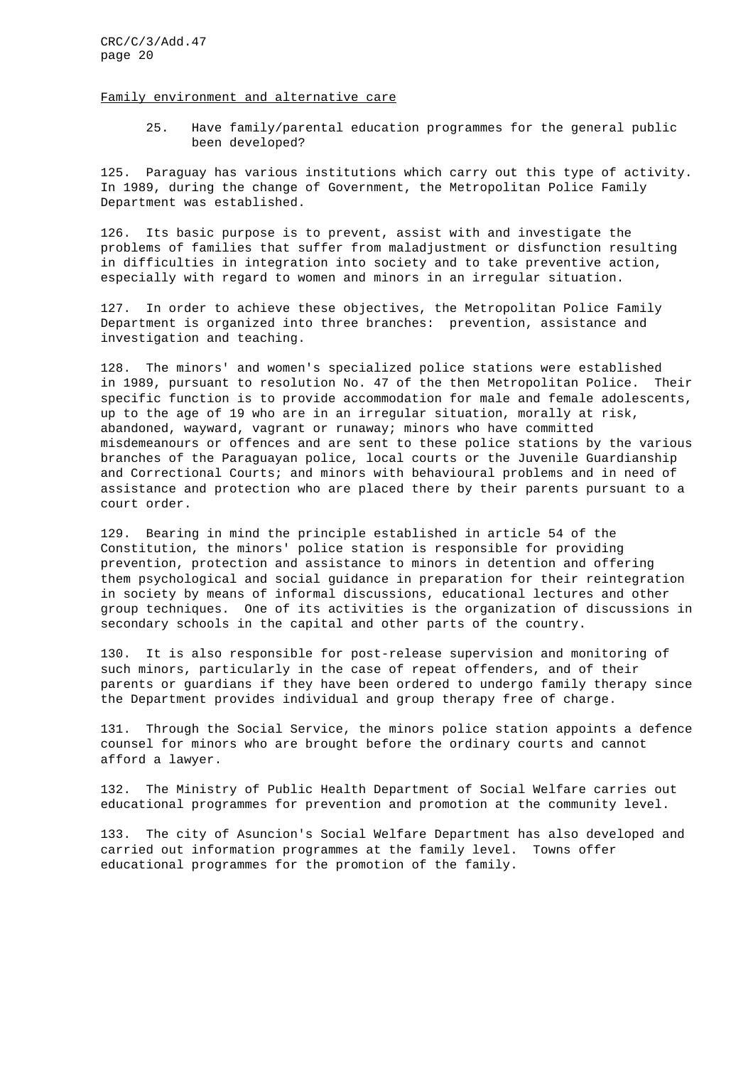#### Family environment and alternative care

25. Have family/parental education programmes for the general public been developed?

125. Paraguay has various institutions which carry out this type of activity. In 1989, during the change of Government, the Metropolitan Police Family Department was established.

126. Its basic purpose is to prevent, assist with and investigate the problems of families that suffer from maladjustment or disfunction resulting in difficulties in integration into society and to take preventive action, especially with regard to women and minors in an irregular situation.

127. In order to achieve these objectives, the Metropolitan Police Family Department is organized into three branches: prevention, assistance and investigation and teaching.

128. The minors' and women's specialized police stations were established in 1989, pursuant to resolution No. 47 of the then Metropolitan Police. Their specific function is to provide accommodation for male and female adolescents, up to the age of 19 who are in an irregular situation, morally at risk, abandoned, wayward, vagrant or runaway; minors who have committed misdemeanours or offences and are sent to these police stations by the various branches of the Paraguayan police, local courts or the Juvenile Guardianship and Correctional Courts; and minors with behavioural problems and in need of assistance and protection who are placed there by their parents pursuant to a court order.

129. Bearing in mind the principle established in article 54 of the Constitution, the minors' police station is responsible for providing prevention, protection and assistance to minors in detention and offering them psychological and social guidance in preparation for their reintegration in society by means of informal discussions, educational lectures and other group techniques. One of its activities is the organization of discussions in secondary schools in the capital and other parts of the country.

130. It is also responsible for post-release supervision and monitoring of such minors, particularly in the case of repeat offenders, and of their parents or guardians if they have been ordered to undergo family therapy since the Department provides individual and group therapy free of charge.

131. Through the Social Service, the minors police station appoints a defence counsel for minors who are brought before the ordinary courts and cannot afford a lawyer.

132. The Ministry of Public Health Department of Social Welfare carries out educational programmes for prevention and promotion at the community level.

133. The city of Asuncion's Social Welfare Department has also developed and carried out information programmes at the family level. Towns offer educational programmes for the promotion of the family.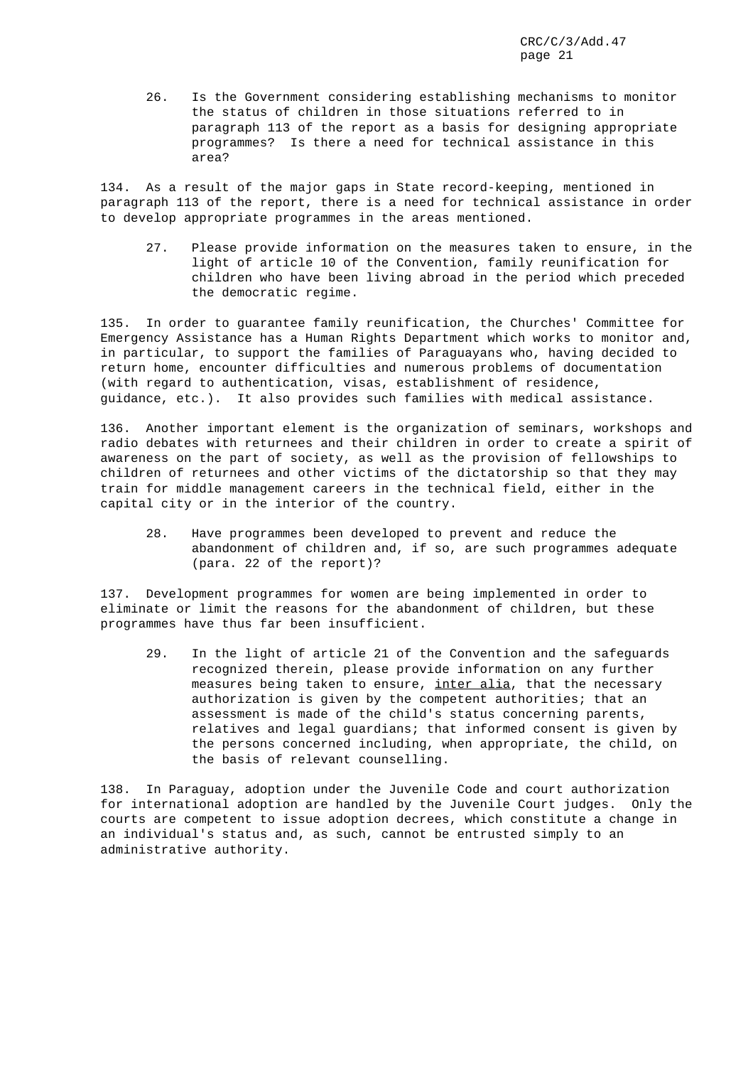26. Is the Government considering establishing mechanisms to monitor the status of children in those situations referred to in paragraph 113 of the report as a basis for designing appropriate programmes? Is there a need for technical assistance in this area?

134. As a result of the major gaps in State record-keeping, mentioned in paragraph 113 of the report, there is a need for technical assistance in order to develop appropriate programmes in the areas mentioned.

27. Please provide information on the measures taken to ensure, in the light of article 10 of the Convention, family reunification for children who have been living abroad in the period which preceded the democratic regime.

135. In order to guarantee family reunification, the Churches' Committee for Emergency Assistance has a Human Rights Department which works to monitor and, in particular, to support the families of Paraguayans who, having decided to return home, encounter difficulties and numerous problems of documentation (with regard to authentication, visas, establishment of residence, guidance, etc.). It also provides such families with medical assistance.

136. Another important element is the organization of seminars, workshops and radio debates with returnees and their children in order to create a spirit of awareness on the part of society, as well as the provision of fellowships to children of returnees and other victims of the dictatorship so that they may train for middle management careers in the technical field, either in the capital city or in the interior of the country.

28. Have programmes been developed to prevent and reduce the abandonment of children and, if so, are such programmes adequate (para. 22 of the report)?

137. Development programmes for women are being implemented in order to eliminate or limit the reasons for the abandonment of children, but these programmes have thus far been insufficient.

29. In the light of article 21 of the Convention and the safeguards recognized therein, please provide information on any further measures being taken to ensure, inter alia, that the necessary authorization is given by the competent authorities; that an assessment is made of the child's status concerning parents, relatives and legal guardians; that informed consent is given by the persons concerned including, when appropriate, the child, on the basis of relevant counselling.

138. In Paraguay, adoption under the Juvenile Code and court authorization for international adoption are handled by the Juvenile Court judges. Only the courts are competent to issue adoption decrees, which constitute a change in an individual's status and, as such, cannot be entrusted simply to an administrative authority.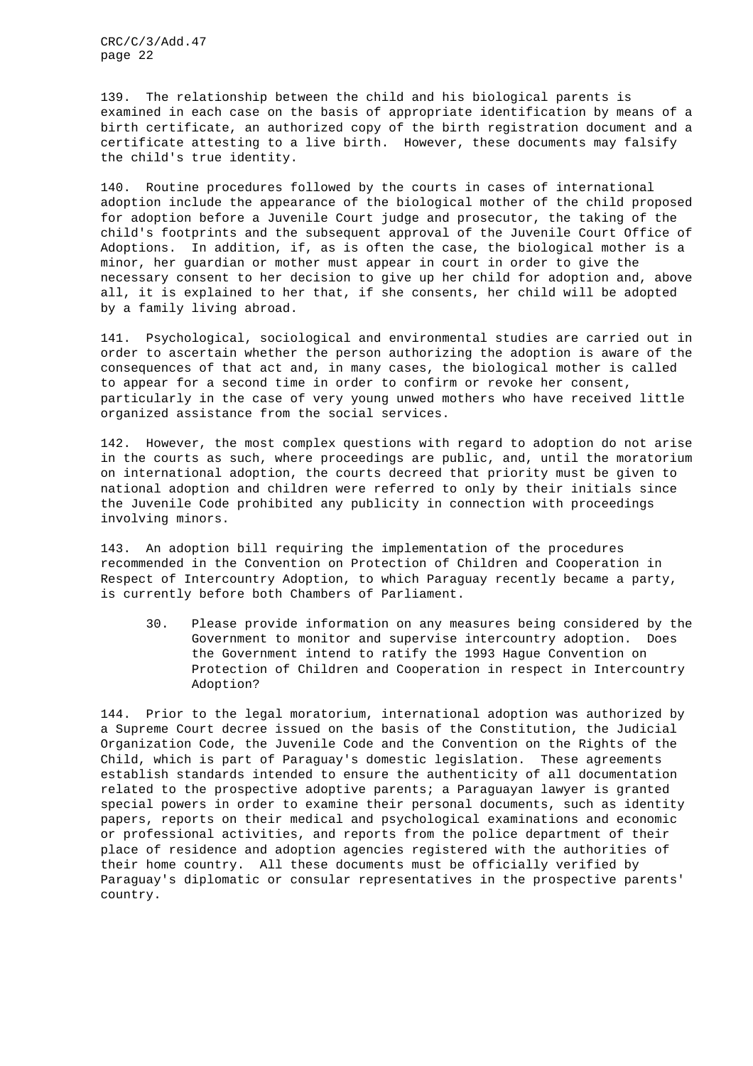139. The relationship between the child and his biological parents is examined in each case on the basis of appropriate identification by means of a birth certificate, an authorized copy of the birth registration document and a certificate attesting to a live birth. However, these documents may falsify the child's true identity.

140. Routine procedures followed by the courts in cases of international adoption include the appearance of the biological mother of the child proposed for adoption before a Juvenile Court judge and prosecutor, the taking of the child's footprints and the subsequent approval of the Juvenile Court Office of Adoptions. In addition, if, as is often the case, the biological mother is a minor, her guardian or mother must appear in court in order to give the necessary consent to her decision to give up her child for adoption and, above all, it is explained to her that, if she consents, her child will be adopted by a family living abroad.

141. Psychological, sociological and environmental studies are carried out in order to ascertain whether the person authorizing the adoption is aware of the consequences of that act and, in many cases, the biological mother is called to appear for a second time in order to confirm or revoke her consent, particularly in the case of very young unwed mothers who have received little organized assistance from the social services.

142. However, the most complex questions with regard to adoption do not arise in the courts as such, where proceedings are public, and, until the moratorium on international adoption, the courts decreed that priority must be given to national adoption and children were referred to only by their initials since the Juvenile Code prohibited any publicity in connection with proceedings involving minors.

143. An adoption bill requiring the implementation of the procedures recommended in the Convention on Protection of Children and Cooperation in Respect of Intercountry Adoption, to which Paraguay recently became a party, is currently before both Chambers of Parliament.

30. Please provide information on any measures being considered by the Government to monitor and supervise intercountry adoption. Does the Government intend to ratify the 1993 Hague Convention on Protection of Children and Cooperation in respect in Intercountry Adoption?

144. Prior to the legal moratorium, international adoption was authorized by a Supreme Court decree issued on the basis of the Constitution, the Judicial Organization Code, the Juvenile Code and the Convention on the Rights of the Child, which is part of Paraguay's domestic legislation. These agreements establish standards intended to ensure the authenticity of all documentation related to the prospective adoptive parents; a Paraguayan lawyer is granted special powers in order to examine their personal documents, such as identity papers, reports on their medical and psychological examinations and economic or professional activities, and reports from the police department of their place of residence and adoption agencies registered with the authorities of their home country. All these documents must be officially verified by Paraguay's diplomatic or consular representatives in the prospective parents' country.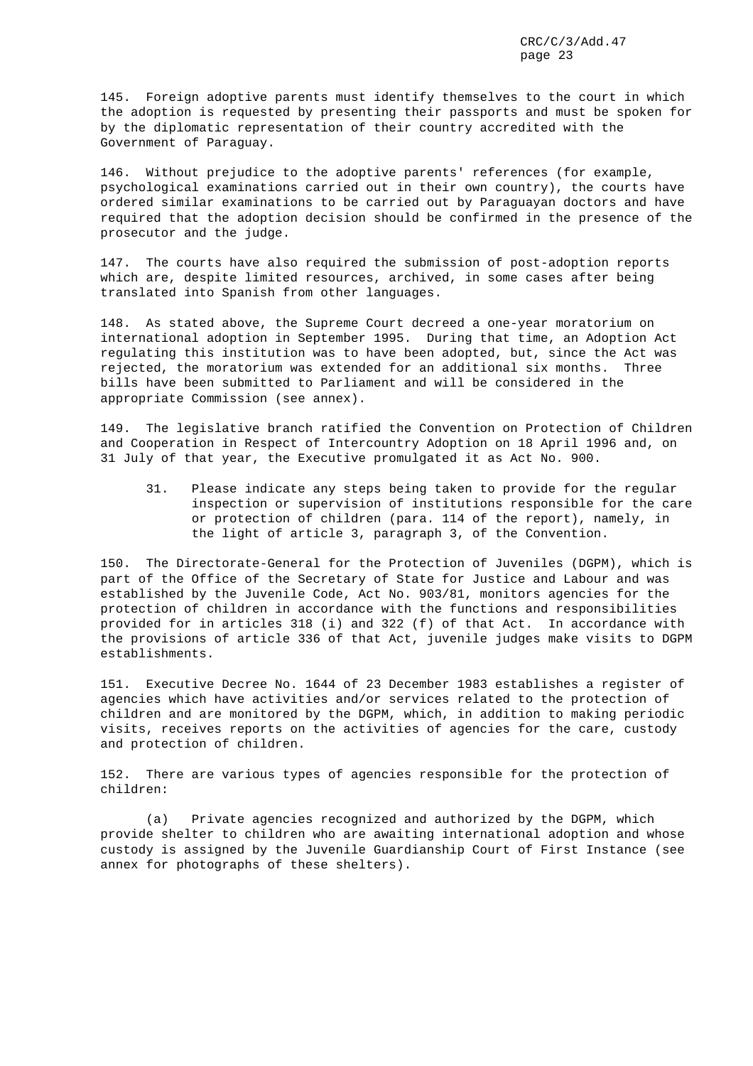145. Foreign adoptive parents must identify themselves to the court in which the adoption is requested by presenting their passports and must be spoken for by the diplomatic representation of their country accredited with the Government of Paraguay.

146. Without prejudice to the adoptive parents' references (for example, psychological examinations carried out in their own country), the courts have ordered similar examinations to be carried out by Paraguayan doctors and have required that the adoption decision should be confirmed in the presence of the prosecutor and the judge.

147. The courts have also required the submission of post-adoption reports which are, despite limited resources, archived, in some cases after being translated into Spanish from other languages.

148. As stated above, the Supreme Court decreed a one-year moratorium on international adoption in September 1995. During that time, an Adoption Act regulating this institution was to have been adopted, but, since the Act was rejected, the moratorium was extended for an additional six months. Three bills have been submitted to Parliament and will be considered in the appropriate Commission (see annex).

149. The legislative branch ratified the Convention on Protection of Children and Cooperation in Respect of Intercountry Adoption on 18 April 1996 and, on 31 July of that year, the Executive promulgated it as Act No. 900.

31. Please indicate any steps being taken to provide for the regular inspection or supervision of institutions responsible for the care or protection of children (para. 114 of the report), namely, in the light of article 3, paragraph 3, of the Convention.

150. The Directorate-General for the Protection of Juveniles (DGPM), which is part of the Office of the Secretary of State for Justice and Labour and was established by the Juvenile Code, Act No. 903/81, monitors agencies for the protection of children in accordance with the functions and responsibilities provided for in articles 318 (i) and 322 (f) of that Act. In accordance with the provisions of article 336 of that Act, juvenile judges make visits to DGPM establishments.

151. Executive Decree No. 1644 of 23 December 1983 establishes a register of agencies which have activities and/or services related to the protection of children and are monitored by the DGPM, which, in addition to making periodic visits, receives reports on the activities of agencies for the care, custody and protection of children.

152. There are various types of agencies responsible for the protection of children:

(a) Private agencies recognized and authorized by the DGPM, which provide shelter to children who are awaiting international adoption and whose custody is assigned by the Juvenile Guardianship Court of First Instance (see annex for photographs of these shelters).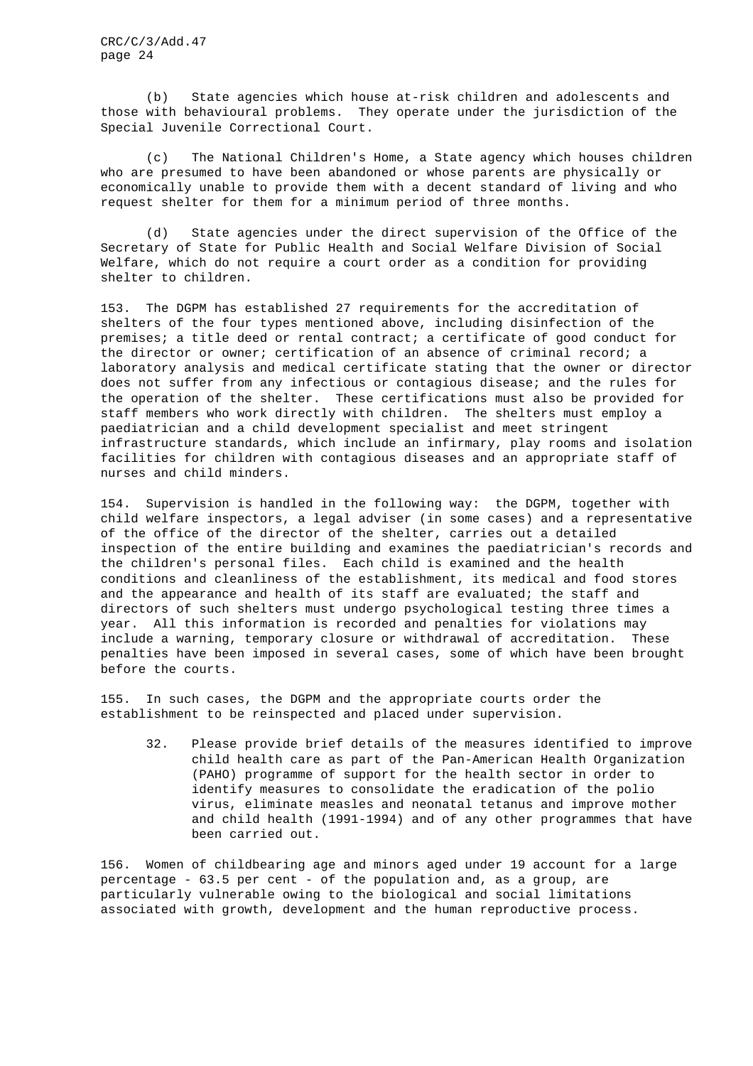(b) State agencies which house at-risk children and adolescents and those with behavioural problems. They operate under the jurisdiction of the Special Juvenile Correctional Court.

(c) The National Children's Home, a State agency which houses children who are presumed to have been abandoned or whose parents are physically or economically unable to provide them with a decent standard of living and who request shelter for them for a minimum period of three months.

(d) State agencies under the direct supervision of the Office of the Secretary of State for Public Health and Social Welfare Division of Social Welfare, which do not require a court order as a condition for providing shelter to children.

153. The DGPM has established 27 requirements for the accreditation of shelters of the four types mentioned above, including disinfection of the premises; a title deed or rental contract; a certificate of good conduct for the director or owner; certification of an absence of criminal record; a laboratory analysis and medical certificate stating that the owner or director does not suffer from any infectious or contagious disease; and the rules for the operation of the shelter. These certifications must also be provided for staff members who work directly with children. The shelters must employ a paediatrician and a child development specialist and meet stringent infrastructure standards, which include an infirmary, play rooms and isolation facilities for children with contagious diseases and an appropriate staff of nurses and child minders.

154. Supervision is handled in the following way: the DGPM, together with child welfare inspectors, a legal adviser (in some cases) and a representative of the office of the director of the shelter, carries out a detailed inspection of the entire building and examines the paediatrician's records and the children's personal files. Each child is examined and the health conditions and cleanliness of the establishment, its medical and food stores and the appearance and health of its staff are evaluated; the staff and directors of such shelters must undergo psychological testing three times a year. All this information is recorded and penalties for violations may include a warning, temporary closure or withdrawal of accreditation. These penalties have been imposed in several cases, some of which have been brought before the courts.

155. In such cases, the DGPM and the appropriate courts order the establishment to be reinspected and placed under supervision.

32. Please provide brief details of the measures identified to improve child health care as part of the Pan-American Health Organization (PAHO) programme of support for the health sector in order to identify measures to consolidate the eradication of the polio virus, eliminate measles and neonatal tetanus and improve mother and child health (1991-1994) and of any other programmes that have been carried out.

156. Women of childbearing age and minors aged under 19 account for a large percentage - 63.5 per cent - of the population and, as a group, are particularly vulnerable owing to the biological and social limitations associated with growth, development and the human reproductive process.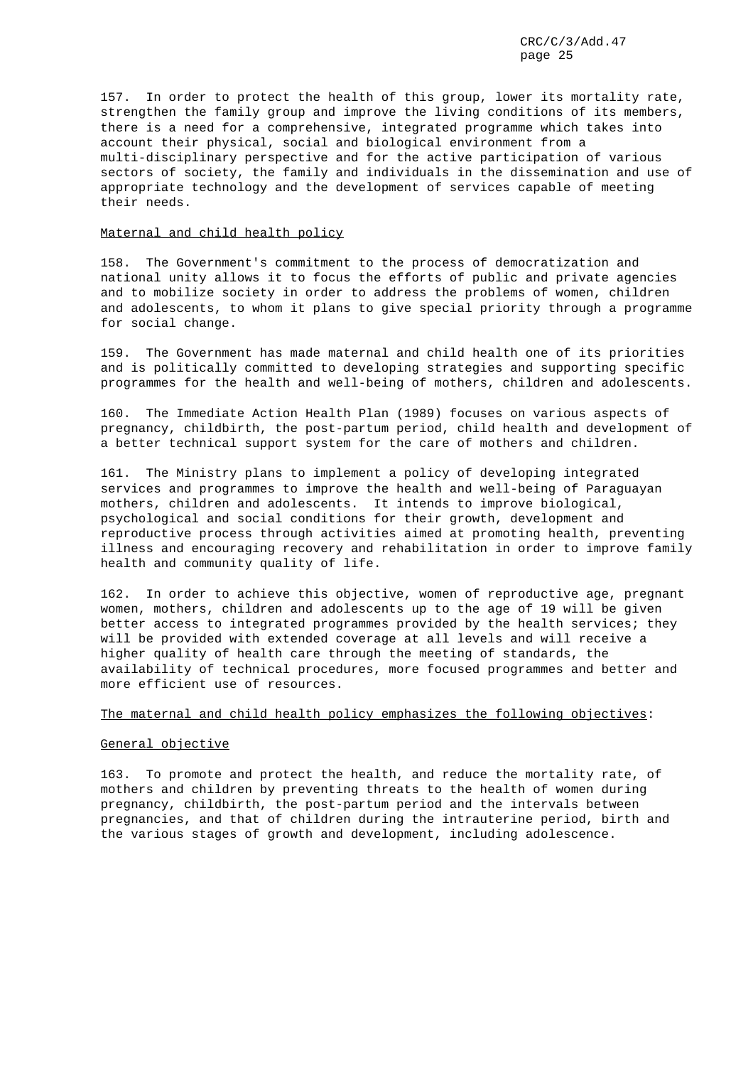157. In order to protect the health of this group, lower its mortality rate, strengthen the family group and improve the living conditions of its members, there is a need for a comprehensive, integrated programme which takes into account their physical, social and biological environment from a multi-disciplinary perspective and for the active participation of various sectors of society, the family and individuals in the dissemination and use of appropriate technology and the development of services capable of meeting their needs.

#### Maternal and child health policy

158. The Government's commitment to the process of democratization and national unity allows it to focus the efforts of public and private agencies and to mobilize society in order to address the problems of women, children and adolescents, to whom it plans to give special priority through a programme for social change.

159. The Government has made maternal and child health one of its priorities and is politically committed to developing strategies and supporting specific programmes for the health and well-being of mothers, children and adolescents.

160. The Immediate Action Health Plan (1989) focuses on various aspects of pregnancy, childbirth, the post-partum period, child health and development of a better technical support system for the care of mothers and children.

161. The Ministry plans to implement a policy of developing integrated services and programmes to improve the health and well-being of Paraguayan mothers, children and adolescents. It intends to improve biological, psychological and social conditions for their growth, development and reproductive process through activities aimed at promoting health, preventing illness and encouraging recovery and rehabilitation in order to improve family health and community quality of life.

162. In order to achieve this objective, women of reproductive age, pregnant women, mothers, children and adolescents up to the age of 19 will be given better access to integrated programmes provided by the health services; they will be provided with extended coverage at all levels and will receive a higher quality of health care through the meeting of standards, the availability of technical procedures, more focused programmes and better and more efficient use of resources.

# The maternal and child health policy emphasizes the following objectives:

#### General objective

163. To promote and protect the health, and reduce the mortality rate, of mothers and children by preventing threats to the health of women during pregnancy, childbirth, the post-partum period and the intervals between pregnancies, and that of children during the intrauterine period, birth and the various stages of growth and development, including adolescence.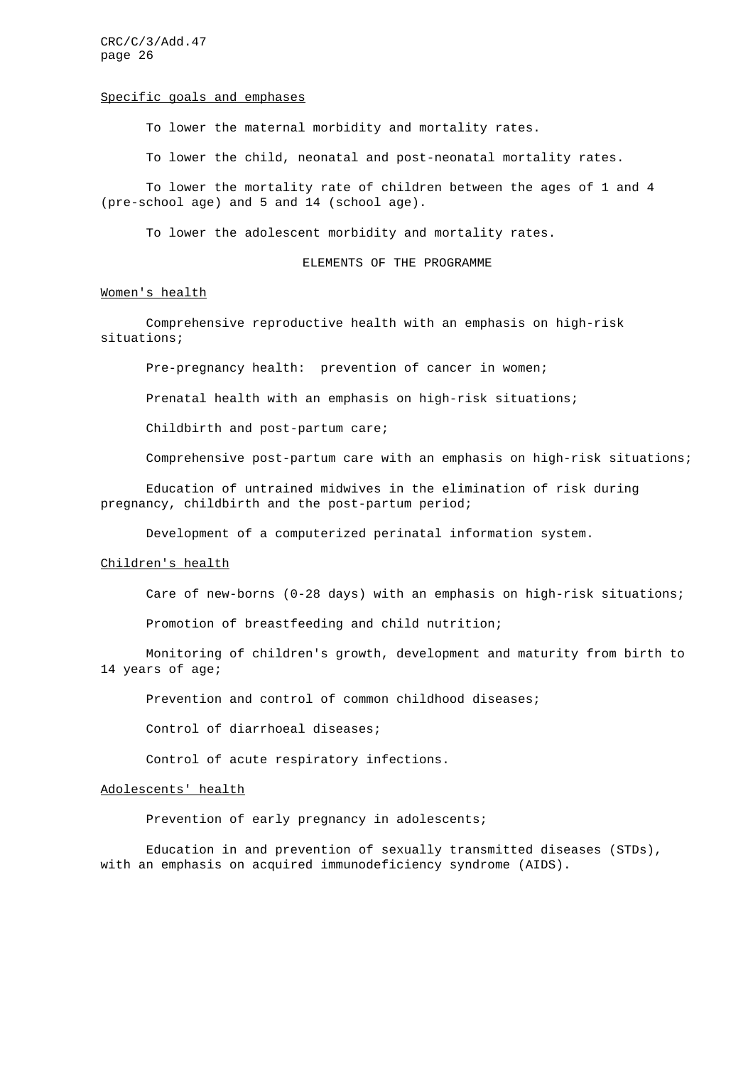#### Specific goals and emphases

To lower the maternal morbidity and mortality rates.

To lower the child, neonatal and post-neonatal mortality rates.

To lower the mortality rate of children between the ages of 1 and 4 (pre-school age) and 5 and 14 (school age).

To lower the adolescent morbidity and mortality rates.

#### ELEMENTS OF THE PROGRAMME

#### Women's health

Comprehensive reproductive health with an emphasis on high-risk situations;

Pre-pregnancy health: prevention of cancer in women;

Prenatal health with an emphasis on high-risk situations;

Childbirth and post-partum care;

Comprehensive post-partum care with an emphasis on high-risk situations;

Education of untrained midwives in the elimination of risk during pregnancy, childbirth and the post-partum period;

Development of a computerized perinatal information system.

## Children's health

Care of new-borns (0-28 days) with an emphasis on high-risk situations;

Promotion of breastfeeding and child nutrition;

Monitoring of children's growth, development and maturity from birth to 14 years of age;

Prevention and control of common childhood diseases;

Control of diarrhoeal diseases;

Control of acute respiratory infections.

# Adolescents' health

Prevention of early pregnancy in adolescents;

Education in and prevention of sexually transmitted diseases (STDs), with an emphasis on acquired immunodeficiency syndrome (AIDS).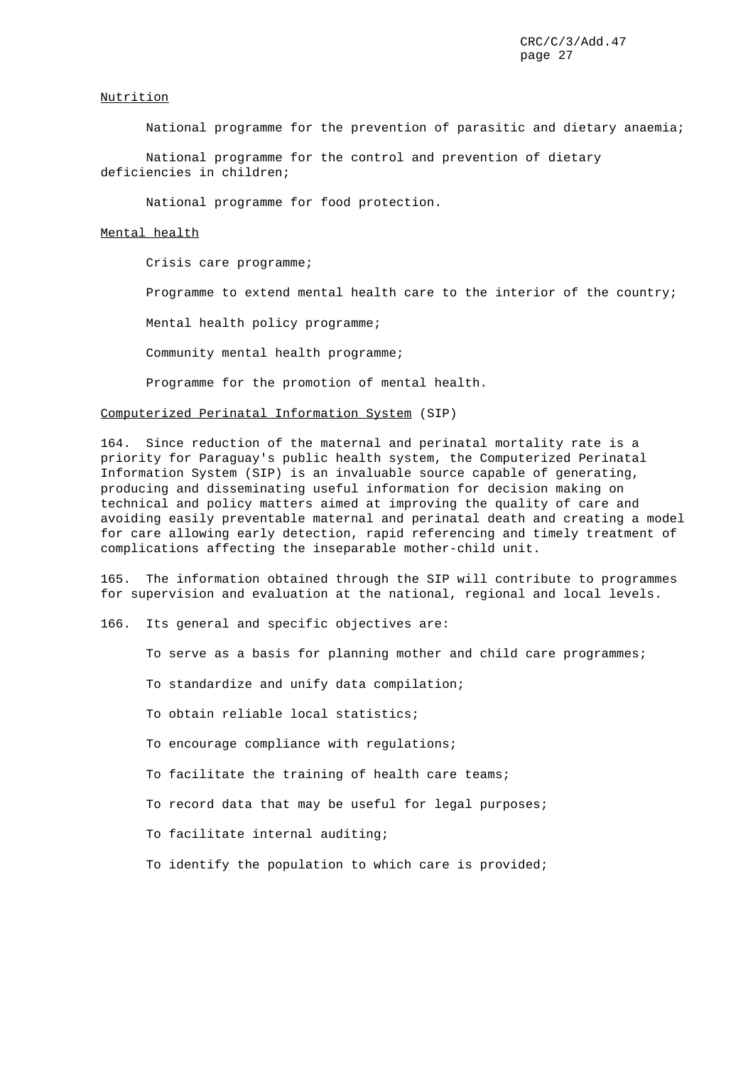# Nutrition

National programme for the prevention of parasitic and dietary anaemia;

National programme for the control and prevention of dietary deficiencies in children;

National programme for food protection.

# Mental health

Crisis care programme;

Programme to extend mental health care to the interior of the country;

Mental health policy programme;

Community mental health programme;

Programme for the promotion of mental health.

## Computerized Perinatal Information System (SIP)

164. Since reduction of the maternal and perinatal mortality rate is a priority for Paraguay's public health system, the Computerized Perinatal Information System (SIP) is an invaluable source capable of generating, producing and disseminating useful information for decision making on technical and policy matters aimed at improving the quality of care and avoiding easily preventable maternal and perinatal death and creating a model for care allowing early detection, rapid referencing and timely treatment of complications affecting the inseparable mother-child unit.

165. The information obtained through the SIP will contribute to programmes for supervision and evaluation at the national, regional and local levels.

166. Its general and specific objectives are:

To serve as a basis for planning mother and child care programmes;

To standardize and unify data compilation;

To obtain reliable local statistics;

To encourage compliance with regulations;

To facilitate the training of health care teams;

To record data that may be useful for legal purposes;

To facilitate internal auditing;

To identify the population to which care is provided;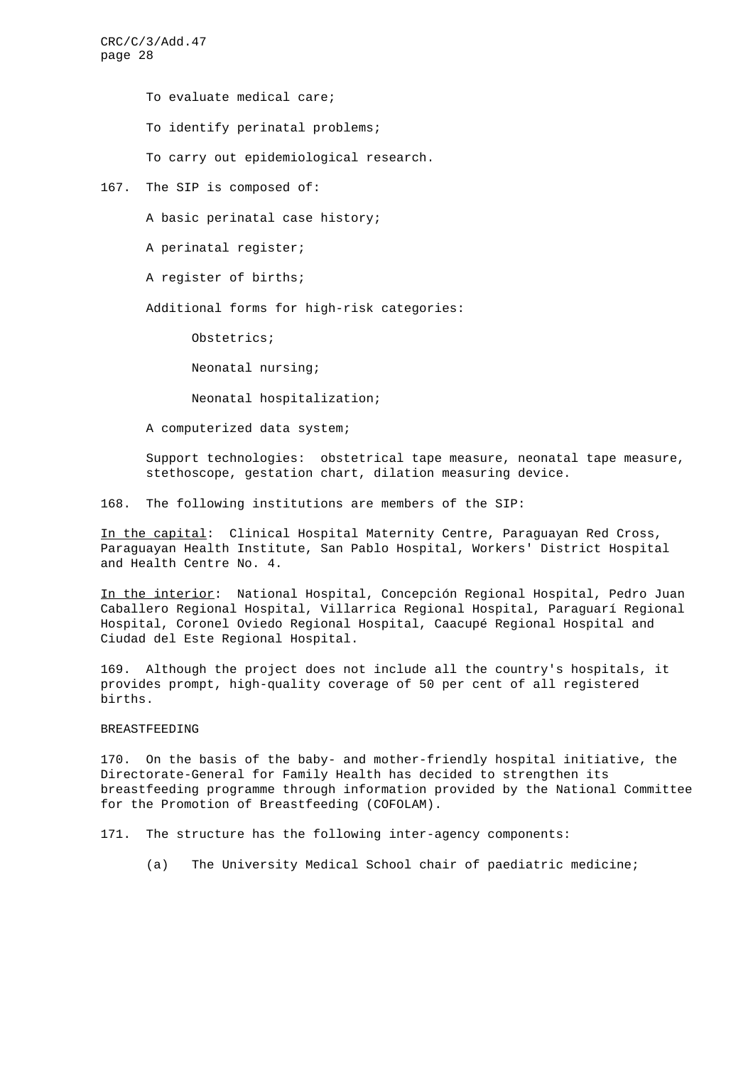> To evaluate medical care; To identify perinatal problems; To carry out epidemiological research.

167. The SIP is composed of:

A basic perinatal case history;

A perinatal register;

A register of births;

Additional forms for high-risk categories:

Obstetrics;

Neonatal nursing;

Neonatal hospitalization;

A computerized data system;

Support technologies: obstetrical tape measure, neonatal tape measure, stethoscope, gestation chart, dilation measuring device.

168. The following institutions are members of the SIP:

In the capital: Clinical Hospital Maternity Centre, Paraguayan Red Cross, Paraguayan Health Institute, San Pablo Hospital, Workers' District Hospital and Health Centre No. 4.

In the interior: National Hospital, Concepción Regional Hospital, Pedro Juan Caballero Regional Hospital, Villarrica Regional Hospital, Paraguarí Regional Hospital, Coronel Oviedo Regional Hospital, Caacupé Regional Hospital and Ciudad del Este Regional Hospital.

169. Although the project does not include all the country's hospitals, it provides prompt, high-quality coverage of 50 per cent of all registered births.

# BREASTFEEDING

170. On the basis of the baby- and mother-friendly hospital initiative, the Directorate-General for Family Health has decided to strengthen its breastfeeding programme through information provided by the National Committee for the Promotion of Breastfeeding (COFOLAM).

171. The structure has the following inter-agency components:

(a) The University Medical School chair of paediatric medicine;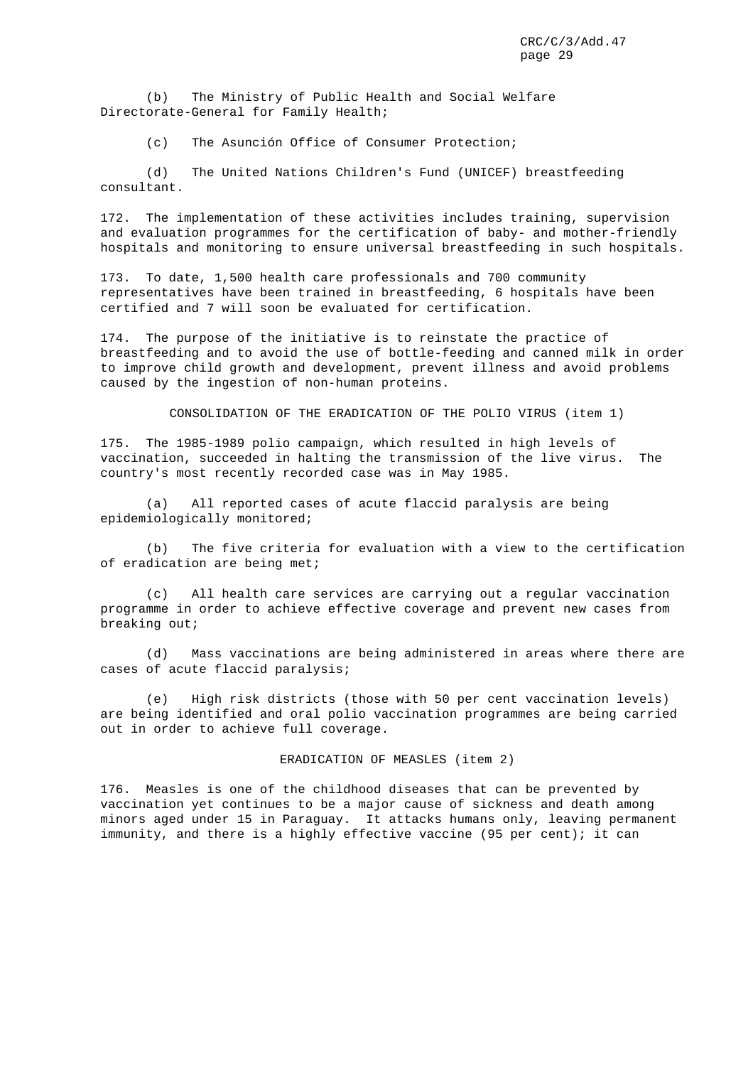(b) The Ministry of Public Health and Social Welfare Directorate-General for Family Health;

(c) The Asunción Office of Consumer Protection;

(d) The United Nations Children's Fund (UNICEF) breastfeeding consultant.

172. The implementation of these activities includes training, supervision and evaluation programmes for the certification of baby- and mother-friendly hospitals and monitoring to ensure universal breastfeeding in such hospitals.

173. To date, 1,500 health care professionals and 700 community representatives have been trained in breastfeeding, 6 hospitals have been certified and 7 will soon be evaluated for certification.

174. The purpose of the initiative is to reinstate the practice of breastfeeding and to avoid the use of bottle-feeding and canned milk in order to improve child growth and development, prevent illness and avoid problems caused by the ingestion of non-human proteins.

CONSOLIDATION OF THE ERADICATION OF THE POLIO VIRUS (item 1)

175. The 1985-1989 polio campaign, which resulted in high levels of vaccination, succeeded in halting the transmission of the live virus. The country's most recently recorded case was in May 1985.

(a) All reported cases of acute flaccid paralysis are being epidemiologically monitored;

(b) The five criteria for evaluation with a view to the certification of eradication are being met;

(c) All health care services are carrying out a regular vaccination programme in order to achieve effective coverage and prevent new cases from breaking out;

(d) Mass vaccinations are being administered in areas where there are cases of acute flaccid paralysis;

(e) High risk districts (those with 50 per cent vaccination levels) are being identified and oral polio vaccination programmes are being carried out in order to achieve full coverage.

ERADICATION OF MEASLES (item 2)

176. Measles is one of the childhood diseases that can be prevented by vaccination yet continues to be a major cause of sickness and death among minors aged under 15 in Paraguay. It attacks humans only, leaving permanent immunity, and there is a highly effective vaccine (95 per cent); it can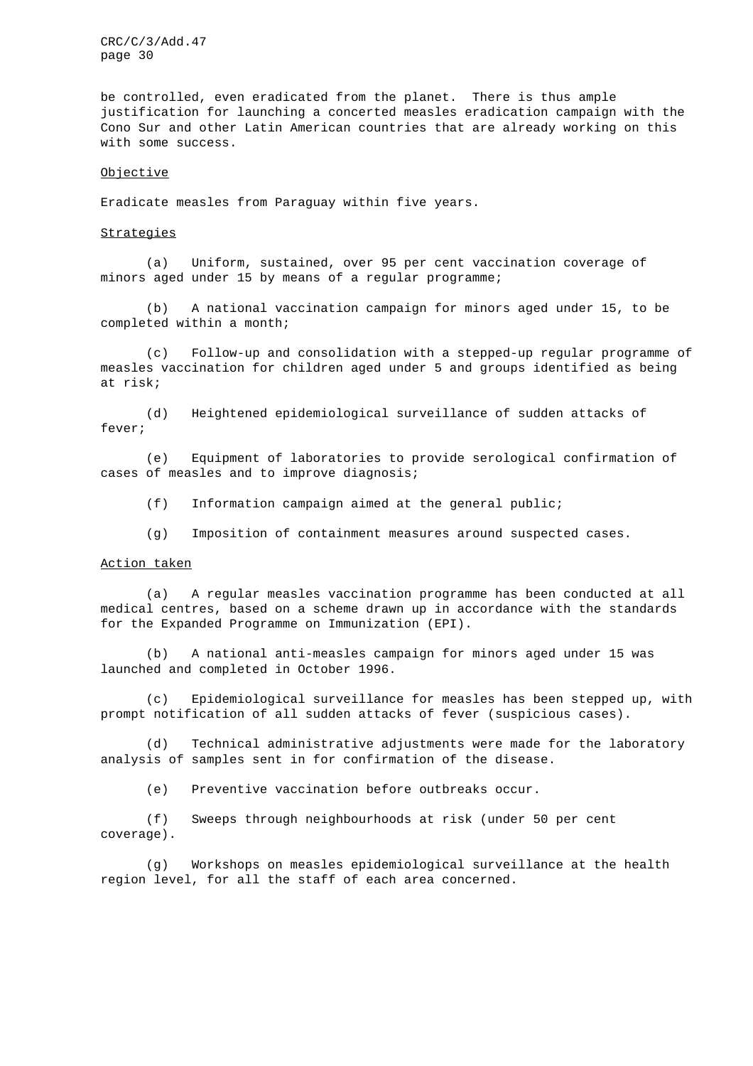be controlled, even eradicated from the planet. There is thus ample justification for launching a concerted measles eradication campaign with the Cono Sur and other Latin American countries that are already working on this with some success.

#### Objective

Eradicate measles from Paraguay within five years.

## **Strategies**

(a) Uniform, sustained, over 95 per cent vaccination coverage of minors aged under 15 by means of a regular programme;

(b) A national vaccination campaign for minors aged under 15, to be completed within a month;

(c) Follow-up and consolidation with a stepped-up regular programme of measles vaccination for children aged under 5 and groups identified as being at risk;

(d) Heightened epidemiological surveillance of sudden attacks of fever;

(e) Equipment of laboratories to provide serological confirmation of cases of measles and to improve diagnosis;

(f) Information campaign aimed at the general public;

(g) Imposition of containment measures around suspected cases.

#### Action taken

(a) A regular measles vaccination programme has been conducted at all medical centres, based on a scheme drawn up in accordance with the standards for the Expanded Programme on Immunization (EPI).

(b) A national anti-measles campaign for minors aged under 15 was launched and completed in October 1996.

(c) Epidemiological surveillance for measles has been stepped up, with prompt notification of all sudden attacks of fever (suspicious cases).

(d) Technical administrative adjustments were made for the laboratory analysis of samples sent in for confirmation of the disease.

(e) Preventive vaccination before outbreaks occur.

(f) Sweeps through neighbourhoods at risk (under 50 per cent coverage).

(g) Workshops on measles epidemiological surveillance at the health region level, for all the staff of each area concerned.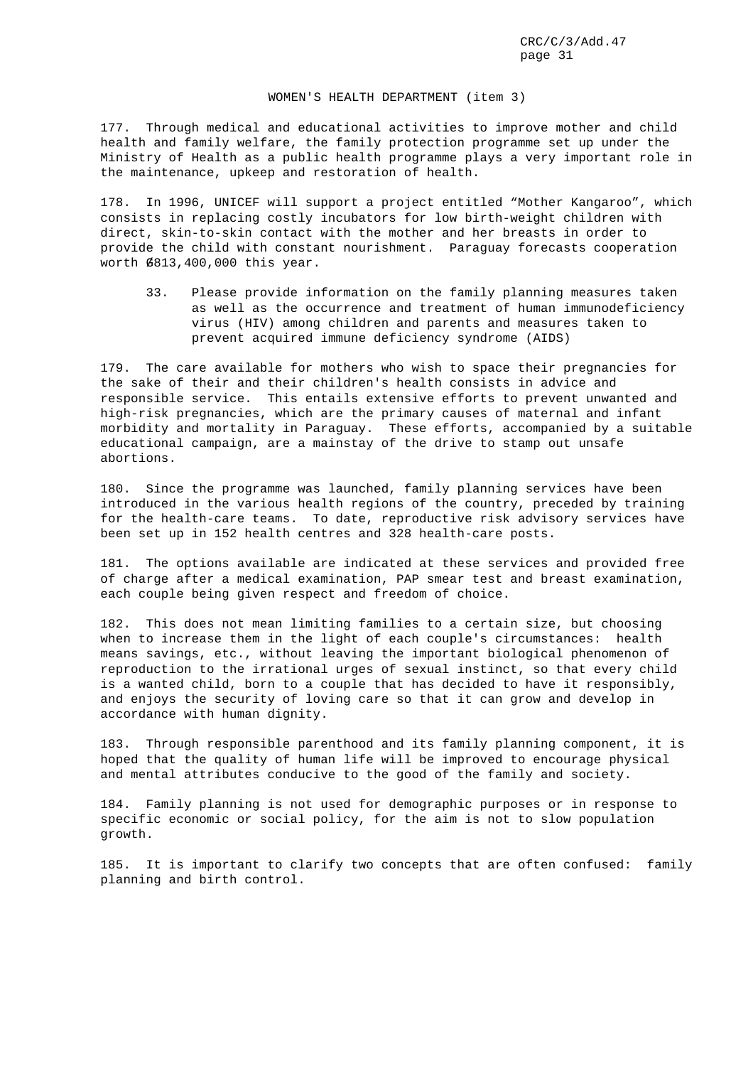#### WOMEN'S HEALTH DEPARTMENT (item 3)

177. Through medical and educational activities to improve mother and child health and family welfare, the family protection programme set up under the Ministry of Health as a public health programme plays a very important role in the maintenance, upkeep and restoration of health.

178. In 1996, UNICEF will support a project entitled "Mother Kangaroo", which consists in replacing costly incubators for low birth-weight children with direct, skin-to-skin contact with the mother and her breasts in order to provide the child with constant nourishment. Paraguay forecasts cooperation worth G/813,400,000 this year.

33. Please provide information on the family planning measures taken as well as the occurrence and treatment of human immunodeficiency virus (HIV) among children and parents and measures taken to prevent acquired immune deficiency syndrome (AIDS)

179. The care available for mothers who wish to space their pregnancies for the sake of their and their children's health consists in advice and responsible service. This entails extensive efforts to prevent unwanted and high-risk pregnancies, which are the primary causes of maternal and infant morbidity and mortality in Paraguay. These efforts, accompanied by a suitable educational campaign, are a mainstay of the drive to stamp out unsafe abortions.

180. Since the programme was launched, family planning services have been introduced in the various health regions of the country, preceded by training for the health-care teams. To date, reproductive risk advisory services have been set up in 152 health centres and 328 health-care posts.

181. The options available are indicated at these services and provided free of charge after a medical examination, PAP smear test and breast examination, each couple being given respect and freedom of choice.

182. This does not mean limiting families to a certain size, but choosing when to increase them in the light of each couple's circumstances: health means savings, etc., without leaving the important biological phenomenon of reproduction to the irrational urges of sexual instinct, so that every child is a wanted child, born to a couple that has decided to have it responsibly, and enjoys the security of loving care so that it can grow and develop in accordance with human dignity.

183. Through responsible parenthood and its family planning component, it is hoped that the quality of human life will be improved to encourage physical and mental attributes conducive to the good of the family and society.

184. Family planning is not used for demographic purposes or in response to specific economic or social policy, for the aim is not to slow population growth.

185. It is important to clarify two concepts that are often confused: family planning and birth control.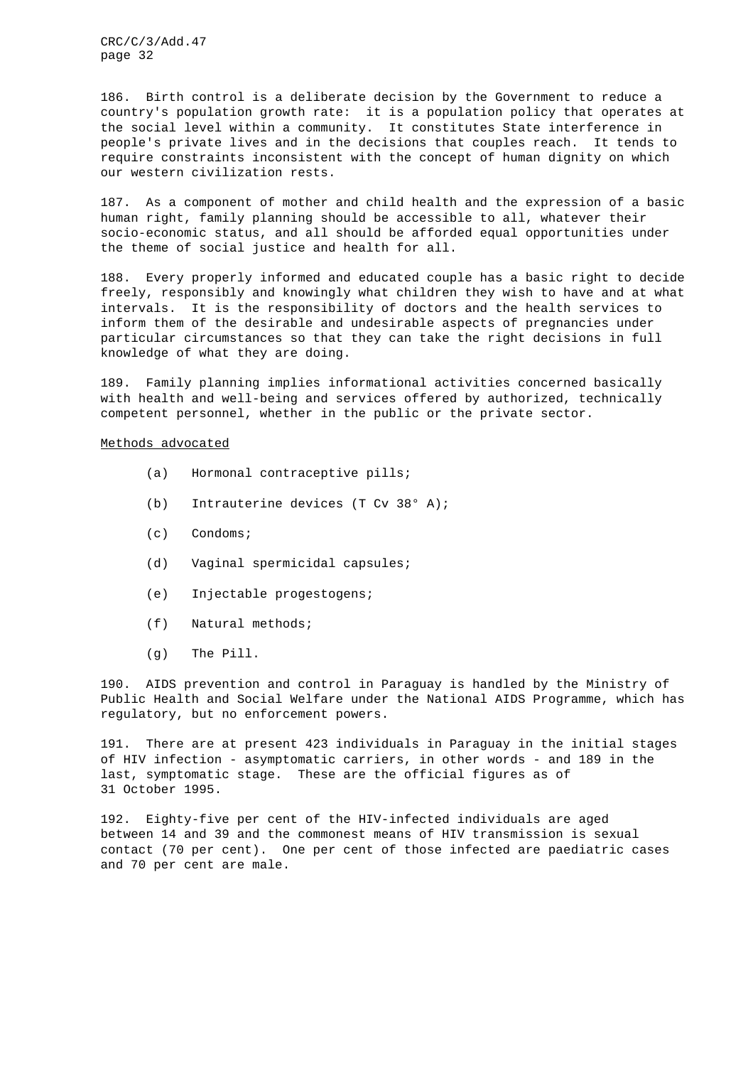186. Birth control is a deliberate decision by the Government to reduce a country's population growth rate: it is a population policy that operates at the social level within a community. It constitutes State interference in people's private lives and in the decisions that couples reach. It tends to require constraints inconsistent with the concept of human dignity on which our western civilization rests.

187. As a component of mother and child health and the expression of a basic human right, family planning should be accessible to all, whatever their socio-economic status, and all should be afforded equal opportunities under the theme of social justice and health for all.

188. Every properly informed and educated couple has a basic right to decide freely, responsibly and knowingly what children they wish to have and at what intervals. It is the responsibility of doctors and the health services to inform them of the desirable and undesirable aspects of pregnancies under particular circumstances so that they can take the right decisions in full knowledge of what they are doing.

189. Family planning implies informational activities concerned basically with health and well-being and services offered by authorized, technically competent personnel, whether in the public or the private sector.

#### Methods advocated

- (a) Hormonal contraceptive pills;
- (b) Intrauterine devices (T Cv 38° A);
- (c) Condoms;
- (d) Vaginal spermicidal capsules;
- (e) Injectable progestogens;
- (f) Natural methods;
- (g) The Pill.

190. AIDS prevention and control in Paraguay is handled by the Ministry of Public Health and Social Welfare under the National AIDS Programme, which has regulatory, but no enforcement powers.

191. There are at present 423 individuals in Paraguay in the initial stages of HIV infection - asymptomatic carriers, in other words - and 189 in the last, symptomatic stage. These are the official figures as of 31 October 1995.

192. Eighty-five per cent of the HIV-infected individuals are aged between 14 and 39 and the commonest means of HIV transmission is sexual contact (70 per cent). One per cent of those infected are paediatric cases and 70 per cent are male.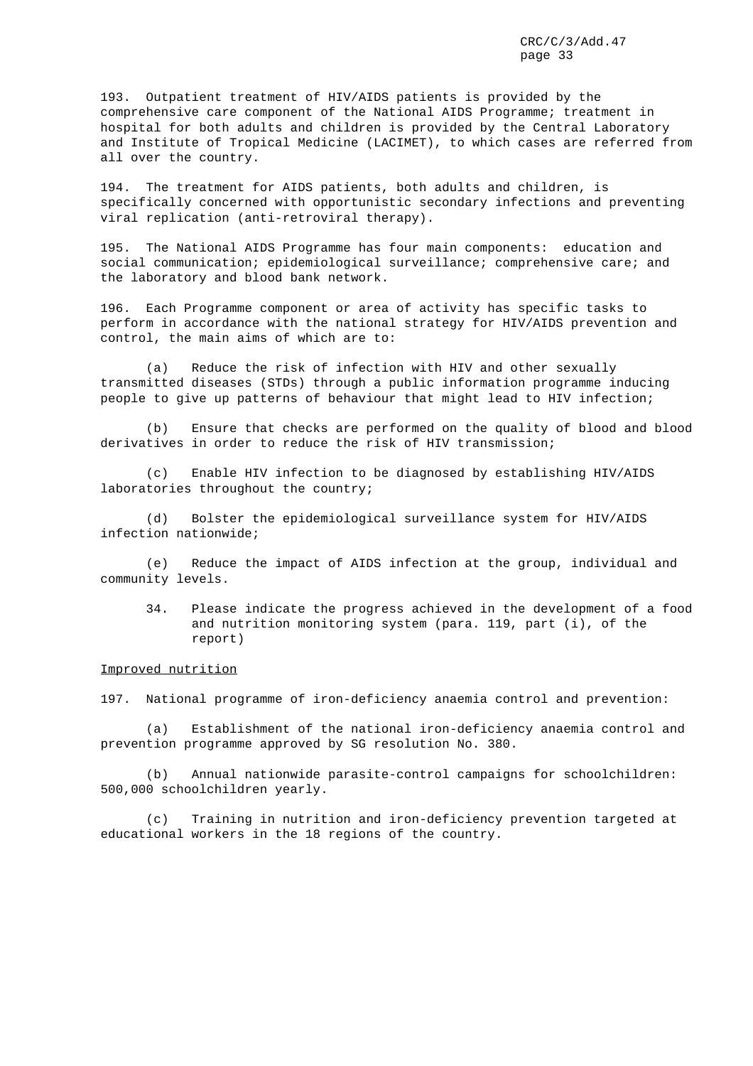193. Outpatient treatment of HIV/AIDS patients is provided by the comprehensive care component of the National AIDS Programme; treatment in hospital for both adults and children is provided by the Central Laboratory and Institute of Tropical Medicine (LACIMET), to which cases are referred from all over the country.

194. The treatment for AIDS patients, both adults and children, is specifically concerned with opportunistic secondary infections and preventing viral replication (anti-retroviral therapy).

195. The National AIDS Programme has four main components: education and social communication; epidemiological surveillance; comprehensive care; and the laboratory and blood bank network.

196. Each Programme component or area of activity has specific tasks to perform in accordance with the national strategy for HIV/AIDS prevention and control, the main aims of which are to:

(a) Reduce the risk of infection with HIV and other sexually transmitted diseases (STDs) through a public information programme inducing people to give up patterns of behaviour that might lead to HIV infection;

(b) Ensure that checks are performed on the quality of blood and blood derivatives in order to reduce the risk of HIV transmission;

(c) Enable HIV infection to be diagnosed by establishing HIV/AIDS laboratories throughout the country;

(d) Bolster the epidemiological surveillance system for HIV/AIDS infection nationwide;

(e) Reduce the impact of AIDS infection at the group, individual and community levels.

34. Please indicate the progress achieved in the development of a food and nutrition monitoring system (para. 119, part (i), of the report)

Improved nutrition

197. National programme of iron-deficiency anaemia control and prevention:

(a) Establishment of the national iron-deficiency anaemia control and prevention programme approved by SG resolution No. 380.

(b) Annual nationwide parasite-control campaigns for schoolchildren: 500,000 schoolchildren yearly.

(c) Training in nutrition and iron-deficiency prevention targeted at educational workers in the 18 regions of the country.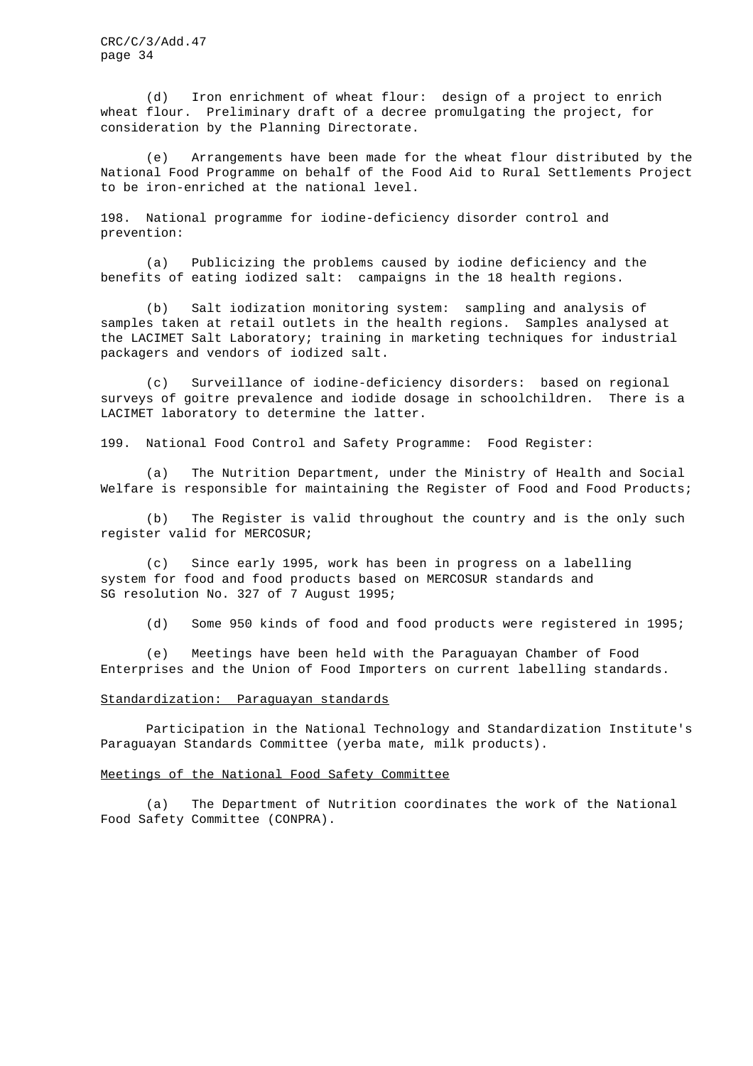(d) Iron enrichment of wheat flour: design of a project to enrich wheat flour. Preliminary draft of a decree promulgating the project, for consideration by the Planning Directorate.

(e) Arrangements have been made for the wheat flour distributed by the National Food Programme on behalf of the Food Aid to Rural Settlements Project to be iron-enriched at the national level.

198. National programme for iodine-deficiency disorder control and prevention:

(a) Publicizing the problems caused by iodine deficiency and the benefits of eating iodized salt: campaigns in the 18 health regions.

(b) Salt iodization monitoring system: sampling and analysis of samples taken at retail outlets in the health regions. Samples analysed at the LACIMET Salt Laboratory; training in marketing techniques for industrial packagers and vendors of iodized salt.

(c) Surveillance of iodine-deficiency disorders: based on regional surveys of goitre prevalence and iodide dosage in schoolchildren. There is a LACIMET laboratory to determine the latter.

199. National Food Control and Safety Programme: Food Register:

(a) The Nutrition Department, under the Ministry of Health and Social Welfare is responsible for maintaining the Register of Food and Food Products;

(b) The Register is valid throughout the country and is the only such register valid for MERCOSUR;

(c) Since early 1995, work has been in progress on a labelling system for food and food products based on MERCOSUR standards and SG resolution No. 327 of 7 August 1995;

(d) Some 950 kinds of food and food products were registered in 1995;

(e) Meetings have been held with the Paraguayan Chamber of Food Enterprises and the Union of Food Importers on current labelling standards.

#### Standardization: Paraguayan standards

Participation in the National Technology and Standardization Institute's Paraguayan Standards Committee (yerba mate, milk products).

## Meetings of the National Food Safety Committee

(a) The Department of Nutrition coordinates the work of the National Food Safety Committee (CONPRA).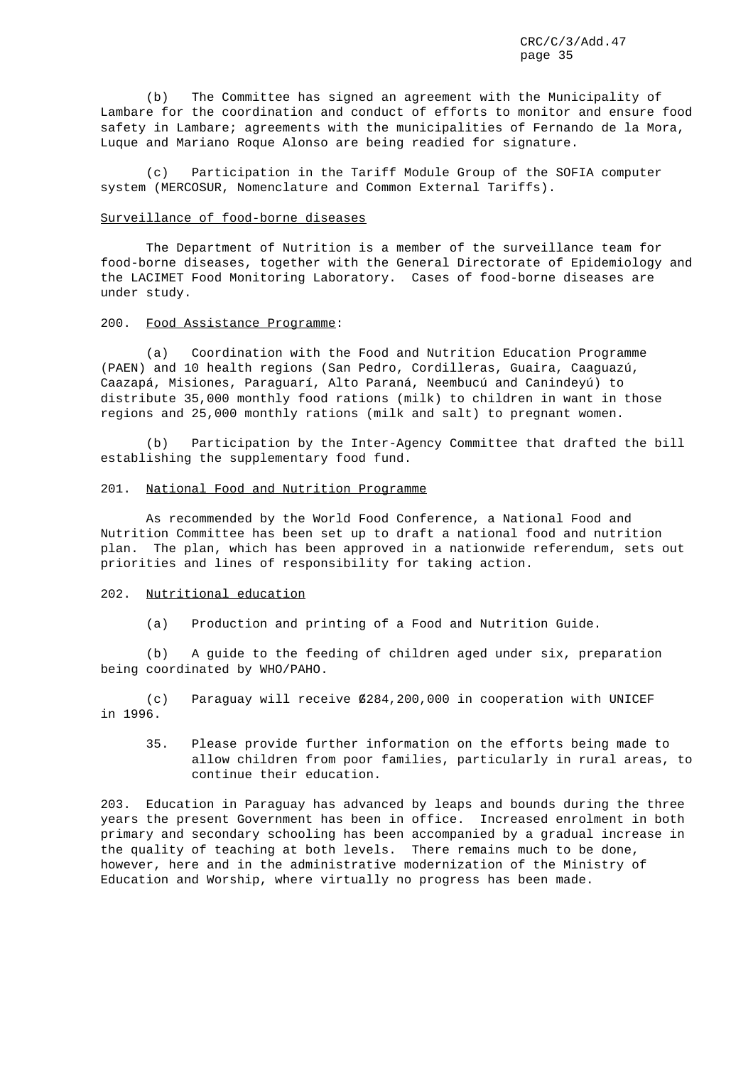(b) The Committee has signed an agreement with the Municipality of Lambare for the coordination and conduct of efforts to monitor and ensure food safety in Lambare; agreements with the municipalities of Fernando de la Mora, Luque and Mariano Roque Alonso are being readied for signature.

(c) Participation in the Tariff Module Group of the SOFIA computer system (MERCOSUR, Nomenclature and Common External Tariffs).

# Surveillance of food-borne diseases

The Department of Nutrition is a member of the surveillance team for food-borne diseases, together with the General Directorate of Epidemiology and the LACIMET Food Monitoring Laboratory. Cases of food-borne diseases are under study.

#### 200. Food Assistance Programme:

(a) Coordination with the Food and Nutrition Education Programme (PAEN) and 10 health regions (San Pedro, Cordilleras, Guaira, Caaguazú, Caazapá, Misiones, Paraguarí, Alto Paraná, Neembucú and Canindeyú) to distribute 35,000 monthly food rations (milk) to children in want in those regions and 25,000 monthly rations (milk and salt) to pregnant women.

(b) Participation by the Inter-Agency Committee that drafted the bill establishing the supplementary food fund.

#### 201. National Food and Nutrition Programme

As recommended by the World Food Conference, a National Food and Nutrition Committee has been set up to draft a national food and nutrition plan. The plan, which has been approved in a nationwide referendum, sets out priorities and lines of responsibility for taking action.

# 202. Nutritional education

(a) Production and printing of a Food and Nutrition Guide.

(b) A guide to the feeding of children aged under six, preparation being coordinated by WHO/PAHO.

(c) Paraguay will receive G/284,200,000 in cooperation with UNICEF in 1996.

35. Please provide further information on the efforts being made to allow children from poor families, particularly in rural areas, to continue their education.

203. Education in Paraguay has advanced by leaps and bounds during the three years the present Government has been in office. Increased enrolment in both primary and secondary schooling has been accompanied by a gradual increase in the quality of teaching at both levels. There remains much to be done, however, here and in the administrative modernization of the Ministry of Education and Worship, where virtually no progress has been made.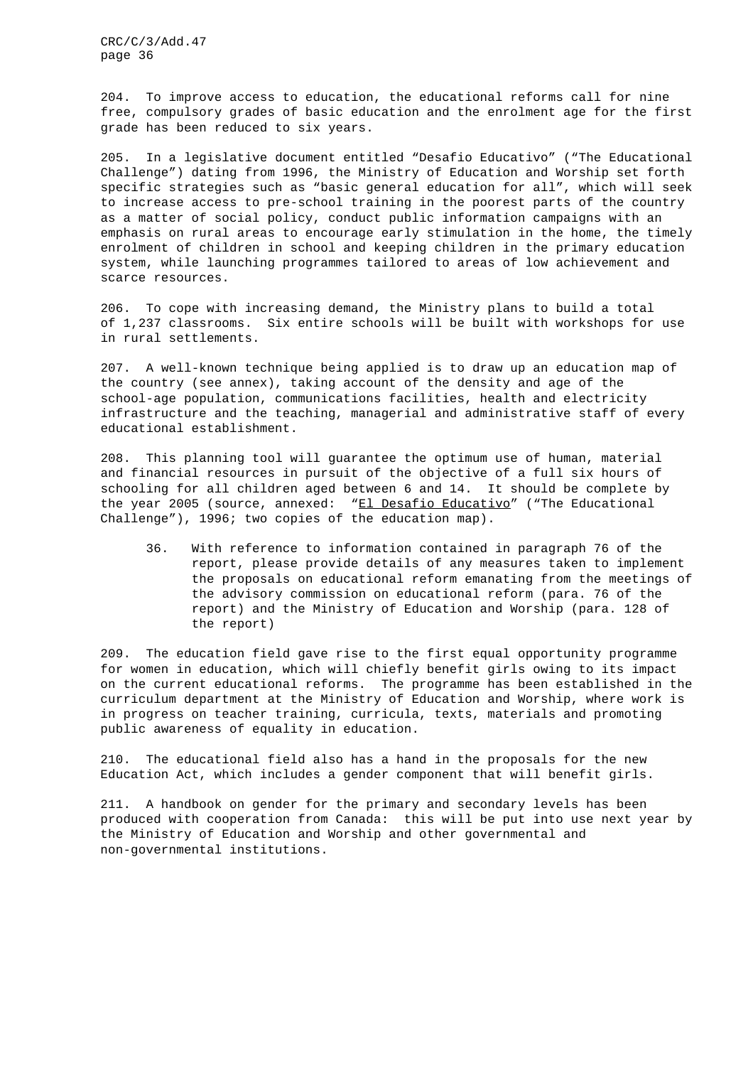204. To improve access to education, the educational reforms call for nine free, compulsory grades of basic education and the enrolment age for the first grade has been reduced to six years.

205. In a legislative document entitled "Desafio Educativo" ("The Educational Challenge") dating from 1996, the Ministry of Education and Worship set forth specific strategies such as "basic general education for all", which will seek to increase access to pre-school training in the poorest parts of the country as a matter of social policy, conduct public information campaigns with an emphasis on rural areas to encourage early stimulation in the home, the timely enrolment of children in school and keeping children in the primary education system, while launching programmes tailored to areas of low achievement and scarce resources.

206. To cope with increasing demand, the Ministry plans to build a total of 1,237 classrooms. Six entire schools will be built with workshops for use in rural settlements.

207. A well-known technique being applied is to draw up an education map of the country (see annex), taking account of the density and age of the school-age population, communications facilities, health and electricity infrastructure and the teaching, managerial and administrative staff of every educational establishment.

208. This planning tool will guarantee the optimum use of human, material and financial resources in pursuit of the objective of a full six hours of schooling for all children aged between 6 and 14. It should be complete by the year 2005 (source, annexed: "El Desafio Educativo" ("The Educational Challenge"), 1996; two copies of the education map).

36. With reference to information contained in paragraph 76 of the report, please provide details of any measures taken to implement the proposals on educational reform emanating from the meetings of the advisory commission on educational reform (para. 76 of the report) and the Ministry of Education and Worship (para. 128 of the report)

209. The education field gave rise to the first equal opportunity programme for women in education, which will chiefly benefit girls owing to its impact on the current educational reforms. The programme has been established in the curriculum department at the Ministry of Education and Worship, where work is in progress on teacher training, curricula, texts, materials and promoting public awareness of equality in education.

210. The educational field also has a hand in the proposals for the new Education Act, which includes a gender component that will benefit girls.

211. A handbook on gender for the primary and secondary levels has been produced with cooperation from Canada: this will be put into use next year by the Ministry of Education and Worship and other governmental and non-governmental institutions.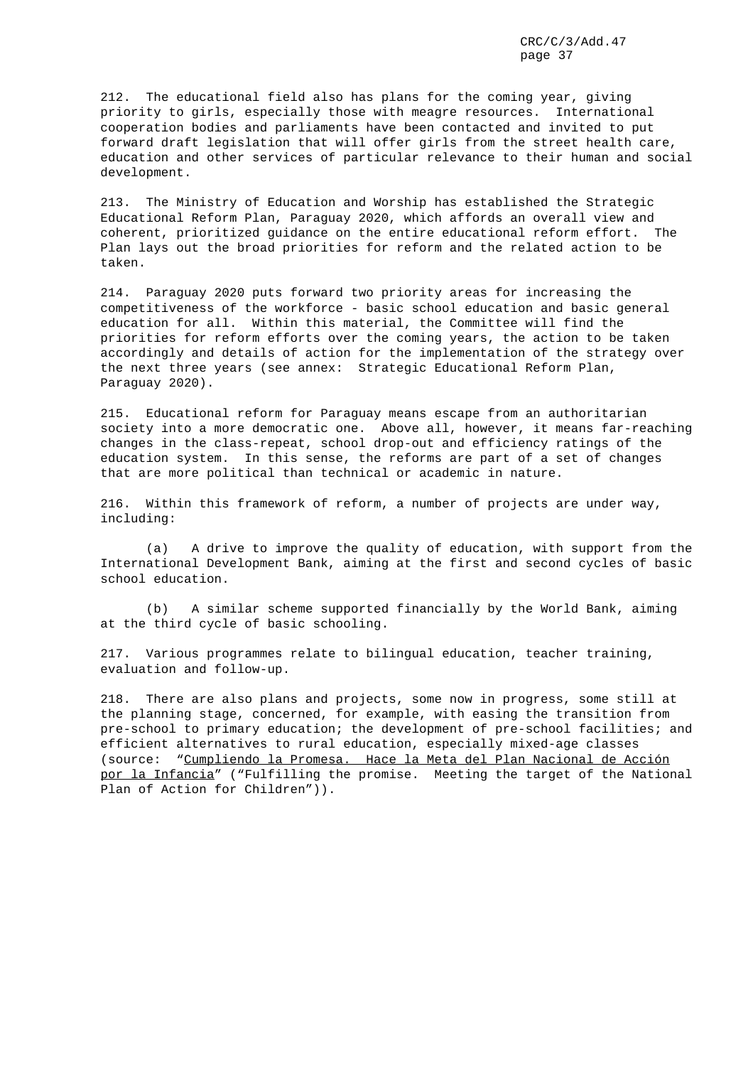212. The educational field also has plans for the coming year, giving priority to girls, especially those with meagre resources. International cooperation bodies and parliaments have been contacted and invited to put forward draft legislation that will offer girls from the street health care, education and other services of particular relevance to their human and social development.

213. The Ministry of Education and Worship has established the Strategic Educational Reform Plan, Paraguay 2020, which affords an overall view and coherent, prioritized guidance on the entire educational reform effort. The Plan lays out the broad priorities for reform and the related action to be taken.

214. Paraguay 2020 puts forward two priority areas for increasing the competitiveness of the workforce - basic school education and basic general education for all. Within this material, the Committee will find the priorities for reform efforts over the coming years, the action to be taken accordingly and details of action for the implementation of the strategy over the next three years (see annex: Strategic Educational Reform Plan, Paraguay 2020).

215. Educational reform for Paraguay means escape from an authoritarian society into a more democratic one. Above all, however, it means far-reaching changes in the class-repeat, school drop-out and efficiency ratings of the education system. In this sense, the reforms are part of a set of changes that are more political than technical or academic in nature.

216. Within this framework of reform, a number of projects are under way, including:

(a) A drive to improve the quality of education, with support from the International Development Bank, aiming at the first and second cycles of basic school education.

(b) A similar scheme supported financially by the World Bank, aiming at the third cycle of basic schooling.

217. Various programmes relate to bilingual education, teacher training, evaluation and follow-up.

218. There are also plans and projects, some now in progress, some still at the planning stage, concerned, for example, with easing the transition from pre-school to primary education; the development of pre-school facilities; and efficient alternatives to rural education, especially mixed-age classes (source: "Cumpliendo la Promesa. Hace la Meta del Plan Nacional de Acción por la Infancia" ("Fulfilling the promise. Meeting the target of the National Plan of Action for Children")).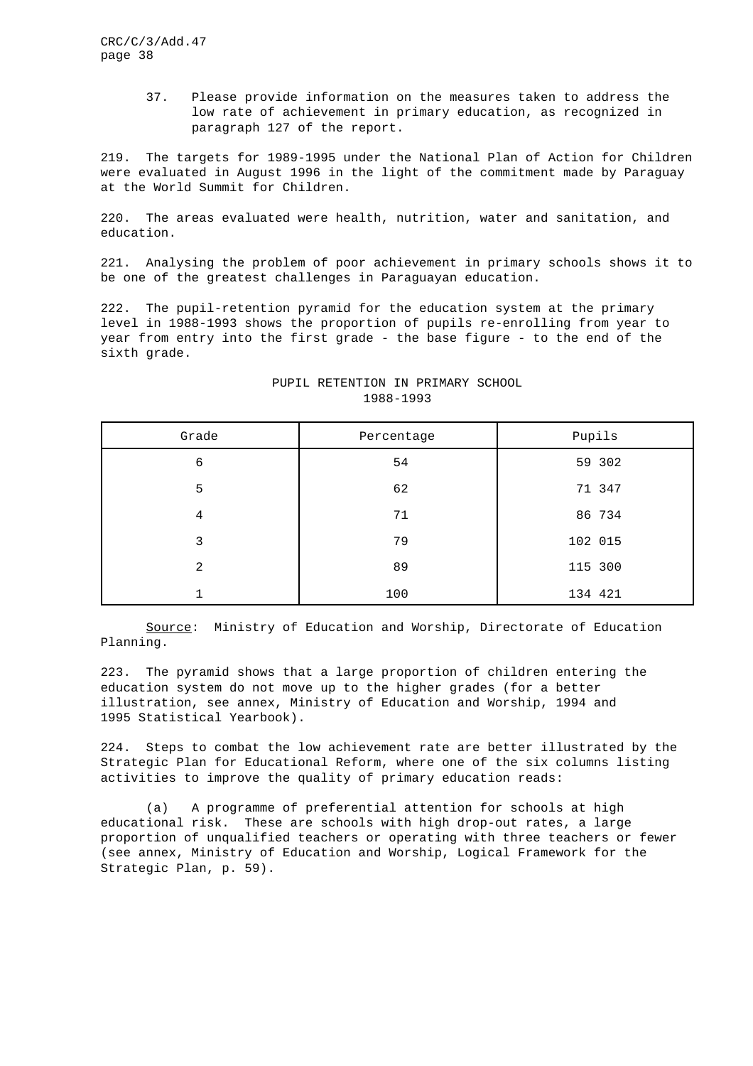> 37. Please provide information on the measures taken to address the low rate of achievement in primary education, as recognized in paragraph 127 of the report.

219. The targets for 1989-1995 under the National Plan of Action for Children were evaluated in August 1996 in the light of the commitment made by Paraguay at the World Summit for Children.

220. The areas evaluated were health, nutrition, water and sanitation, and education.

221. Analysing the problem of poor achievement in primary schools shows it to be one of the greatest challenges in Paraguayan education.

222. The pupil-retention pyramid for the education system at the primary level in 1988-1993 shows the proportion of pupils re-enrolling from year to year from entry into the first grade - the base figure - to the end of the sixth grade.

| Grade        | Percentage | Pupils  |
|--------------|------------|---------|
| 6            | 54         | 59 302  |
| 5            | 62         | 71 347  |
| 4            | 71         | 86 734  |
| 3            | 79         | 102 015 |
| 2            | 89         | 115 300 |
| $\mathbf{1}$ | 100        | 134 421 |

# PUPIL RETENTION IN PRIMARY SCHOOL 1988-1993

Source: Ministry of Education and Worship, Directorate of Education Planning.

223. The pyramid shows that a large proportion of children entering the education system do not move up to the higher grades (for a better illustration, see annex, Ministry of Education and Worship, 1994 and 1995 Statistical Yearbook).

224. Steps to combat the low achievement rate are better illustrated by the Strategic Plan for Educational Reform, where one of the six columns listing activities to improve the quality of primary education reads:

(a) A programme of preferential attention for schools at high educational risk. These are schools with high drop-out rates, a large proportion of unqualified teachers or operating with three teachers or fewer (see annex, Ministry of Education and Worship, Logical Framework for the Strategic Plan, p. 59).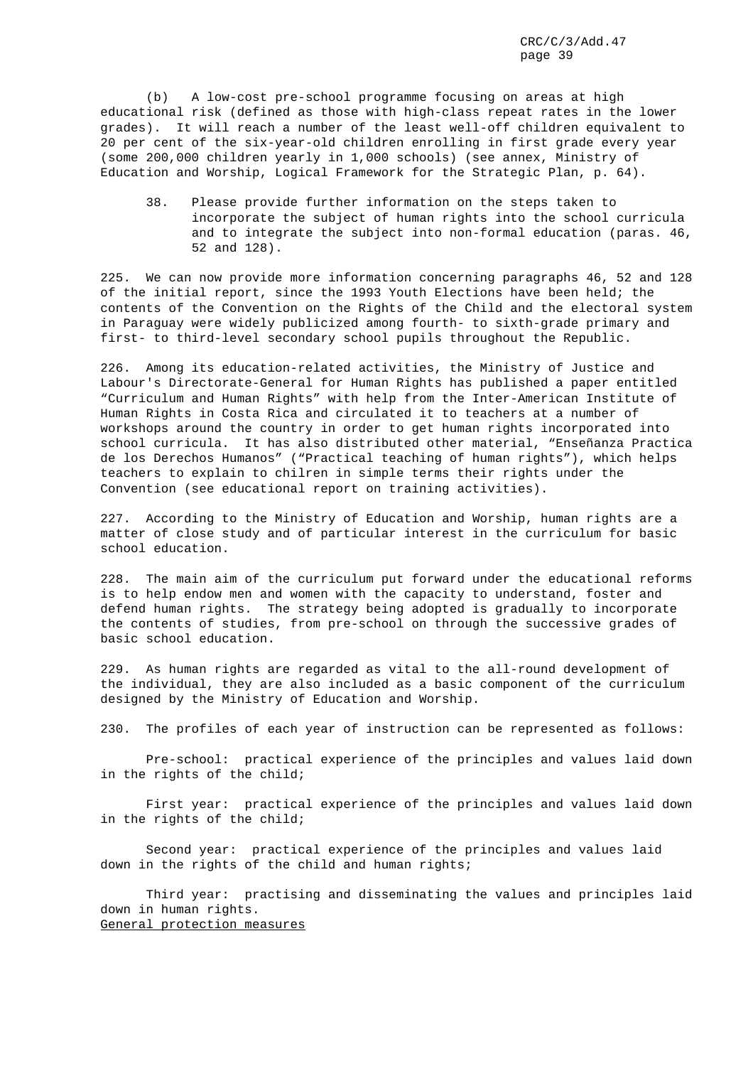(b) A low-cost pre-school programme focusing on areas at high educational risk (defined as those with high-class repeat rates in the lower grades). It will reach a number of the least well-off children equivalent to 20 per cent of the six-year-old children enrolling in first grade every year (some 200,000 children yearly in 1,000 schools) (see annex, Ministry of Education and Worship, Logical Framework for the Strategic Plan, p. 64).

38. Please provide further information on the steps taken to incorporate the subject of human rights into the school curricula and to integrate the subject into non-formal education (paras. 46, 52 and 128).

225. We can now provide more information concerning paragraphs 46, 52 and 128 of the initial report, since the 1993 Youth Elections have been held; the contents of the Convention on the Rights of the Child and the electoral system in Paraguay were widely publicized among fourth- to sixth-grade primary and first- to third-level secondary school pupils throughout the Republic.

226. Among its education-related activities, the Ministry of Justice and Labour's Directorate-General for Human Rights has published a paper entitled "Curriculum and Human Rights" with help from the Inter-American Institute of Human Rights in Costa Rica and circulated it to teachers at a number of workshops around the country in order to get human rights incorporated into school curricula. It has also distributed other material, "Enseñanza Practica de los Derechos Humanos" ("Practical teaching of human rights"), which helps teachers to explain to chilren in simple terms their rights under the Convention (see educational report on training activities).

227. According to the Ministry of Education and Worship, human rights are a matter of close study and of particular interest in the curriculum for basic school education.

228. The main aim of the curriculum put forward under the educational reforms is to help endow men and women with the capacity to understand, foster and defend human rights. The strategy being adopted is gradually to incorporate the contents of studies, from pre-school on through the successive grades of basic school education.

229. As human rights are regarded as vital to the all-round development of the individual, they are also included as a basic component of the curriculum designed by the Ministry of Education and Worship.

230. The profiles of each year of instruction can be represented as follows:

Pre-school: practical experience of the principles and values laid down in the rights of the child;

First year: practical experience of the principles and values laid down in the rights of the child;

Second year: practical experience of the principles and values laid down in the rights of the child and human rights;

Third year: practising and disseminating the values and principles laid down in human rights. General protection measures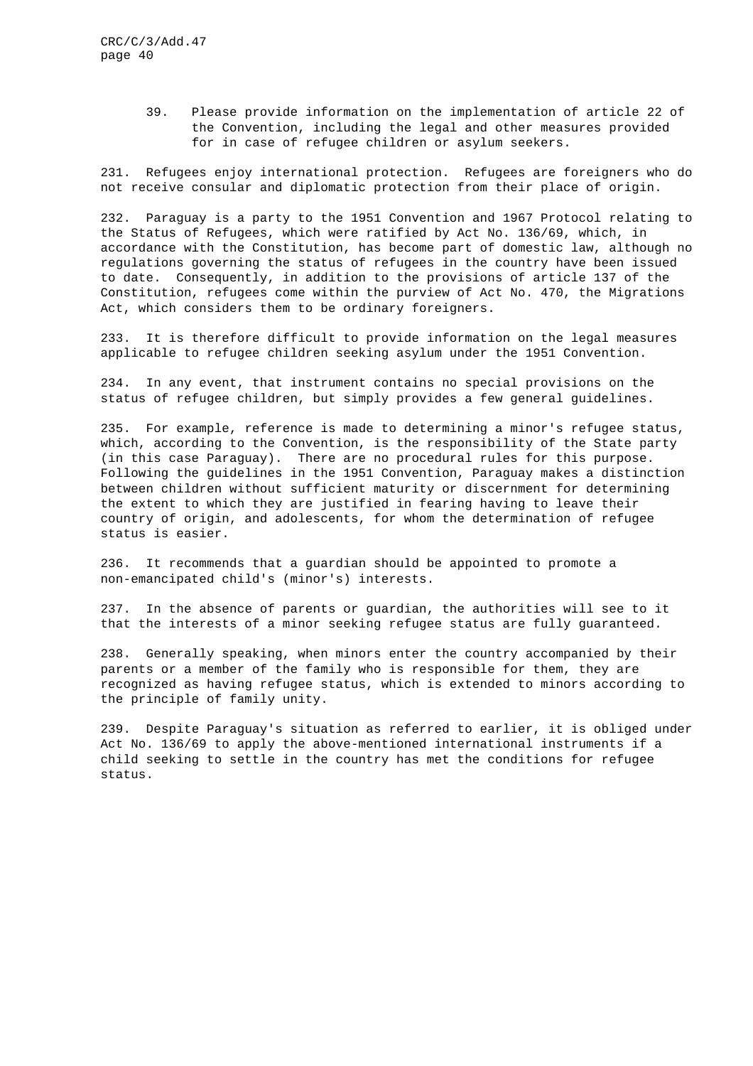39. Please provide information on the implementation of article 22 of the Convention, including the legal and other measures provided for in case of refugee children or asylum seekers.

231. Refugees enjoy international protection. Refugees are foreigners who do not receive consular and diplomatic protection from their place of origin.

232. Paraguay is a party to the 1951 Convention and 1967 Protocol relating to the Status of Refugees, which were ratified by Act No. 136/69, which, in accordance with the Constitution, has become part of domestic law, although no regulations governing the status of refugees in the country have been issued to date. Consequently, in addition to the provisions of article 137 of the Constitution, refugees come within the purview of Act No. 470, the Migrations Act, which considers them to be ordinary foreigners.

233. It is therefore difficult to provide information on the legal measures applicable to refugee children seeking asylum under the 1951 Convention.

234. In any event, that instrument contains no special provisions on the status of refugee children, but simply provides a few general guidelines.

235. For example, reference is made to determining a minor's refugee status, which, according to the Convention, is the responsibility of the State party (in this case Paraguay). There are no procedural rules for this purpose. Following the guidelines in the 1951 Convention, Paraguay makes a distinction between children without sufficient maturity or discernment for determining the extent to which they are justified in fearing having to leave their country of origin, and adolescents, for whom the determination of refugee status is easier.

236. It recommends that a guardian should be appointed to promote a non-emancipated child's (minor's) interests.

237. In the absence of parents or guardian, the authorities will see to it that the interests of a minor seeking refugee status are fully guaranteed.

238. Generally speaking, when minors enter the country accompanied by their parents or a member of the family who is responsible for them, they are recognized as having refugee status, which is extended to minors according to the principle of family unity.

239. Despite Paraguay's situation as referred to earlier, it is obliged under Act No. 136/69 to apply the above-mentioned international instruments if a child seeking to settle in the country has met the conditions for refugee status.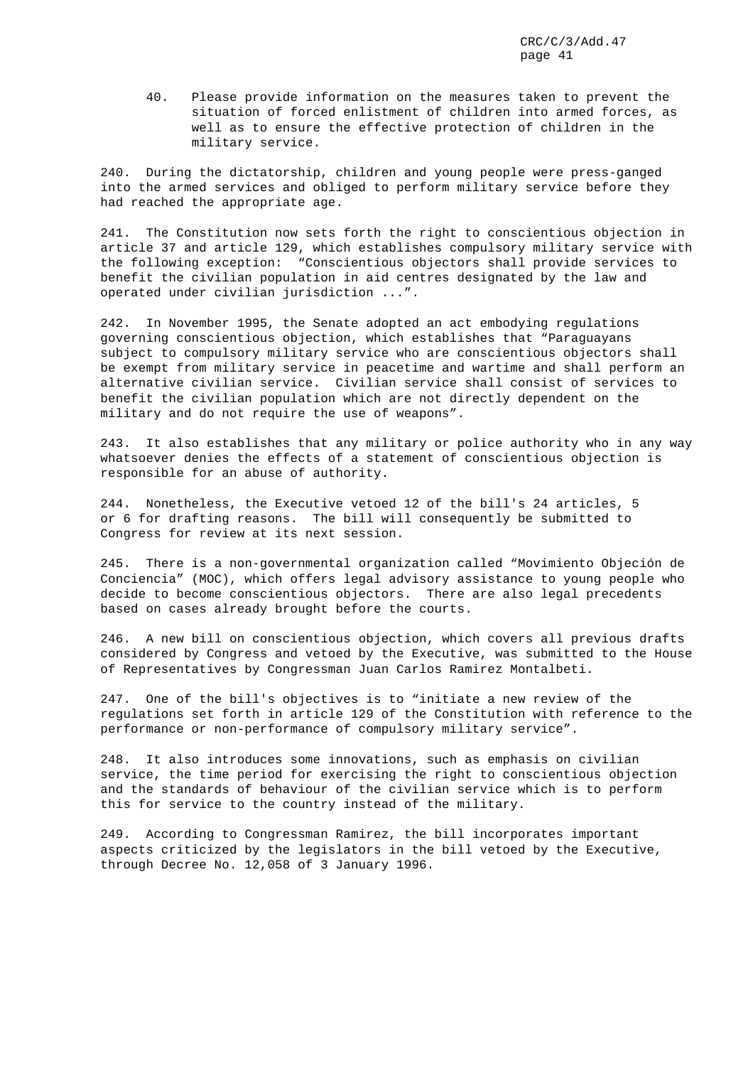40. Please provide information on the measures taken to prevent the situation of forced enlistment of children into armed forces, as well as to ensure the effective protection of children in the military service.

240. During the dictatorship, children and young people were press-ganged into the armed services and obliged to perform military service before they had reached the appropriate age.

241. The Constitution now sets forth the right to conscientious objection in article 37 and article 129, which establishes compulsory military service with the following exception: "Conscientious objectors shall provide services to benefit the civilian population in aid centres designated by the law and operated under civilian jurisdiction ...".

242. In November 1995, the Senate adopted an act embodying regulations governing conscientious objection, which establishes that "Paraguayans subject to compulsory military service who are conscientious objectors shall be exempt from military service in peacetime and wartime and shall perform an alternative civilian service. Civilian service shall consist of services to benefit the civilian population which are not directly dependent on the military and do not require the use of weapons".

243. It also establishes that any military or police authority who in any way whatsoever denies the effects of a statement of conscientious objection is responsible for an abuse of authority.

244. Nonetheless, the Executive vetoed 12 of the bill's 24 articles, 5 or 6 for drafting reasons. The bill will consequently be submitted to Congress for review at its next session.

245. There is a non-governmental organization called "Movimiento Objeción de Conciencia" (MOC), which offers legal advisory assistance to young people who decide to become conscientious objectors. There are also legal precedents based on cases already brought before the courts.

246. A new bill on conscientious objection, which covers all previous drafts considered by Congress and vetoed by the Executive, was submitted to the House of Representatives by Congressman Juan Carlos Ramirez Montalbeti.

247. One of the bill's objectives is to "initiate a new review of the regulations set forth in article 129 of the Constitution with reference to the performance or non-performance of compulsory military service".

248. It also introduces some innovations, such as emphasis on civilian service, the time period for exercising the right to conscientious objection and the standards of behaviour of the civilian service which is to perform this for service to the country instead of the military.

249. According to Congressman Ramirez, the bill incorporates important aspects criticized by the legislators in the bill vetoed by the Executive, through Decree No. 12,058 of 3 January 1996.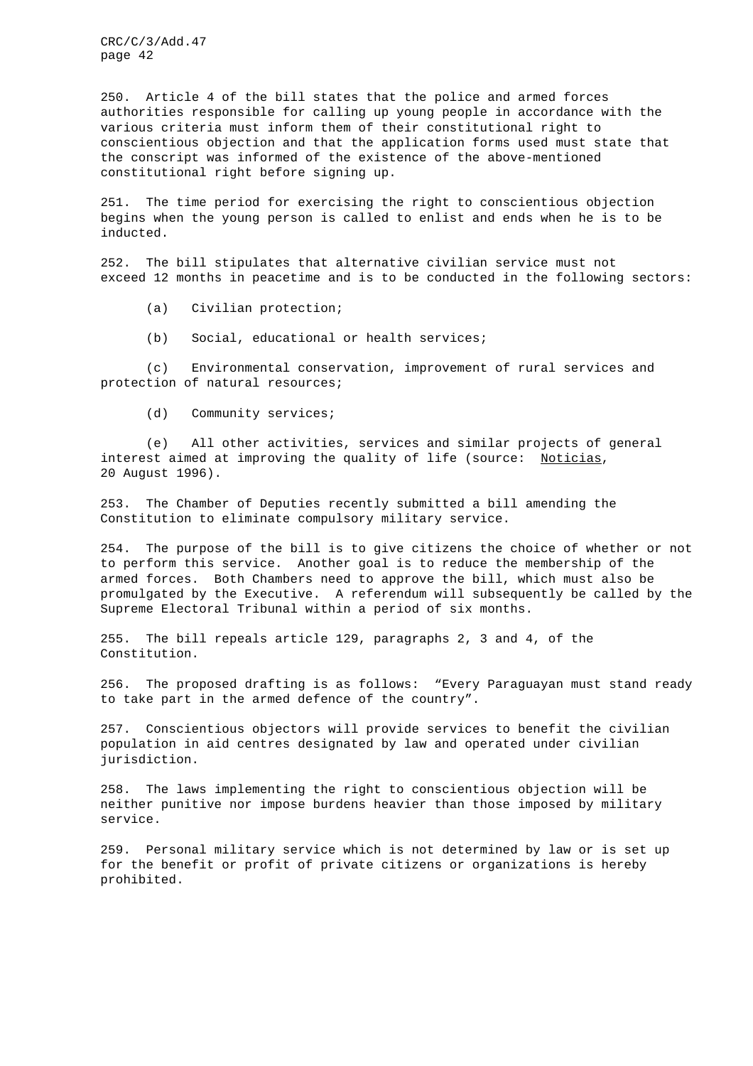250. Article 4 of the bill states that the police and armed forces authorities responsible for calling up young people in accordance with the various criteria must inform them of their constitutional right to conscientious objection and that the application forms used must state that the conscript was informed of the existence of the above-mentioned constitutional right before signing up.

251. The time period for exercising the right to conscientious objection begins when the young person is called to enlist and ends when he is to be inducted.

252. The bill stipulates that alternative civilian service must not exceed 12 months in peacetime and is to be conducted in the following sectors:

(a) Civilian protection;

(b) Social, educational or health services;

(c) Environmental conservation, improvement of rural services and protection of natural resources;

(d) Community services;

(e) All other activities, services and similar projects of general interest aimed at improving the quality of life (source: Noticias, 20 August 1996).

253. The Chamber of Deputies recently submitted a bill amending the Constitution to eliminate compulsory military service.

254. The purpose of the bill is to give citizens the choice of whether or not to perform this service. Another goal is to reduce the membership of the armed forces. Both Chambers need to approve the bill, which must also be promulgated by the Executive. A referendum will subsequently be called by the Supreme Electoral Tribunal within a period of six months.

255. The bill repeals article 129, paragraphs 2, 3 and 4, of the Constitution.

256. The proposed drafting is as follows: "Every Paraguayan must stand ready to take part in the armed defence of the country".

257. Conscientious objectors will provide services to benefit the civilian population in aid centres designated by law and operated under civilian jurisdiction.

258. The laws implementing the right to conscientious objection will be neither punitive nor impose burdens heavier than those imposed by military service.

259. Personal military service which is not determined by law or is set up for the benefit or profit of private citizens or organizations is hereby prohibited.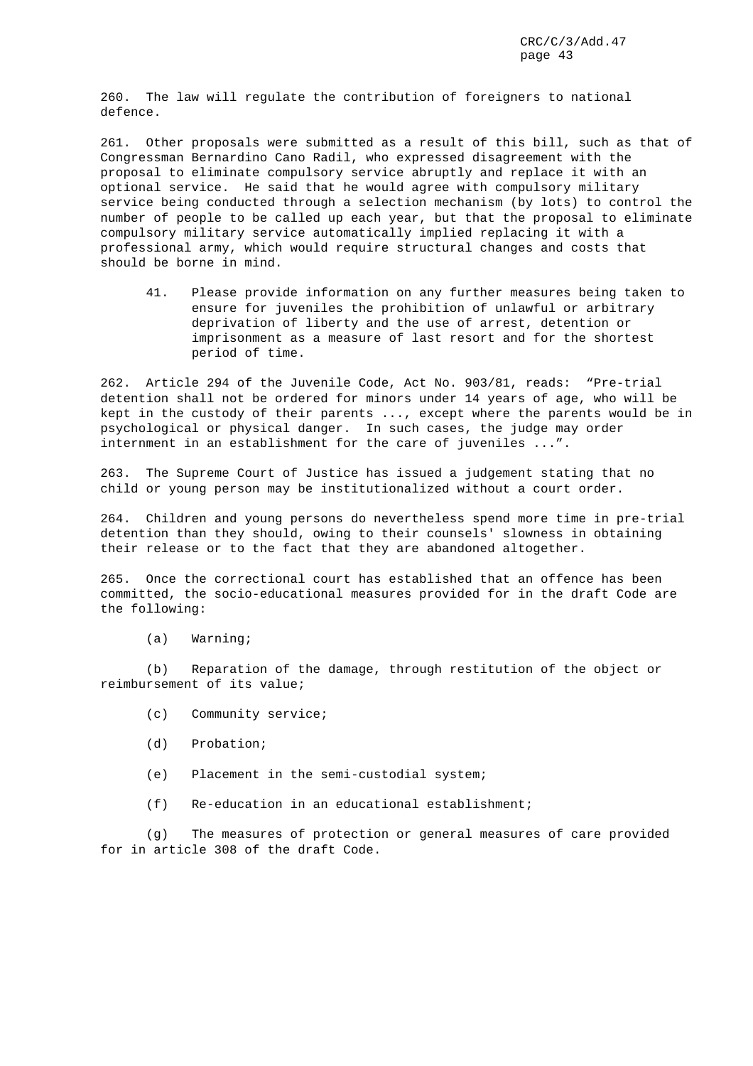260. The law will regulate the contribution of foreigners to national defence.

261. Other proposals were submitted as a result of this bill, such as that of Congressman Bernardino Cano Radil, who expressed disagreement with the proposal to eliminate compulsory service abruptly and replace it with an optional service. He said that he would agree with compulsory military service being conducted through a selection mechanism (by lots) to control the number of people to be called up each year, but that the proposal to eliminate compulsory military service automatically implied replacing it with a professional army, which would require structural changes and costs that should be borne in mind.

41. Please provide information on any further measures being taken to ensure for juveniles the prohibition of unlawful or arbitrary deprivation of liberty and the use of arrest, detention or imprisonment as a measure of last resort and for the shortest period of time.

262. Article 294 of the Juvenile Code, Act No. 903/81, reads: "Pre-trial detention shall not be ordered for minors under 14 years of age, who will be kept in the custody of their parents ..., except where the parents would be in psychological or physical danger. In such cases, the judge may order internment in an establishment for the care of juveniles ...".

263. The Supreme Court of Justice has issued a judgement stating that no child or young person may be institutionalized without a court order.

264. Children and young persons do nevertheless spend more time in pre-trial detention than they should, owing to their counsels' slowness in obtaining their release or to the fact that they are abandoned altogether.

265. Once the correctional court has established that an offence has been committed, the socio-educational measures provided for in the draft Code are the following:

(a) Warning;

(b) Reparation of the damage, through restitution of the object or reimbursement of its value;

- (c) Community service;
- (d) Probation;
- (e) Placement in the semi-custodial system;
- (f) Re-education in an educational establishment;

(g) The measures of protection or general measures of care provided for in article 308 of the draft Code.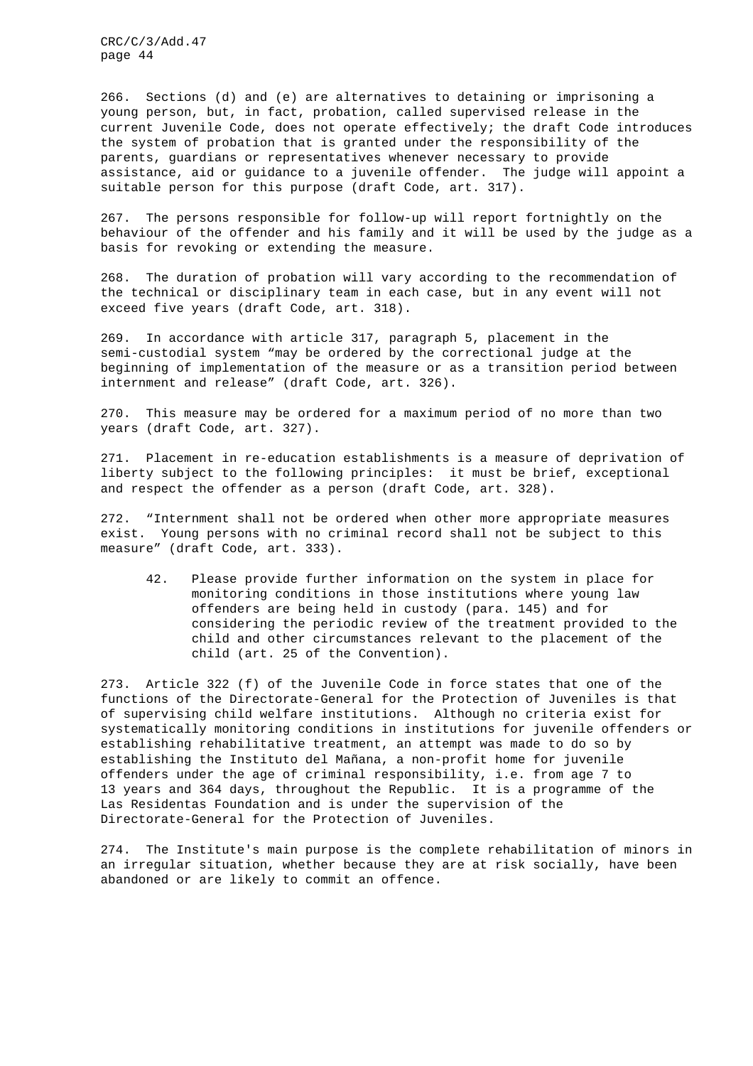266. Sections (d) and (e) are alternatives to detaining or imprisoning a young person, but, in fact, probation, called supervised release in the current Juvenile Code, does not operate effectively; the draft Code introduces the system of probation that is granted under the responsibility of the parents, guardians or representatives whenever necessary to provide assistance, aid or guidance to a juvenile offender. The judge will appoint a suitable person for this purpose (draft Code, art. 317).

267. The persons responsible for follow-up will report fortnightly on the behaviour of the offender and his family and it will be used by the judge as a basis for revoking or extending the measure.

268. The duration of probation will vary according to the recommendation of the technical or disciplinary team in each case, but in any event will not exceed five years (draft Code, art. 318).

269. In accordance with article 317, paragraph 5, placement in the semi-custodial system "may be ordered by the correctional judge at the beginning of implementation of the measure or as a transition period between internment and release" (draft Code, art. 326).

270. This measure may be ordered for a maximum period of no more than two years (draft Code, art. 327).

271. Placement in re-education establishments is a measure of deprivation of liberty subject to the following principles: it must be brief, exceptional and respect the offender as a person (draft Code, art. 328).

272. "Internment shall not be ordered when other more appropriate measures exist. Young persons with no criminal record shall not be subject to this measure" (draft Code, art. 333).

42. Please provide further information on the system in place for monitoring conditions in those institutions where young law offenders are being held in custody (para. 145) and for considering the periodic review of the treatment provided to the child and other circumstances relevant to the placement of the child (art. 25 of the Convention).

273. Article 322 (f) of the Juvenile Code in force states that one of the functions of the Directorate-General for the Protection of Juveniles is that of supervising child welfare institutions. Although no criteria exist for systematically monitoring conditions in institutions for juvenile offenders or establishing rehabilitative treatment, an attempt was made to do so by establishing the Instituto del Mañana, a non-profit home for juvenile offenders under the age of criminal responsibility, i.e. from age 7 to 13 years and 364 days, throughout the Republic. It is a programme of the Las Residentas Foundation and is under the supervision of the Directorate-General for the Protection of Juveniles.

274. The Institute's main purpose is the complete rehabilitation of minors in an irregular situation, whether because they are at risk socially, have been abandoned or are likely to commit an offence.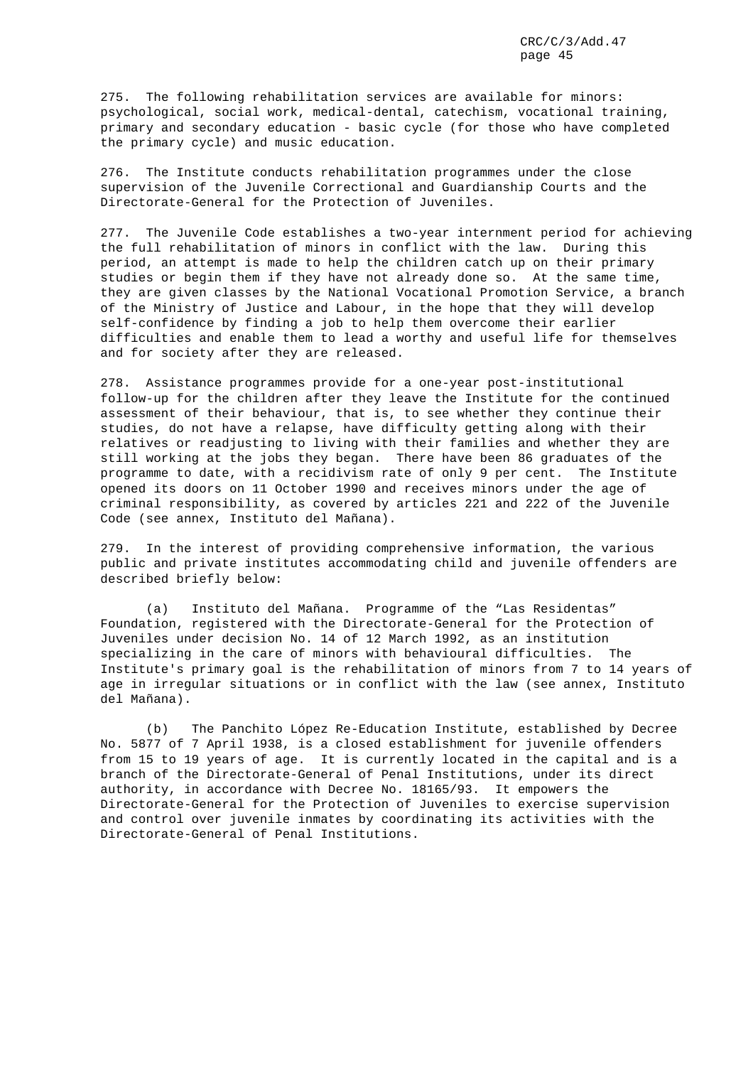275. The following rehabilitation services are available for minors: psychological, social work, medical-dental, catechism, vocational training, primary and secondary education - basic cycle (for those who have completed the primary cycle) and music education.

276. The Institute conducts rehabilitation programmes under the close supervision of the Juvenile Correctional and Guardianship Courts and the Directorate-General for the Protection of Juveniles.

277. The Juvenile Code establishes a two-year internment period for achieving the full rehabilitation of minors in conflict with the law. During this period, an attempt is made to help the children catch up on their primary studies or begin them if they have not already done so. At the same time, they are given classes by the National Vocational Promotion Service, a branch of the Ministry of Justice and Labour, in the hope that they will develop self-confidence by finding a job to help them overcome their earlier difficulties and enable them to lead a worthy and useful life for themselves and for society after they are released.

278. Assistance programmes provide for a one-year post-institutional follow-up for the children after they leave the Institute for the continued assessment of their behaviour, that is, to see whether they continue their studies, do not have a relapse, have difficulty getting along with their relatives or readjusting to living with their families and whether they are still working at the jobs they began. There have been 86 graduates of the programme to date, with a recidivism rate of only 9 per cent. The Institute opened its doors on 11 October 1990 and receives minors under the age of criminal responsibility, as covered by articles 221 and 222 of the Juvenile Code (see annex, Instituto del Mañana).

279. In the interest of providing comprehensive information, the various public and private institutes accommodating child and juvenile offenders are described briefly below:

(a) Instituto del Mañana. Programme of the "Las Residentas" Foundation, registered with the Directorate-General for the Protection of Juveniles under decision No. 14 of 12 March 1992, as an institution specializing in the care of minors with behavioural difficulties. The Institute's primary goal is the rehabilitation of minors from 7 to 14 years of age in irregular situations or in conflict with the law (see annex, Instituto del Mañana).

(b) The Panchito López Re-Education Institute, established by Decree No. 5877 of 7 April 1938, is a closed establishment for juvenile offenders from 15 to 19 years of age. It is currently located in the capital and is a branch of the Directorate-General of Penal Institutions, under its direct authority, in accordance with Decree No. 18165/93. It empowers the Directorate-General for the Protection of Juveniles to exercise supervision and control over juvenile inmates by coordinating its activities with the Directorate-General of Penal Institutions.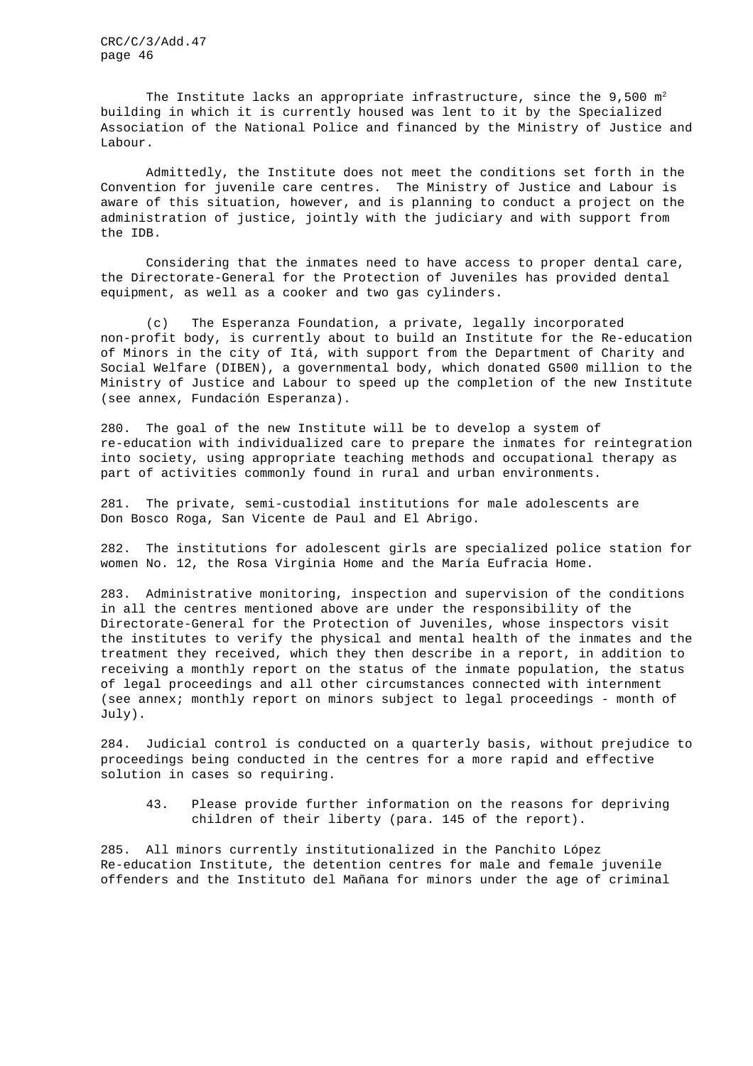The Institute lacks an appropriate infrastructure, since the  $9,500 \text{ m}^2$ building in which it is currently housed was lent to it by the Specialized Association of the National Police and financed by the Ministry of Justice and Labour.

Admittedly, the Institute does not meet the conditions set forth in the Convention for juvenile care centres. The Ministry of Justice and Labour is aware of this situation, however, and is planning to conduct a project on the administration of justice, jointly with the judiciary and with support from the IDB.

Considering that the inmates need to have access to proper dental care, the Directorate-General for the Protection of Juveniles has provided dental equipment, as well as a cooker and two gas cylinders.

(c) The Esperanza Foundation, a private, legally incorporated non-profit body, is currently about to build an Institute for the Re-education of Minors in the city of Itá, with support from the Department of Charity and Social Welfare (DIBEN), a governmental body, which donated G500 million to the Ministry of Justice and Labour to speed up the completion of the new Institute (see annex, Fundación Esperanza).

280. The goal of the new Institute will be to develop a system of re-education with individualized care to prepare the inmates for reintegration into society, using appropriate teaching methods and occupational therapy as part of activities commonly found in rural and urban environments.

281. The private, semi-custodial institutions for male adolescents are Don Bosco Roga, San Vicente de Paul and El Abrigo.

282. The institutions for adolescent girls are specialized police station for women No. 12, the Rosa Virginia Home and the María Eufracia Home.

283. Administrative monitoring, inspection and supervision of the conditions in all the centres mentioned above are under the responsibility of the Directorate-General for the Protection of Juveniles, whose inspectors visit the institutes to verify the physical and mental health of the inmates and the treatment they received, which they then describe in a report, in addition to receiving a monthly report on the status of the inmate population, the status of legal proceedings and all other circumstances connected with internment (see annex; monthly report on minors subject to legal proceedings - month of July).

284. Judicial control is conducted on a quarterly basis, without prejudice to proceedings being conducted in the centres for a more rapid and effective solution in cases so requiring.

43. Please provide further information on the reasons for depriving children of their liberty (para. 145 of the report).

285. All minors currently institutionalized in the Panchito López Re-education Institute, the detention centres for male and female juvenile offenders and the Instituto del Mañana for minors under the age of criminal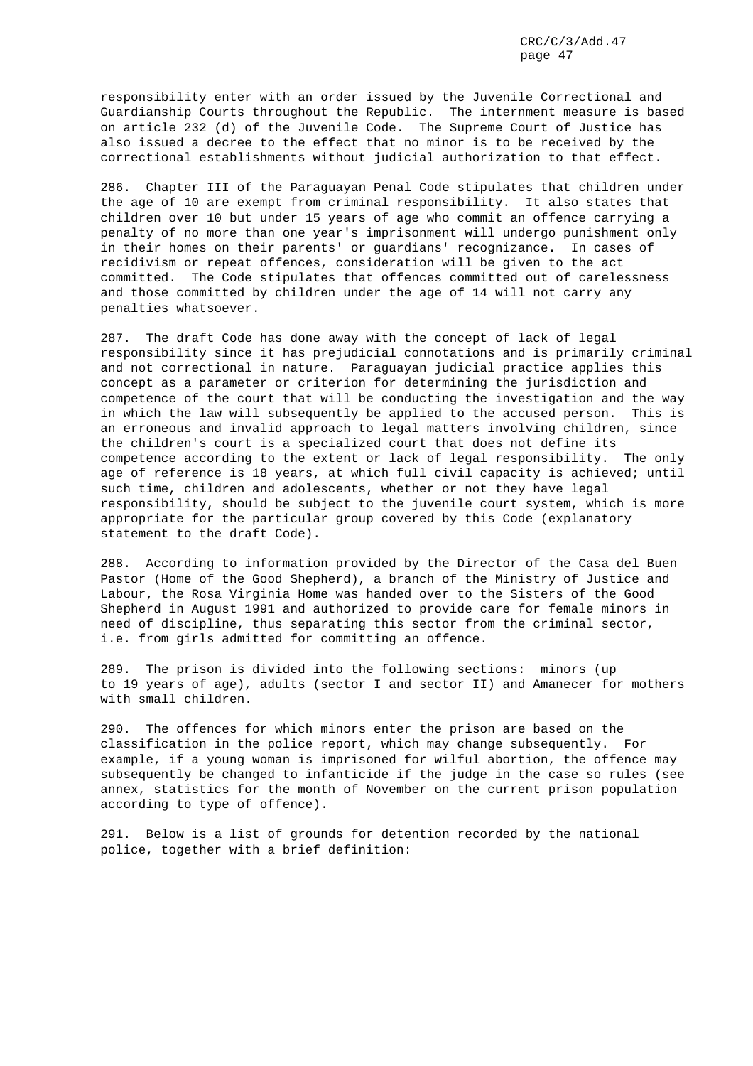responsibility enter with an order issued by the Juvenile Correctional and Guardianship Courts throughout the Republic. The internment measure is based on article 232 (d) of the Juvenile Code. The Supreme Court of Justice has also issued a decree to the effect that no minor is to be received by the correctional establishments without judicial authorization to that effect.

286. Chapter III of the Paraguayan Penal Code stipulates that children under the age of 10 are exempt from criminal responsibility. It also states that children over 10 but under 15 years of age who commit an offence carrying a penalty of no more than one year's imprisonment will undergo punishment only in their homes on their parents' or guardians' recognizance. In cases of recidivism or repeat offences, consideration will be given to the act committed. The Code stipulates that offences committed out of carelessness and those committed by children under the age of 14 will not carry any penalties whatsoever.

287. The draft Code has done away with the concept of lack of legal responsibility since it has prejudicial connotations and is primarily criminal and not correctional in nature. Paraguayan judicial practice applies this concept as a parameter or criterion for determining the jurisdiction and competence of the court that will be conducting the investigation and the way in which the law will subsequently be applied to the accused person. This is an erroneous and invalid approach to legal matters involving children, since the children's court is a specialized court that does not define its competence according to the extent or lack of legal responsibility. The only age of reference is 18 years, at which full civil capacity is achieved; until such time, children and adolescents, whether or not they have legal responsibility, should be subject to the juvenile court system, which is more appropriate for the particular group covered by this Code (explanatory statement to the draft Code).

288. According to information provided by the Director of the Casa del Buen Pastor (Home of the Good Shepherd), a branch of the Ministry of Justice and Labour, the Rosa Virginia Home was handed over to the Sisters of the Good Shepherd in August 1991 and authorized to provide care for female minors in need of discipline, thus separating this sector from the criminal sector, i.e. from girls admitted for committing an offence.

289. The prison is divided into the following sections: minors (up to 19 years of age), adults (sector I and sector II) and Amanecer for mothers with small children.

290. The offences for which minors enter the prison are based on the classification in the police report, which may change subsequently. For example, if a young woman is imprisoned for wilful abortion, the offence may subsequently be changed to infanticide if the judge in the case so rules (see annex, statistics for the month of November on the current prison population according to type of offence).

291. Below is a list of grounds for detention recorded by the national police, together with a brief definition: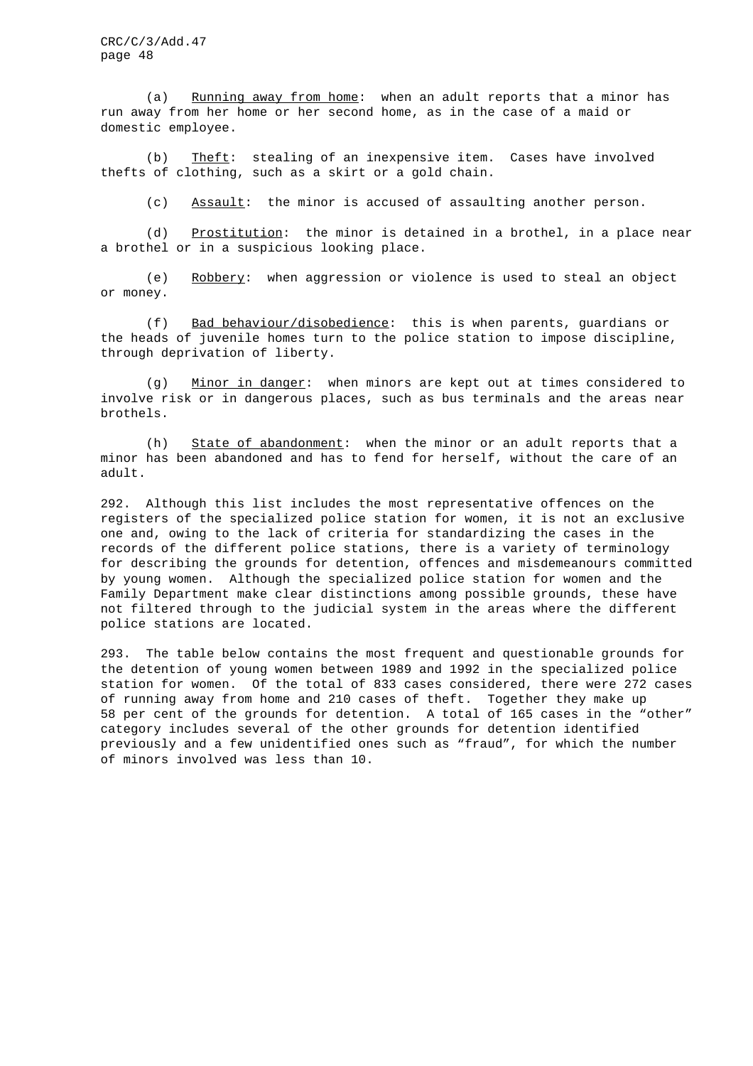(a) Running away from home: when an adult reports that a minor has run away from her home or her second home, as in the case of a maid or domestic employee.

(b) Theft: stealing of an inexpensive item. Cases have involved thefts of clothing, such as a skirt or a gold chain.

(c) Assault: the minor is accused of assaulting another person.

(d) Prostitution: the minor is detained in a brothel, in a place near a brothel or in a suspicious looking place.

(e) Robbery: when aggression or violence is used to steal an object or money.

(f) Bad behaviour/disobedience: this is when parents, guardians or the heads of juvenile homes turn to the police station to impose discipline, through deprivation of liberty.

(g) Minor in danger: when minors are kept out at times considered to involve risk or in dangerous places, such as bus terminals and the areas near brothels.

(h) State of abandonment: when the minor or an adult reports that a minor has been abandoned and has to fend for herself, without the care of an adult.

292. Although this list includes the most representative offences on the registers of the specialized police station for women, it is not an exclusive one and, owing to the lack of criteria for standardizing the cases in the records of the different police stations, there is a variety of terminology for describing the grounds for detention, offences and misdemeanours committed by young women. Although the specialized police station for women and the Family Department make clear distinctions among possible grounds, these have not filtered through to the judicial system in the areas where the different police stations are located.

293. The table below contains the most frequent and questionable grounds for the detention of young women between 1989 and 1992 in the specialized police station for women. Of the total of 833 cases considered, there were 272 cases of running away from home and 210 cases of theft. Together they make up 58 per cent of the grounds for detention. A total of 165 cases in the "other" category includes several of the other grounds for detention identified previously and a few unidentified ones such as "fraud", for which the number of minors involved was less than 10.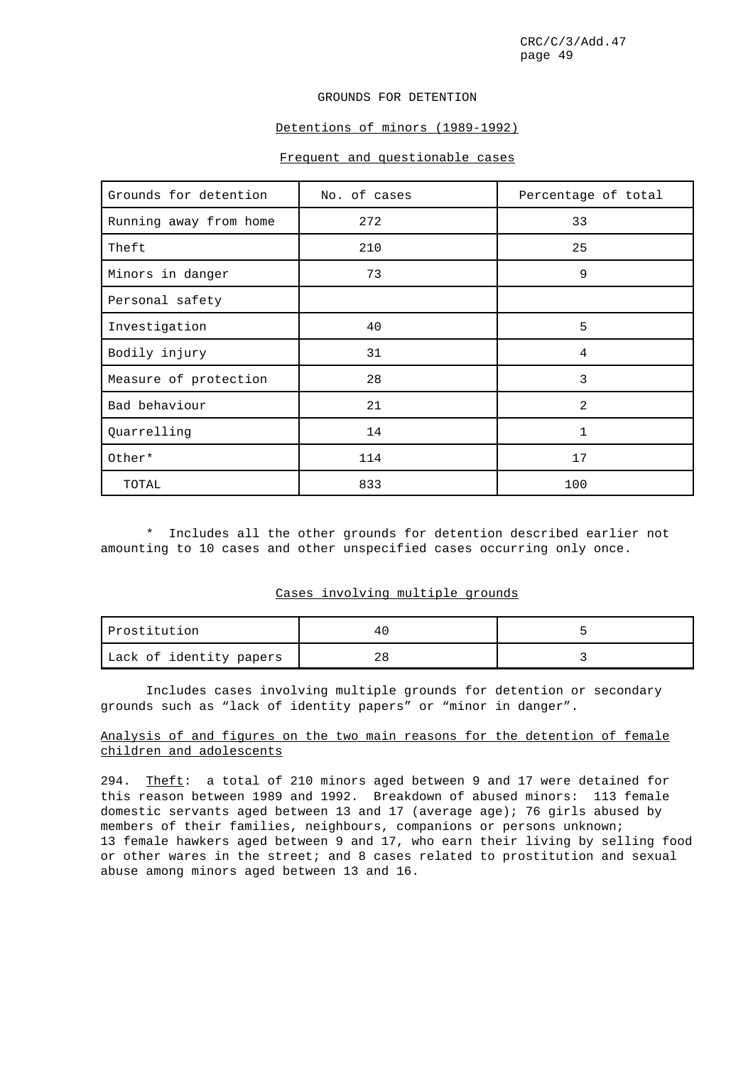### GROUNDS FOR DETENTION

# Detentions of minors (1989-1992)

# Frequent and questionable cases

| Grounds for detention  | No. of cases | Percentage of total |
|------------------------|--------------|---------------------|
| Running away from home | 272          | 33                  |
| Theft                  | 210          | 25                  |
| Minors in danger       | 73           | 9                   |
| Personal safety        |              |                     |
| Investigation          | 40           | 5                   |
| Bodily injury          | 31           | 4                   |
| Measure of protection  | 28           | 3                   |
| Bad behaviour          | 21           | $\mathfrak{D}$      |
| Quarrelling            | 14           |                     |
| Other*                 | 114          | 17                  |
| TOTAL                  | 833          | 100                 |

\* Includes all the other grounds for detention described earlier not amounting to 10 cases and other unspecified cases occurring only once.

# Cases involving multiple grounds

| Prostitution            |  |
|-------------------------|--|
| Lack of identity papers |  |

Includes cases involving multiple grounds for detention or secondary grounds such as "lack of identity papers" or "minor in danger".

# Analysis of and figures on the two main reasons for the detention of female children and adolescents

294. Theft: a total of 210 minors aged between 9 and 17 were detained for this reason between 1989 and 1992. Breakdown of abused minors: 113 female domestic servants aged between 13 and 17 (average age); 76 girls abused by members of their families, neighbours, companions or persons unknown; 13 female hawkers aged between 9 and 17, who earn their living by selling food or other wares in the street; and 8 cases related to prostitution and sexual abuse among minors aged between 13 and 16.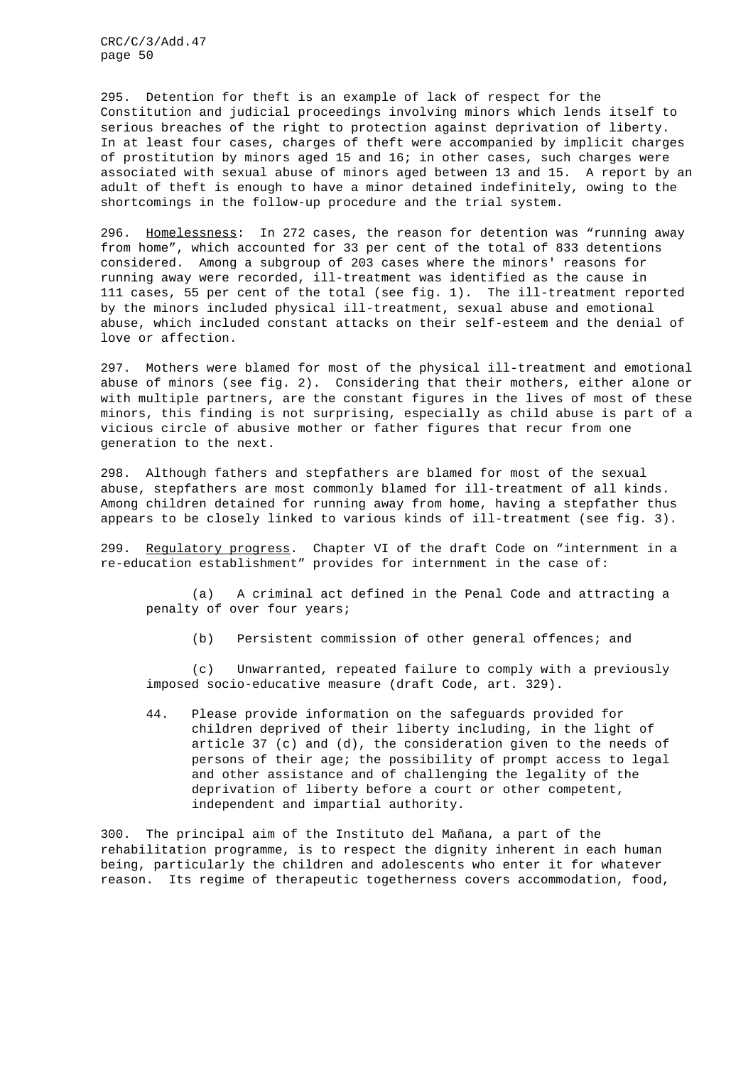295. Detention for theft is an example of lack of respect for the Constitution and judicial proceedings involving minors which lends itself to serious breaches of the right to protection against deprivation of liberty. In at least four cases, charges of theft were accompanied by implicit charges of prostitution by minors aged 15 and 16; in other cases, such charges were associated with sexual abuse of minors aged between 13 and 15. A report by an adult of theft is enough to have a minor detained indefinitely, owing to the shortcomings in the follow-up procedure and the trial system.

296. Homelessness: In 272 cases, the reason for detention was "running away from home", which accounted for 33 per cent of the total of 833 detentions considered. Among a subgroup of 203 cases where the minors' reasons for running away were recorded, ill-treatment was identified as the cause in 111 cases, 55 per cent of the total (see fig. 1). The ill-treatment reported by the minors included physical ill-treatment, sexual abuse and emotional abuse, which included constant attacks on their self-esteem and the denial of love or affection.

297. Mothers were blamed for most of the physical ill-treatment and emotional abuse of minors (see fig. 2). Considering that their mothers, either alone or with multiple partners, are the constant figures in the lives of most of these minors, this finding is not surprising, especially as child abuse is part of a vicious circle of abusive mother or father figures that recur from one generation to the next.

298. Although fathers and stepfathers are blamed for most of the sexual abuse, stepfathers are most commonly blamed for ill-treatment of all kinds. Among children detained for running away from home, having a stepfather thus appears to be closely linked to various kinds of ill-treatment (see fig. 3).

299. Regulatory progress. Chapter VI of the draft Code on "internment in a re-education establishment" provides for internment in the case of:

(a) A criminal act defined in the Penal Code and attracting a penalty of over four years;

(b) Persistent commission of other general offences; and

(c) Unwarranted, repeated failure to comply with a previously imposed socio-educative measure (draft Code, art. 329).

44. Please provide information on the safeguards provided for children deprived of their liberty including, in the light of article 37 (c) and (d), the consideration given to the needs of persons of their age; the possibility of prompt access to legal and other assistance and of challenging the legality of the deprivation of liberty before a court or other competent, independent and impartial authority.

300. The principal aim of the Instituto del Mañana, a part of the rehabilitation programme, is to respect the dignity inherent in each human being, particularly the children and adolescents who enter it for whatever reason. Its regime of therapeutic togetherness covers accommodation, food,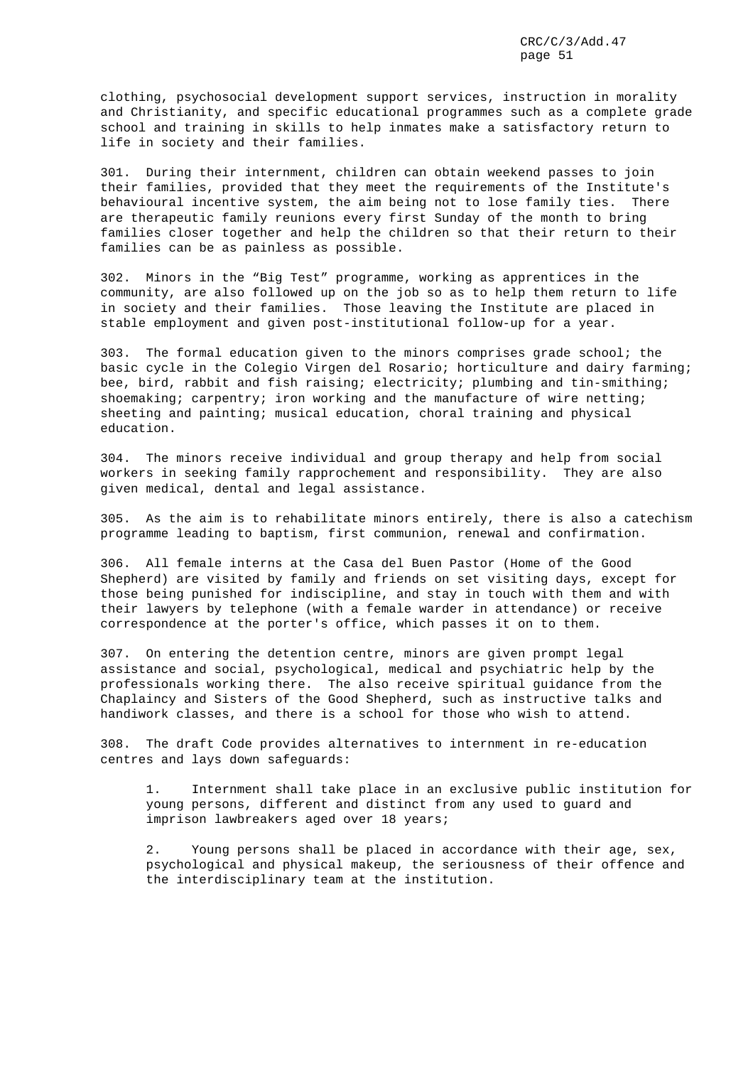clothing, psychosocial development support services, instruction in morality and Christianity, and specific educational programmes such as a complete grade school and training in skills to help inmates make a satisfactory return to life in society and their families.

301. During their internment, children can obtain weekend passes to join their families, provided that they meet the requirements of the Institute's behavioural incentive system, the aim being not to lose family ties. There are therapeutic family reunions every first Sunday of the month to bring families closer together and help the children so that their return to their families can be as painless as possible.

302. Minors in the "Big Test" programme, working as apprentices in the community, are also followed up on the job so as to help them return to life in society and their families. Those leaving the Institute are placed in stable employment and given post-institutional follow-up for a year.

303. The formal education given to the minors comprises grade school; the basic cycle in the Colegio Virgen del Rosario; horticulture and dairy farming; bee, bird, rabbit and fish raising; electricity; plumbing and tin-smithing; shoemaking; carpentry; iron working and the manufacture of wire netting; sheeting and painting; musical education, choral training and physical education.

304. The minors receive individual and group therapy and help from social workers in seeking family rapprochement and responsibility. They are also given medical, dental and legal assistance.

305. As the aim is to rehabilitate minors entirely, there is also a catechism programme leading to baptism, first communion, renewal and confirmation.

306. All female interns at the Casa del Buen Pastor (Home of the Good Shepherd) are visited by family and friends on set visiting days, except for those being punished for indiscipline, and stay in touch with them and with their lawyers by telephone (with a female warder in attendance) or receive correspondence at the porter's office, which passes it on to them.

307. On entering the detention centre, minors are given prompt legal assistance and social, psychological, medical and psychiatric help by the professionals working there. The also receive spiritual guidance from the Chaplaincy and Sisters of the Good Shepherd, such as instructive talks and handiwork classes, and there is a school for those who wish to attend.

308. The draft Code provides alternatives to internment in re-education centres and lays down safeguards:

1. Internment shall take place in an exclusive public institution for young persons, different and distinct from any used to guard and imprison lawbreakers aged over 18 years;

2. Young persons shall be placed in accordance with their age, sex, psychological and physical makeup, the seriousness of their offence and the interdisciplinary team at the institution.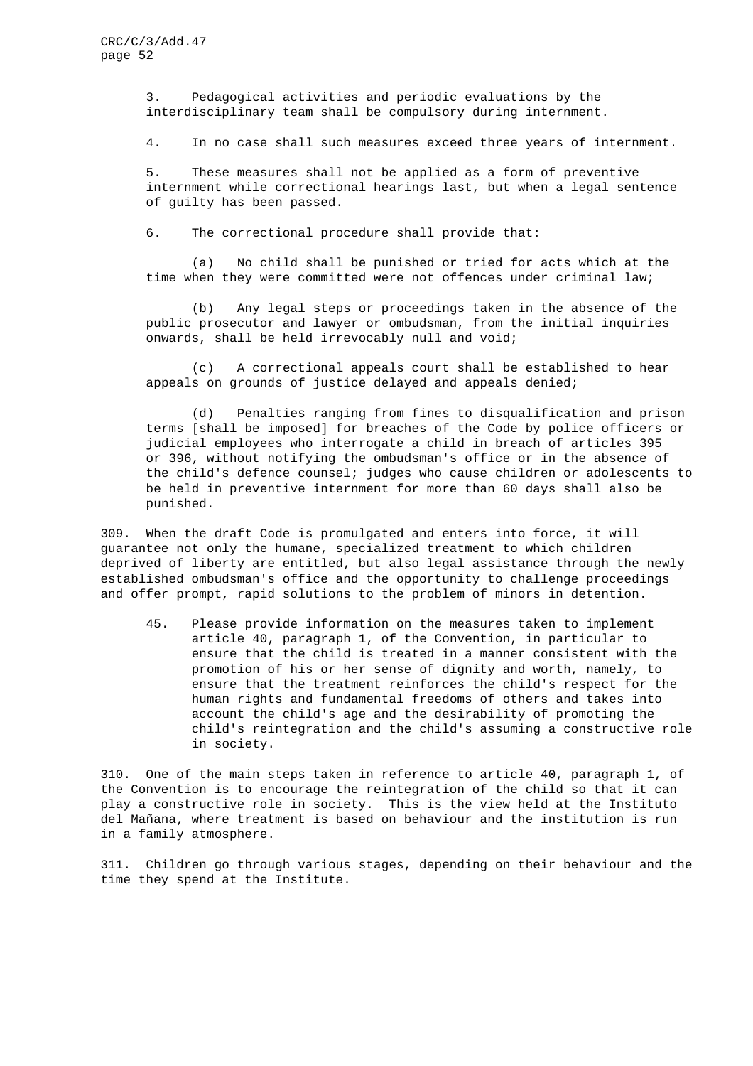3. Pedagogical activities and periodic evaluations by the interdisciplinary team shall be compulsory during internment.

4. In no case shall such measures exceed three years of internment.

5. These measures shall not be applied as a form of preventive internment while correctional hearings last, but when a legal sentence of guilty has been passed.

6. The correctional procedure shall provide that:

(a) No child shall be punished or tried for acts which at the time when they were committed were not offences under criminal law;

(b) Any legal steps or proceedings taken in the absence of the public prosecutor and lawyer or ombudsman, from the initial inquiries onwards, shall be held irrevocably null and void;

(c) A correctional appeals court shall be established to hear appeals on grounds of justice delayed and appeals denied;

(d) Penalties ranging from fines to disqualification and prison terms [shall be imposed] for breaches of the Code by police officers or judicial employees who interrogate a child in breach of articles 395 or 396, without notifying the ombudsman's office or in the absence of the child's defence counsel; judges who cause children or adolescents to be held in preventive internment for more than 60 days shall also be punished.

309. When the draft Code is promulgated and enters into force, it will guarantee not only the humane, specialized treatment to which children deprived of liberty are entitled, but also legal assistance through the newly established ombudsman's office and the opportunity to challenge proceedings and offer prompt, rapid solutions to the problem of minors in detention.

45. Please provide information on the measures taken to implement article 40, paragraph 1, of the Convention, in particular to ensure that the child is treated in a manner consistent with the promotion of his or her sense of dignity and worth, namely, to ensure that the treatment reinforces the child's respect for the human rights and fundamental freedoms of others and takes into account the child's age and the desirability of promoting the child's reintegration and the child's assuming a constructive role in society.

310. One of the main steps taken in reference to article 40, paragraph 1, of the Convention is to encourage the reintegration of the child so that it can play a constructive role in society. This is the view held at the Instituto del Mañana, where treatment is based on behaviour and the institution is run in a family atmosphere.

311. Children go through various stages, depending on their behaviour and the time they spend at the Institute.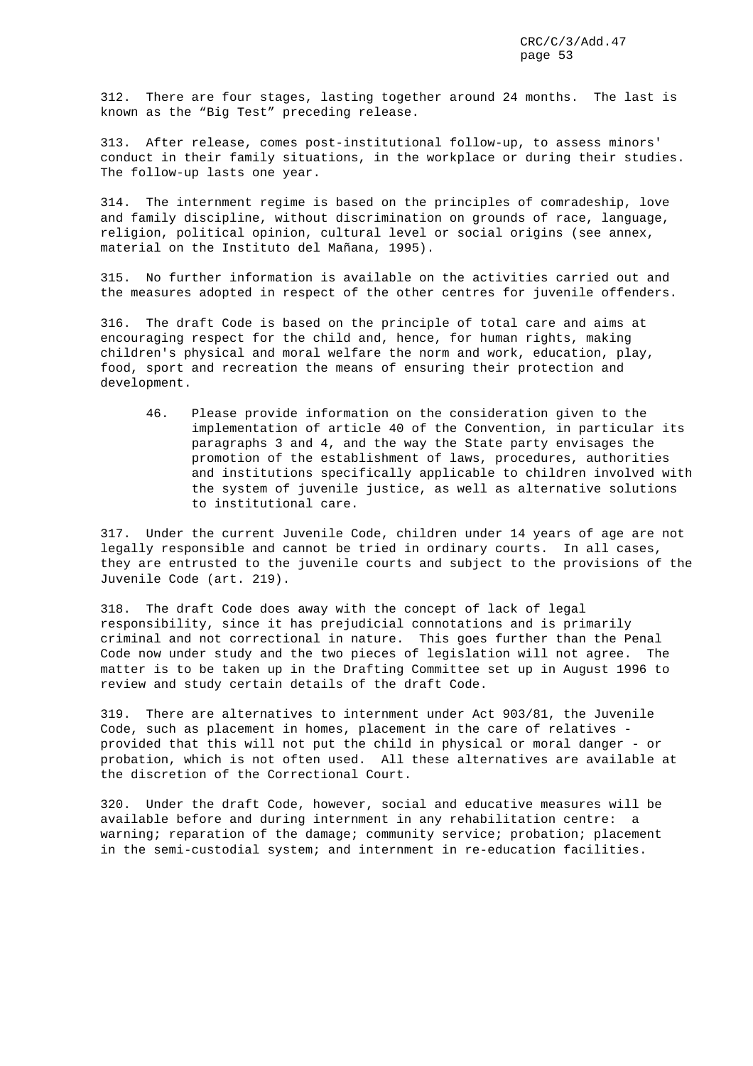312. There are four stages, lasting together around 24 months. The last is known as the "Big Test" preceding release.

313. After release, comes post-institutional follow-up, to assess minors' conduct in their family situations, in the workplace or during their studies. The follow-up lasts one year.

314. The internment regime is based on the principles of comradeship, love and family discipline, without discrimination on grounds of race, language, religion, political opinion, cultural level or social origins (see annex, material on the Instituto del Mañana, 1995).

315. No further information is available on the activities carried out and the measures adopted in respect of the other centres for juvenile offenders.

316. The draft Code is based on the principle of total care and aims at encouraging respect for the child and, hence, for human rights, making children's physical and moral welfare the norm and work, education, play, food, sport and recreation the means of ensuring their protection and development.

46. Please provide information on the consideration given to the implementation of article 40 of the Convention, in particular its paragraphs 3 and 4, and the way the State party envisages the promotion of the establishment of laws, procedures, authorities and institutions specifically applicable to children involved with the system of juvenile justice, as well as alternative solutions to institutional care.

317. Under the current Juvenile Code, children under 14 years of age are not legally responsible and cannot be tried in ordinary courts. In all cases, they are entrusted to the juvenile courts and subject to the provisions of the Juvenile Code (art. 219).

318. The draft Code does away with the concept of lack of legal responsibility, since it has prejudicial connotations and is primarily criminal and not correctional in nature. This goes further than the Penal Code now under study and the two pieces of legislation will not agree. The matter is to be taken up in the Drafting Committee set up in August 1996 to review and study certain details of the draft Code.

319. There are alternatives to internment under Act 903/81, the Juvenile Code, such as placement in homes, placement in the care of relatives provided that this will not put the child in physical or moral danger - or probation, which is not often used. All these alternatives are available at the discretion of the Correctional Court.

320. Under the draft Code, however, social and educative measures will be available before and during internment in any rehabilitation centre: a warning; reparation of the damage; community service; probation; placement in the semi-custodial system; and internment in re-education facilities.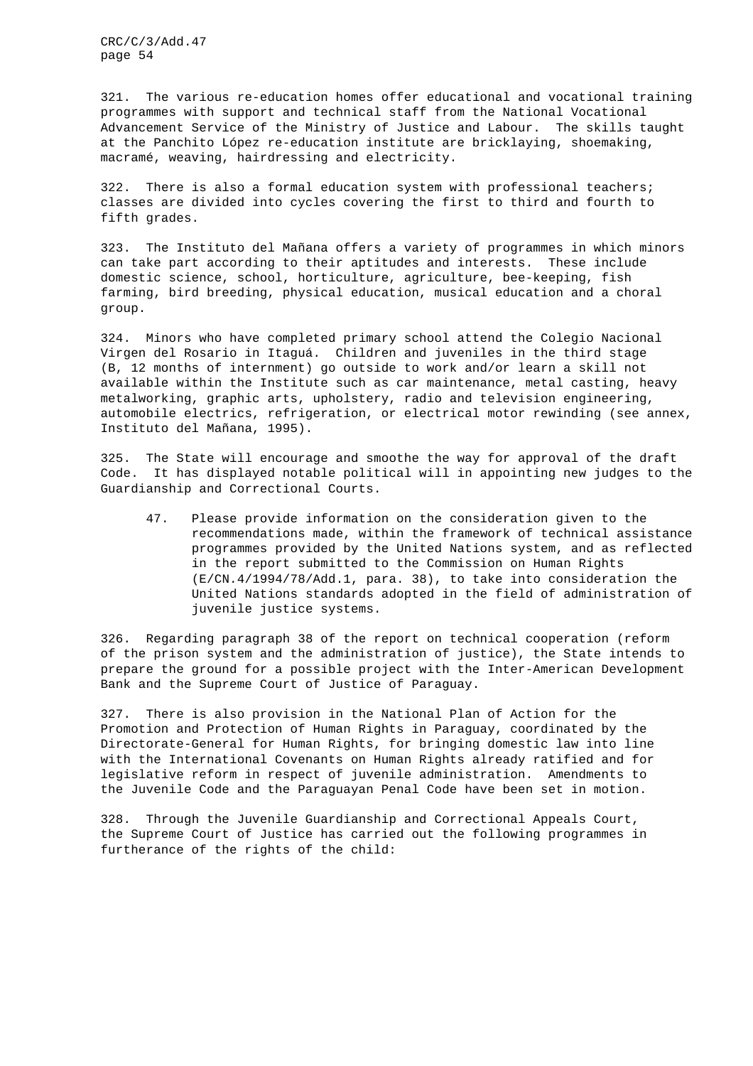321. The various re-education homes offer educational and vocational training programmes with support and technical staff from the National Vocational Advancement Service of the Ministry of Justice and Labour. The skills taught at the Panchito López re-education institute are bricklaying, shoemaking, macramé, weaving, hairdressing and electricity.

322. There is also a formal education system with professional teachers; classes are divided into cycles covering the first to third and fourth to fifth grades.

323. The Instituto del Mañana offers a variety of programmes in which minors can take part according to their aptitudes and interests. These include domestic science, school, horticulture, agriculture, bee-keeping, fish farming, bird breeding, physical education, musical education and a choral group.

324. Minors who have completed primary school attend the Colegio Nacional Virgen del Rosario in Itaguá. Children and juveniles in the third stage (B, 12 months of internment) go outside to work and/or learn a skill not available within the Institute such as car maintenance, metal casting, heavy metalworking, graphic arts, upholstery, radio and television engineering, automobile electrics, refrigeration, or electrical motor rewinding (see annex, Instituto del Mañana, 1995).

325. The State will encourage and smoothe the way for approval of the draft Code. It has displayed notable political will in appointing new judges to the Guardianship and Correctional Courts.

47. Please provide information on the consideration given to the recommendations made, within the framework of technical assistance programmes provided by the United Nations system, and as reflected in the report submitted to the Commission on Human Rights (E/CN.4/1994/78/Add.1, para. 38), to take into consideration the United Nations standards adopted in the field of administration of juvenile justice systems.

326. Regarding paragraph 38 of the report on technical cooperation (reform of the prison system and the administration of justice), the State intends to prepare the ground for a possible project with the Inter-American Development Bank and the Supreme Court of Justice of Paraguay.

327. There is also provision in the National Plan of Action for the Promotion and Protection of Human Rights in Paraguay, coordinated by the Directorate-General for Human Rights, for bringing domestic law into line with the International Covenants on Human Rights already ratified and for legislative reform in respect of juvenile administration. Amendments to the Juvenile Code and the Paraguayan Penal Code have been set in motion.

328. Through the Juvenile Guardianship and Correctional Appeals Court, the Supreme Court of Justice has carried out the following programmes in furtherance of the rights of the child: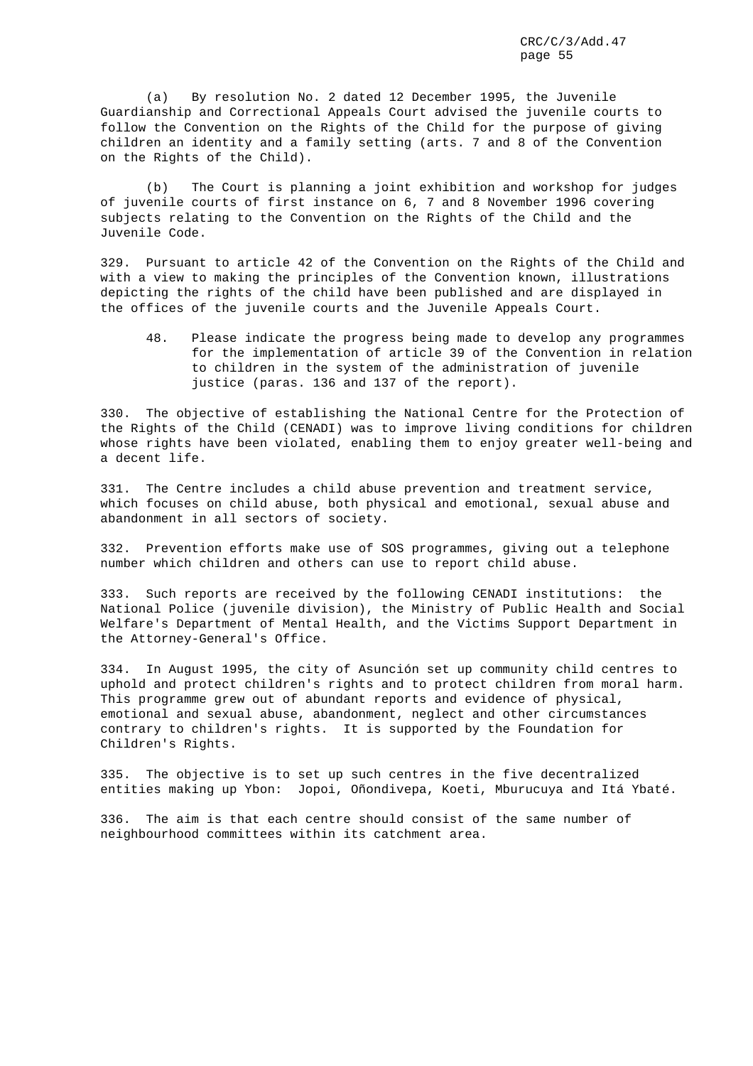(a) By resolution No. 2 dated 12 December 1995, the Juvenile Guardianship and Correctional Appeals Court advised the juvenile courts to follow the Convention on the Rights of the Child for the purpose of giving children an identity and a family setting (arts. 7 and 8 of the Convention on the Rights of the Child).

(b) The Court is planning a joint exhibition and workshop for judges of juvenile courts of first instance on 6, 7 and 8 November 1996 covering subjects relating to the Convention on the Rights of the Child and the Juvenile Code.

329. Pursuant to article 42 of the Convention on the Rights of the Child and with a view to making the principles of the Convention known, illustrations depicting the rights of the child have been published and are displayed in the offices of the juvenile courts and the Juvenile Appeals Court.

48. Please indicate the progress being made to develop any programmes for the implementation of article 39 of the Convention in relation to children in the system of the administration of juvenile justice (paras. 136 and 137 of the report).

330. The objective of establishing the National Centre for the Protection of the Rights of the Child (CENADI) was to improve living conditions for children whose rights have been violated, enabling them to enjoy greater well-being and a decent life.

331. The Centre includes a child abuse prevention and treatment service, which focuses on child abuse, both physical and emotional, sexual abuse and abandonment in all sectors of society.

332. Prevention efforts make use of SOS programmes, giving out a telephone number which children and others can use to report child abuse.

333. Such reports are received by the following CENADI institutions: the National Police (juvenile division), the Ministry of Public Health and Social Welfare's Department of Mental Health, and the Victims Support Department in the Attorney-General's Office.

334. In August 1995, the city of Asunción set up community child centres to uphold and protect children's rights and to protect children from moral harm. This programme grew out of abundant reports and evidence of physical, emotional and sexual abuse, abandonment, neglect and other circumstances contrary to children's rights. It is supported by the Foundation for Children's Rights.

335. The objective is to set up such centres in the five decentralized entities making up Ybon: Jopoi, Oñondivepa, Koeti, Mburucuya and Itá Ybaté.

336. The aim is that each centre should consist of the same number of neighbourhood committees within its catchment area.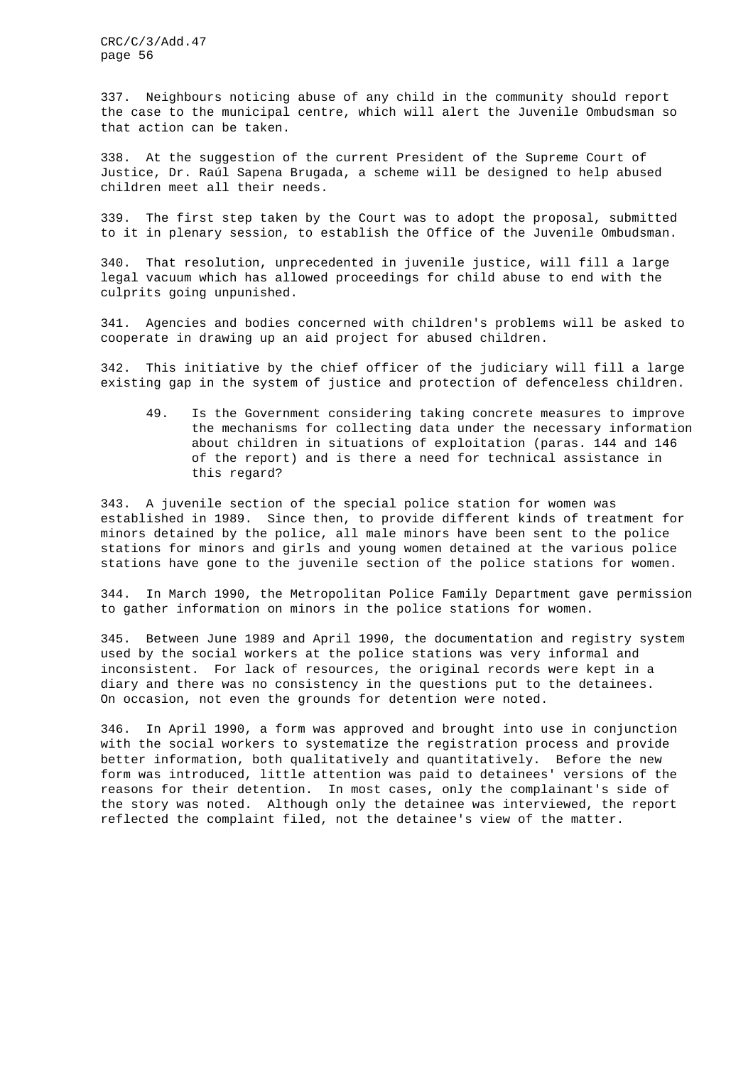337. Neighbours noticing abuse of any child in the community should report the case to the municipal centre, which will alert the Juvenile Ombudsman so that action can be taken.

338. At the suggestion of the current President of the Supreme Court of Justice, Dr. Raúl Sapena Brugada, a scheme will be designed to help abused children meet all their needs.

339. The first step taken by the Court was to adopt the proposal, submitted to it in plenary session, to establish the Office of the Juvenile Ombudsman.

340. That resolution, unprecedented in juvenile justice, will fill a large legal vacuum which has allowed proceedings for child abuse to end with the culprits going unpunished.

341. Agencies and bodies concerned with children's problems will be asked to cooperate in drawing up an aid project for abused children.

342. This initiative by the chief officer of the judiciary will fill a large existing gap in the system of justice and protection of defenceless children.

49. Is the Government considering taking concrete measures to improve the mechanisms for collecting data under the necessary information about children in situations of exploitation (paras. 144 and 146 of the report) and is there a need for technical assistance in this regard?

343. A juvenile section of the special police station for women was established in 1989. Since then, to provide different kinds of treatment for minors detained by the police, all male minors have been sent to the police stations for minors and girls and young women detained at the various police stations have gone to the juvenile section of the police stations for women.

344. In March 1990, the Metropolitan Police Family Department gave permission to gather information on minors in the police stations for women.

345. Between June 1989 and April 1990, the documentation and registry system used by the social workers at the police stations was very informal and inconsistent. For lack of resources, the original records were kept in a diary and there was no consistency in the questions put to the detainees. On occasion, not even the grounds for detention were noted.

346. In April 1990, a form was approved and brought into use in conjunction with the social workers to systematize the registration process and provide better information, both qualitatively and quantitatively. Before the new form was introduced, little attention was paid to detainees' versions of the reasons for their detention. In most cases, only the complainant's side of the story was noted. Although only the detainee was interviewed, the report reflected the complaint filed, not the detainee's view of the matter.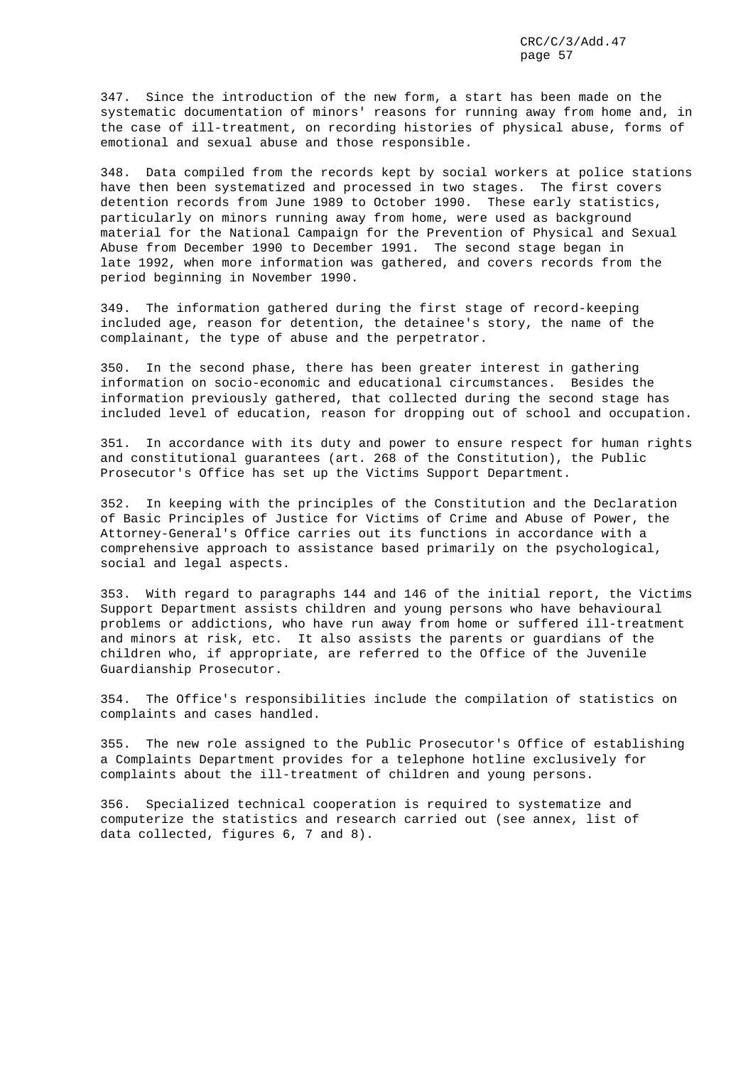347. Since the introduction of the new form, a start has been made on the systematic documentation of minors' reasons for running away from home and, in the case of ill-treatment, on recording histories of physical abuse, forms of emotional and sexual abuse and those responsible.

348. Data compiled from the records kept by social workers at police stations have then been systematized and processed in two stages. The first covers detention records from June 1989 to October 1990. These early statistics, particularly on minors running away from home, were used as background material for the National Campaign for the Prevention of Physical and Sexual Abuse from December 1990 to December 1991. The second stage began in late 1992, when more information was gathered, and covers records from the period beginning in November 1990.

349. The information gathered during the first stage of record-keeping included age, reason for detention, the detainee's story, the name of the complainant, the type of abuse and the perpetrator.

350. In the second phase, there has been greater interest in gathering information on socio-economic and educational circumstances. Besides the information previously gathered, that collected during the second stage has included level of education, reason for dropping out of school and occupation.

351. In accordance with its duty and power to ensure respect for human rights and constitutional guarantees (art. 268 of the Constitution), the Public Prosecutor's Office has set up the Victims Support Department.

352. In keeping with the principles of the Constitution and the Declaration of Basic Principles of Justice for Victims of Crime and Abuse of Power, the Attorney-General's Office carries out its functions in accordance with a comprehensive approach to assistance based primarily on the psychological, social and legal aspects.

353. With regard to paragraphs 144 and 146 of the initial report, the Victims Support Department assists children and young persons who have behavioural problems or addictions, who have run away from home or suffered ill-treatment and minors at risk, etc. It also assists the parents or guardians of the children who, if appropriate, are referred to the Office of the Juvenile Guardianship Prosecutor.

354. The Office's responsibilities include the compilation of statistics on complaints and cases handled.

355. The new role assigned to the Public Prosecutor's Office of establishing a Complaints Department provides for a telephone hotline exclusively for complaints about the ill-treatment of children and young persons.

356. Specialized technical cooperation is required to systematize and computerize the statistics and research carried out (see annex, list of data collected, figures 6, 7 and 8).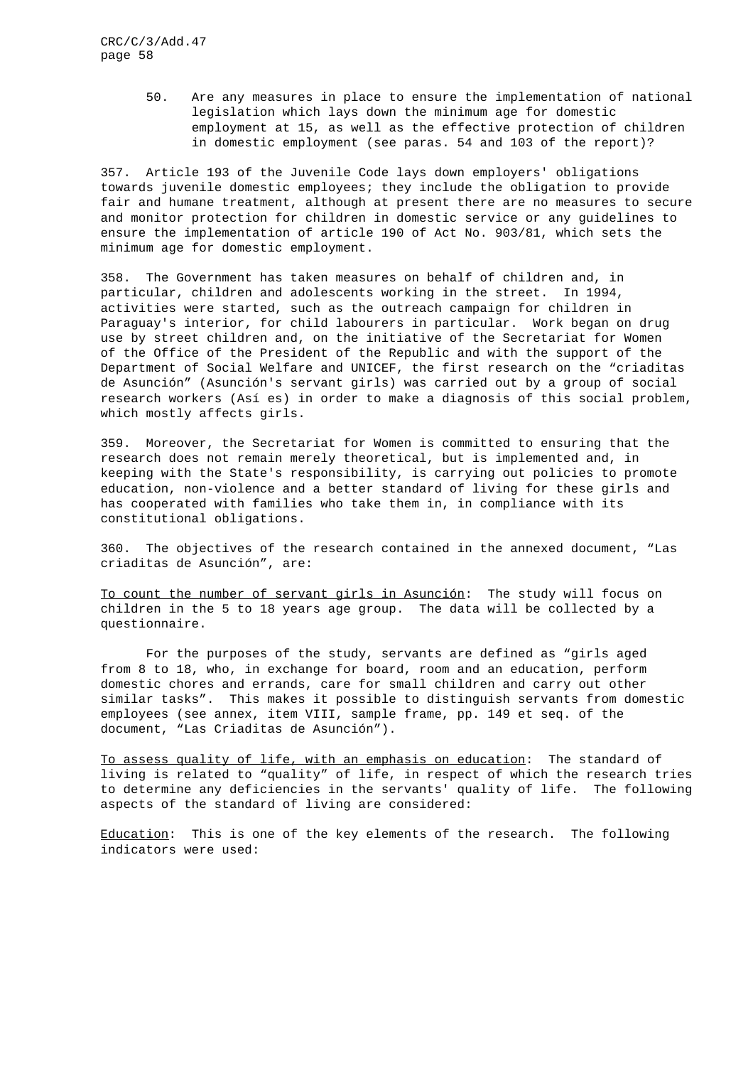50. Are any measures in place to ensure the implementation of national legislation which lays down the minimum age for domestic employment at 15, as well as the effective protection of children in domestic employment (see paras. 54 and 103 of the report)?

357. Article 193 of the Juvenile Code lays down employers' obligations towards juvenile domestic employees; they include the obligation to provide fair and humane treatment, although at present there are no measures to secure and monitor protection for children in domestic service or any guidelines to ensure the implementation of article 190 of Act No. 903/81, which sets the minimum age for domestic employment.

358. The Government has taken measures on behalf of children and, in particular, children and adolescents working in the street. In 1994, activities were started, such as the outreach campaign for children in Paraguay's interior, for child labourers in particular. Work began on drug use by street children and, on the initiative of the Secretariat for Women of the Office of the President of the Republic and with the support of the Department of Social Welfare and UNICEF, the first research on the "criaditas de Asunción" (Asunción's servant girls) was carried out by a group of social research workers (Así es) in order to make a diagnosis of this social problem, which mostly affects girls.

359. Moreover, the Secretariat for Women is committed to ensuring that the research does not remain merely theoretical, but is implemented and, in keeping with the State's responsibility, is carrying out policies to promote education, non-violence and a better standard of living for these girls and has cooperated with families who take them in, in compliance with its constitutional obligations.

360. The objectives of the research contained in the annexed document, "Las criaditas de Asunción", are:

To count the number of servant girls in Asunción: The study will focus on children in the 5 to 18 years age group. The data will be collected by a questionnaire.

For the purposes of the study, servants are defined as "girls aged from 8 to 18, who, in exchange for board, room and an education, perform domestic chores and errands, care for small children and carry out other similar tasks". This makes it possible to distinguish servants from domestic employees (see annex, item VIII, sample frame, pp. 149 et seq. of the document, "Las Criaditas de Asunción").

To assess quality of life, with an emphasis on education: The standard of living is related to "quality" of life, in respect of which the research tries to determine any deficiencies in the servants' quality of life. The following aspects of the standard of living are considered:

Education: This is one of the key elements of the research. The following indicators were used: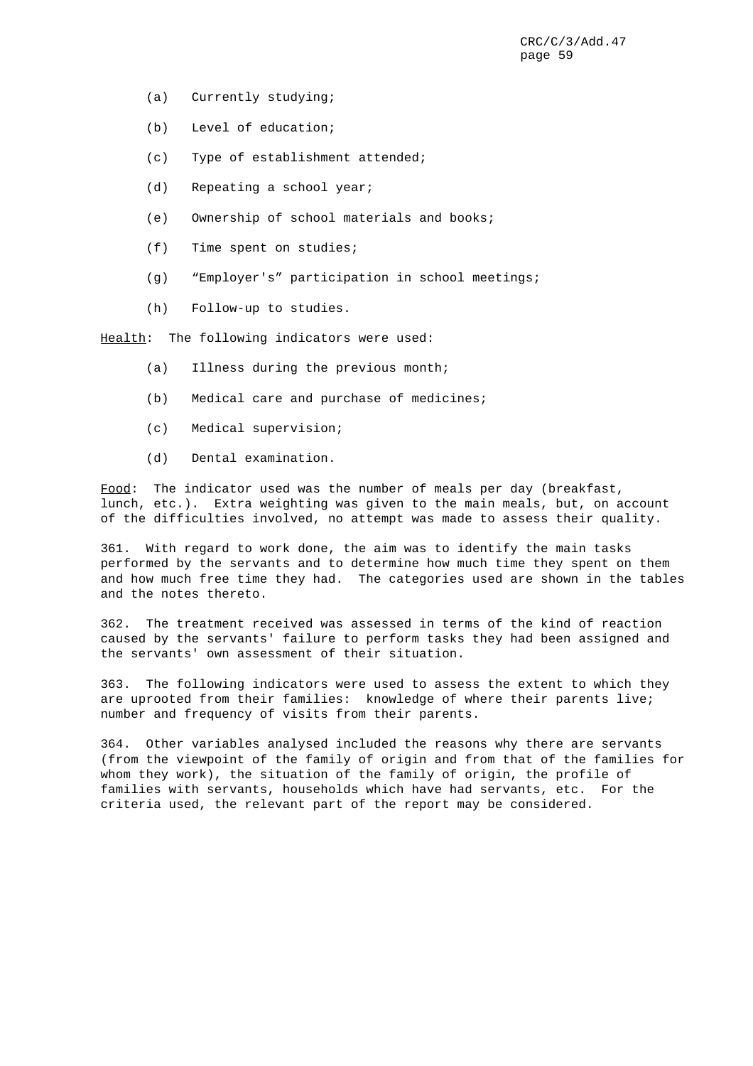- (a) Currently studying;
- (b) Level of education;
- (c) Type of establishment attended;
- (d) Repeating a school year;
- (e) Ownership of school materials and books;
- (f) Time spent on studies;
- (g) "Employer's" participation in school meetings;
- (h) Follow-up to studies.

Health: The following indicators were used:

- (a) Illness during the previous month;
- (b) Medical care and purchase of medicines;
- (c) Medical supervision;
- (d) Dental examination.

Food: The indicator used was the number of meals per day (breakfast, lunch, etc.). Extra weighting was given to the main meals, but, on account of the difficulties involved, no attempt was made to assess their quality.

361. With regard to work done, the aim was to identify the main tasks performed by the servants and to determine how much time they spent on them and how much free time they had. The categories used are shown in the tables and the notes thereto.

362. The treatment received was assessed in terms of the kind of reaction caused by the servants' failure to perform tasks they had been assigned and the servants' own assessment of their situation.

363. The following indicators were used to assess the extent to which they are uprooted from their families: knowledge of where their parents live; number and frequency of visits from their parents.

364. Other variables analysed included the reasons why there are servants (from the viewpoint of the family of origin and from that of the families for whom they work), the situation of the family of origin, the profile of families with servants, households which have had servants, etc. For the criteria used, the relevant part of the report may be considered.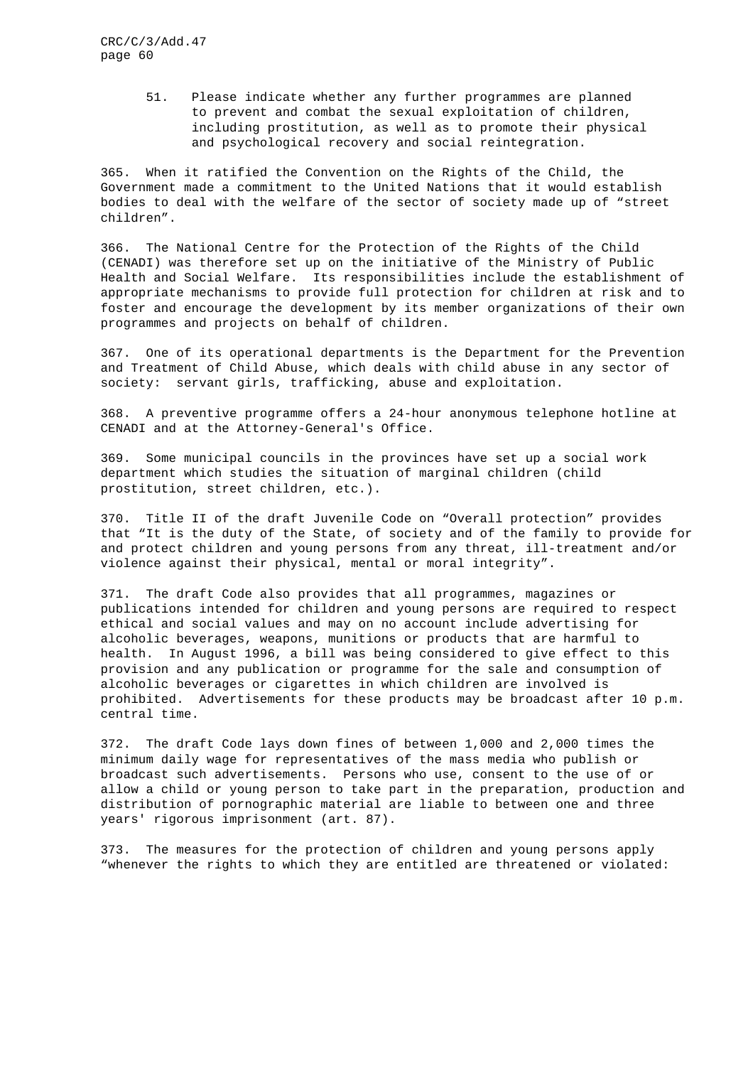> 51. Please indicate whether any further programmes are planned to prevent and combat the sexual exploitation of children, including prostitution, as well as to promote their physical and psychological recovery and social reintegration.

365. When it ratified the Convention on the Rights of the Child, the Government made a commitment to the United Nations that it would establish bodies to deal with the welfare of the sector of society made up of "street children".

366. The National Centre for the Protection of the Rights of the Child (CENADI) was therefore set up on the initiative of the Ministry of Public Health and Social Welfare. Its responsibilities include the establishment of appropriate mechanisms to provide full protection for children at risk and to foster and encourage the development by its member organizations of their own programmes and projects on behalf of children.

367. One of its operational departments is the Department for the Prevention and Treatment of Child Abuse, which deals with child abuse in any sector of society: servant girls, trafficking, abuse and exploitation.

368. A preventive programme offers a 24-hour anonymous telephone hotline at CENADI and at the Attorney-General's Office.

369. Some municipal councils in the provinces have set up a social work department which studies the situation of marginal children (child prostitution, street children, etc.).

370. Title II of the draft Juvenile Code on "Overall protection" provides that "It is the duty of the State, of society and of the family to provide for and protect children and young persons from any threat, ill-treatment and/or violence against their physical, mental or moral integrity".

371. The draft Code also provides that all programmes, magazines or publications intended for children and young persons are required to respect ethical and social values and may on no account include advertising for alcoholic beverages, weapons, munitions or products that are harmful to health. In August 1996, a bill was being considered to give effect to this provision and any publication or programme for the sale and consumption of alcoholic beverages or cigarettes in which children are involved is prohibited. Advertisements for these products may be broadcast after 10 p.m. central time.

372. The draft Code lays down fines of between 1,000 and 2,000 times the minimum daily wage for representatives of the mass media who publish or broadcast such advertisements. Persons who use, consent to the use of or allow a child or young person to take part in the preparation, production and distribution of pornographic material are liable to between one and three years' rigorous imprisonment (art. 87).

373. The measures for the protection of children and young persons apply "whenever the rights to which they are entitled are threatened or violated: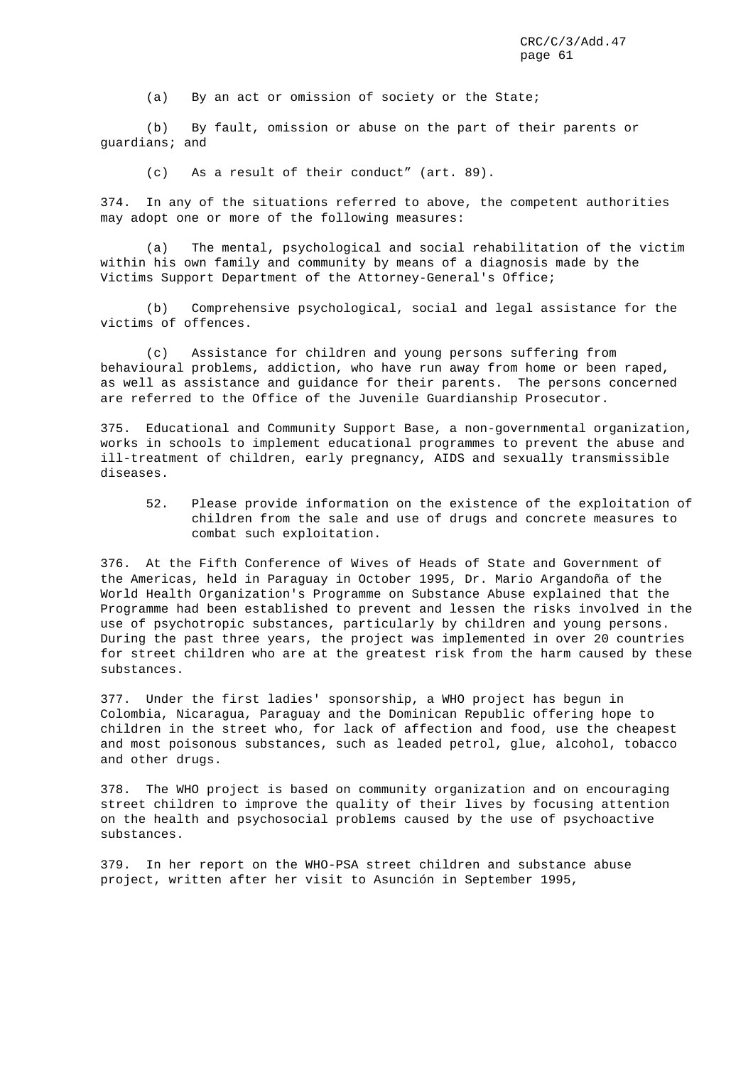(a) By an act or omission of society or the State;

(b) By fault, omission or abuse on the part of their parents or guardians; and

(c) As a result of their conduct" (art. 89).

374. In any of the situations referred to above, the competent authorities may adopt one or more of the following measures:

(a) The mental, psychological and social rehabilitation of the victim within his own family and community by means of a diagnosis made by the Victims Support Department of the Attorney-General's Office;

(b) Comprehensive psychological, social and legal assistance for the victims of offences.

(c) Assistance for children and young persons suffering from behavioural problems, addiction, who have run away from home or been raped, as well as assistance and guidance for their parents. The persons concerned are referred to the Office of the Juvenile Guardianship Prosecutor.

375. Educational and Community Support Base, a non-governmental organization, works in schools to implement educational programmes to prevent the abuse and ill-treatment of children, early pregnancy, AIDS and sexually transmissible diseases.

52. Please provide information on the existence of the exploitation of children from the sale and use of drugs and concrete measures to combat such exploitation.

376. At the Fifth Conference of Wives of Heads of State and Government of the Americas, held in Paraguay in October 1995, Dr. Mario Argandoña of the World Health Organization's Programme on Substance Abuse explained that the Programme had been established to prevent and lessen the risks involved in the use of psychotropic substances, particularly by children and young persons. During the past three years, the project was implemented in over 20 countries for street children who are at the greatest risk from the harm caused by these substances.

377. Under the first ladies' sponsorship, a WHO project has begun in Colombia, Nicaragua, Paraguay and the Dominican Republic offering hope to children in the street who, for lack of affection and food, use the cheapest and most poisonous substances, such as leaded petrol, glue, alcohol, tobacco and other drugs.

378. The WHO project is based on community organization and on encouraging street children to improve the quality of their lives by focusing attention on the health and psychosocial problems caused by the use of psychoactive substances.

379. In her report on the WHO-PSA street children and substance abuse project, written after her visit to Asunción in September 1995,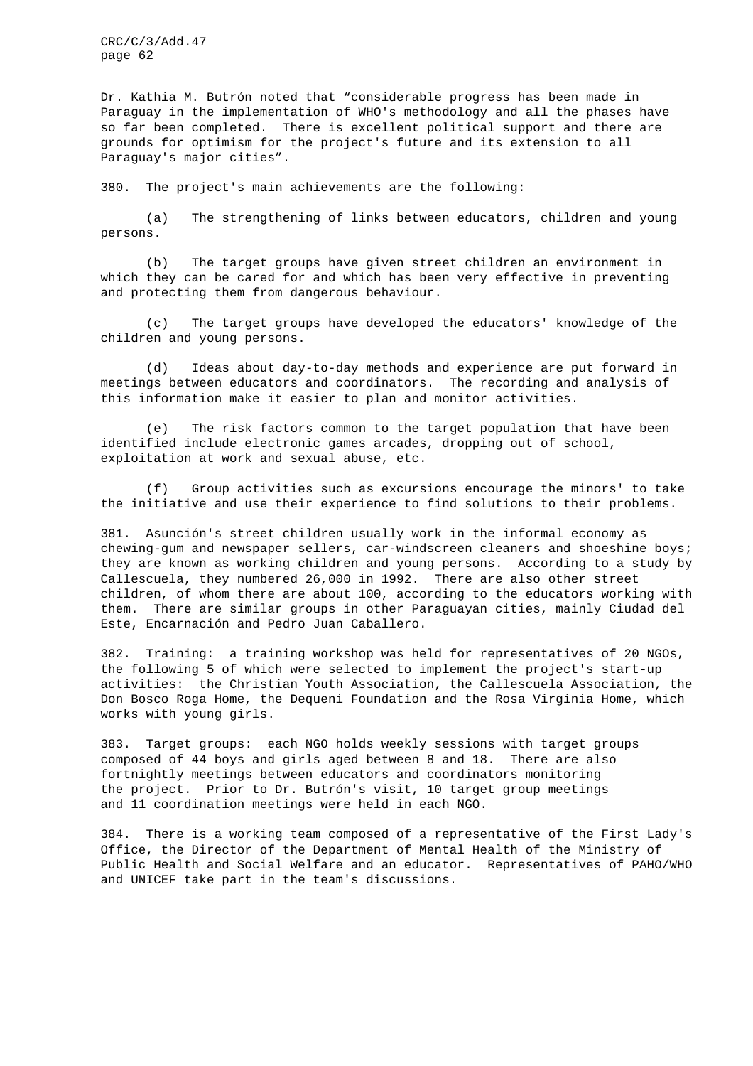Dr. Kathia M. Butrón noted that "considerable progress has been made in Paraguay in the implementation of WHO's methodology and all the phases have so far been completed. There is excellent political support and there are grounds for optimism for the project's future and its extension to all Paraguay's major cities".

380. The project's main achievements are the following:

(a) The strengthening of links between educators, children and young persons.

(b) The target groups have given street children an environment in which they can be cared for and which has been very effective in preventing and protecting them from dangerous behaviour.

(c) The target groups have developed the educators' knowledge of the children and young persons.

(d) Ideas about day-to-day methods and experience are put forward in meetings between educators and coordinators. The recording and analysis of this information make it easier to plan and monitor activities.

(e) The risk factors common to the target population that have been identified include electronic games arcades, dropping out of school, exploitation at work and sexual abuse, etc.

(f) Group activities such as excursions encourage the minors' to take the initiative and use their experience to find solutions to their problems.

381. Asunción's street children usually work in the informal economy as chewing-gum and newspaper sellers, car-windscreen cleaners and shoeshine boys; they are known as working children and young persons. According to a study by Callescuela, they numbered 26,000 in 1992. There are also other street children, of whom there are about 100, according to the educators working with them. There are similar groups in other Paraguayan cities, mainly Ciudad del Este, Encarnación and Pedro Juan Caballero.

382. Training: a training workshop was held for representatives of 20 NGOs, the following 5 of which were selected to implement the project's start-up activities: the Christian Youth Association, the Callescuela Association, the Don Bosco Roga Home, the Dequeni Foundation and the Rosa Virginia Home, which works with young girls.

383. Target groups: each NGO holds weekly sessions with target groups composed of 44 boys and girls aged between 8 and 18. There are also fortnightly meetings between educators and coordinators monitoring the project. Prior to Dr. Butrón's visit, 10 target group meetings and 11 coordination meetings were held in each NGO.

384. There is a working team composed of a representative of the First Lady's Office, the Director of the Department of Mental Health of the Ministry of Public Health and Social Welfare and an educator. Representatives of PAHO/WHO and UNICEF take part in the team's discussions.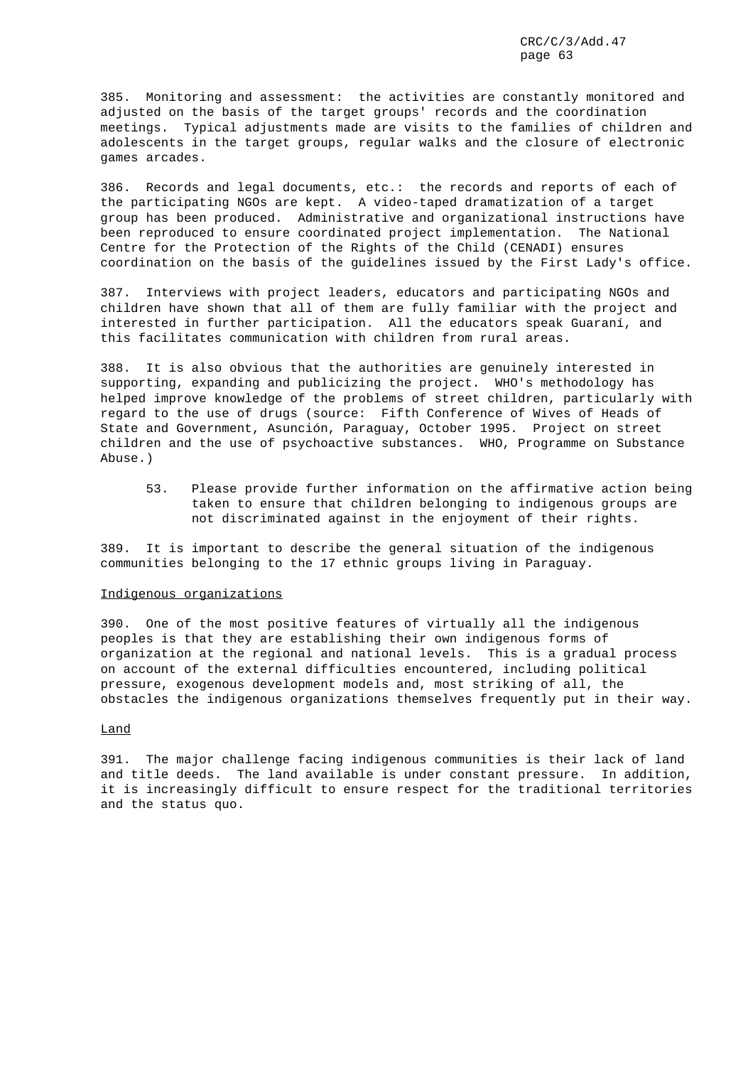385. Monitoring and assessment: the activities are constantly monitored and adjusted on the basis of the target groups' records and the coordination meetings. Typical adjustments made are visits to the families of children and adolescents in the target groups, regular walks and the closure of electronic games arcades.

386. Records and legal documents, etc.: the records and reports of each of the participating NGOs are kept. A video-taped dramatization of a target group has been produced. Administrative and organizational instructions have been reproduced to ensure coordinated project implementation. The National Centre for the Protection of the Rights of the Child (CENADI) ensures coordination on the basis of the guidelines issued by the First Lady's office.

387. Interviews with project leaders, educators and participating NGOs and children have shown that all of them are fully familiar with the project and interested in further participation. All the educators speak Guaraní, and this facilitates communication with children from rural areas.

388. It is also obvious that the authorities are genuinely interested in supporting, expanding and publicizing the project. WHO's methodology has helped improve knowledge of the problems of street children, particularly with regard to the use of drugs (source: Fifth Conference of Wives of Heads of State and Government, Asunción, Paraguay, October 1995. Project on street children and the use of psychoactive substances. WHO, Programme on Substance Abuse.)

53. Please provide further information on the affirmative action being taken to ensure that children belonging to indigenous groups are not discriminated against in the enjoyment of their rights.

389. It is important to describe the general situation of the indigenous communities belonging to the 17 ethnic groups living in Paraguay.

# Indigenous organizations

390. One of the most positive features of virtually all the indigenous peoples is that they are establishing their own indigenous forms of organization at the regional and national levels. This is a gradual process on account of the external difficulties encountered, including political pressure, exogenous development models and, most striking of all, the obstacles the indigenous organizations themselves frequently put in their way.

# Land

391. The major challenge facing indigenous communities is their lack of land and title deeds. The land available is under constant pressure. In addition, it is increasingly difficult to ensure respect for the traditional territories and the status quo.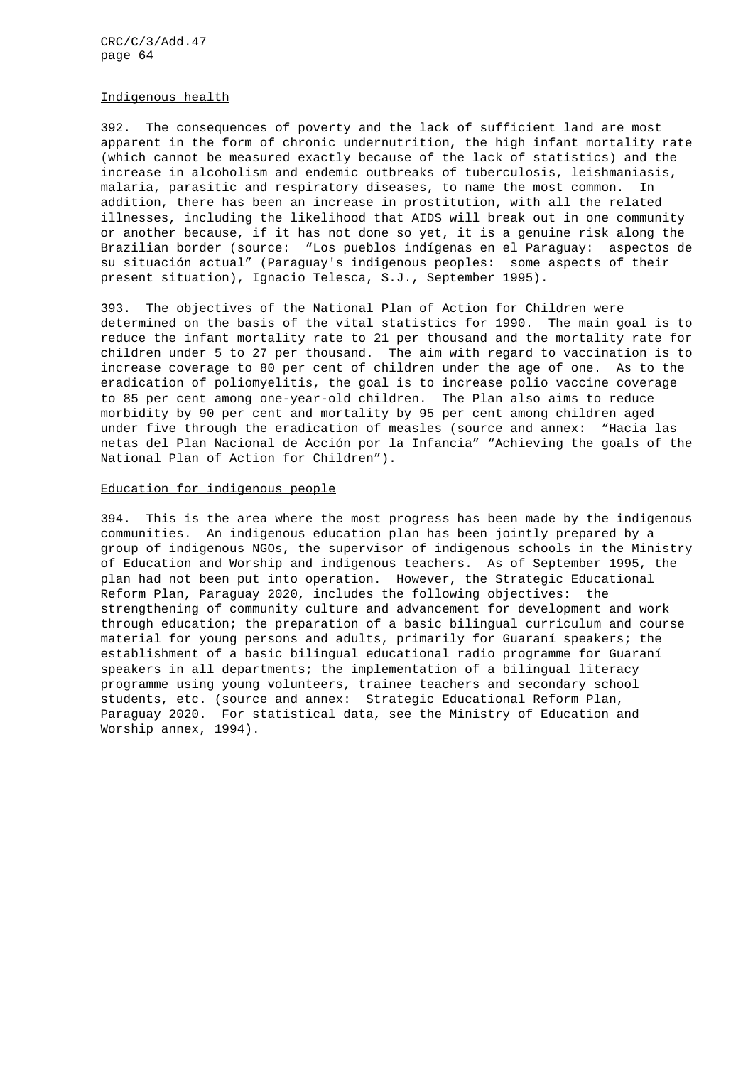#### Indigenous health

392. The consequences of poverty and the lack of sufficient land are most apparent in the form of chronic undernutrition, the high infant mortality rate (which cannot be measured exactly because of the lack of statistics) and the increase in alcoholism and endemic outbreaks of tuberculosis, leishmaniasis, malaria, parasitic and respiratory diseases, to name the most common. In addition, there has been an increase in prostitution, with all the related illnesses, including the likelihood that AIDS will break out in one community or another because, if it has not done so yet, it is a genuine risk along the Brazilian border (source: "Los pueblos indígenas en el Paraguay: aspectos de su situación actual" (Paraguay's indigenous peoples: some aspects of their present situation), Ignacio Telesca, S.J., September 1995).

393. The objectives of the National Plan of Action for Children were determined on the basis of the vital statistics for 1990. The main goal is to reduce the infant mortality rate to 21 per thousand and the mortality rate for children under 5 to 27 per thousand. The aim with regard to vaccination is to increase coverage to 80 per cent of children under the age of one. As to the eradication of poliomyelitis, the goal is to increase polio vaccine coverage to 85 per cent among one-year-old children. The Plan also aims to reduce morbidity by 90 per cent and mortality by 95 per cent among children aged under five through the eradication of measles (source and annex: "Hacia las netas del Plan Nacional de Acción por la Infancia" "Achieving the goals of the National Plan of Action for Children").

#### Education for indigenous people

394. This is the area where the most progress has been made by the indigenous communities. An indigenous education plan has been jointly prepared by a group of indigenous NGOs, the supervisor of indigenous schools in the Ministry of Education and Worship and indigenous teachers. As of September 1995, the plan had not been put into operation. However, the Strategic Educational Reform Plan, Paraguay 2020, includes the following objectives: the strengthening of community culture and advancement for development and work through education; the preparation of a basic bilingual curriculum and course material for young persons and adults, primarily for Guaraní speakers; the establishment of a basic bilingual educational radio programme for Guaraní speakers in all departments; the implementation of a bilingual literacy programme using young volunteers, trainee teachers and secondary school students, etc. (source and annex: Strategic Educational Reform Plan, Paraguay 2020. For statistical data, see the Ministry of Education and Worship annex, 1994).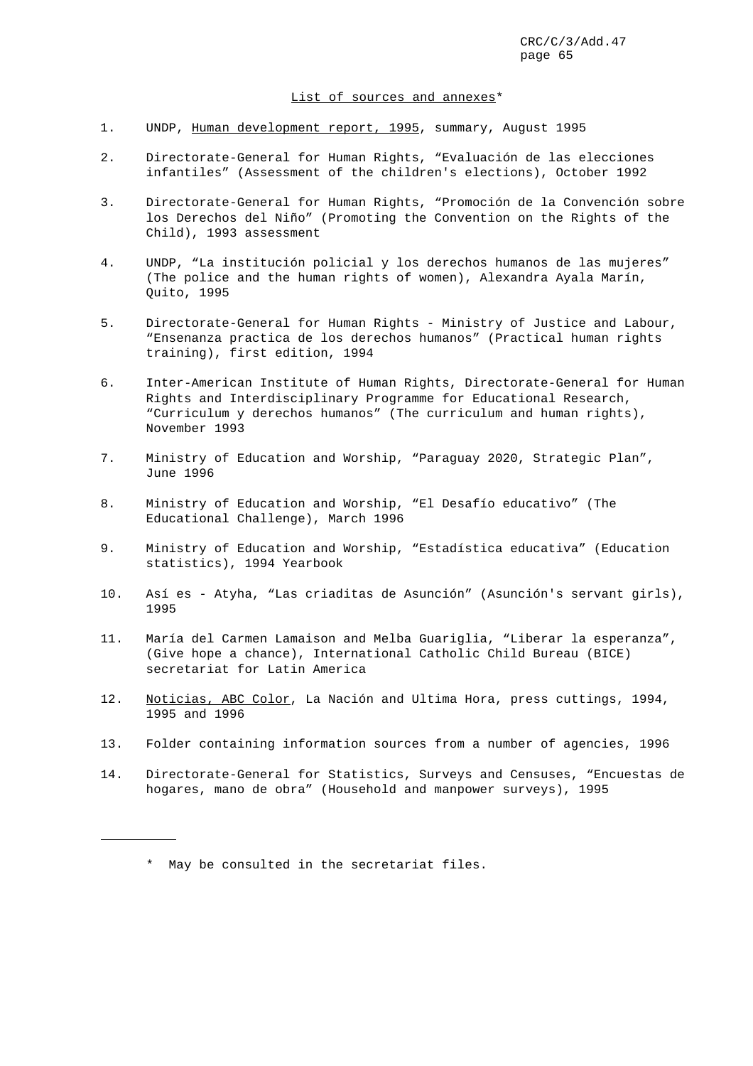#### List of sources and annexes\*

- 1. UNDP, Human development report, 1995, summary, August 1995
- 2. Directorate-General for Human Rights, "Evaluación de las elecciones infantiles" (Assessment of the children's elections), October 1992
- 3. Directorate-General for Human Rights, "Promoción de la Convención sobre los Derechos del Niño" (Promoting the Convention on the Rights of the Child), 1993 assessment
- 4. UNDP, "La institución policial y los derechos humanos de las mujeres" (The police and the human rights of women), Alexandra Ayala Marín, Quito, 1995
- 5. Directorate-General for Human Rights Ministry of Justice and Labour, "Ensenanza practica de los derechos humanos" (Practical human rights training), first edition, 1994
- 6. Inter-American Institute of Human Rights, Directorate-General for Human Rights and Interdisciplinary Programme for Educational Research, "Curriculum y derechos humanos" (The curriculum and human rights), November 1993
- 7. Ministry of Education and Worship, "Paraguay 2020, Strategic Plan", June 1996
- 8. Ministry of Education and Worship, "El Desafío educativo" (The Educational Challenge), March 1996
- 9. Ministry of Education and Worship, "Estadística educativa" (Education statistics), 1994 Yearbook
- 10. Así es Atyha, "Las criaditas de Asunción" (Asunción's servant girls), 1995
- 11. María del Carmen Lamaison and Melba Guariglia, "Liberar la esperanza", (Give hope a chance), International Catholic Child Bureau (BICE) secretariat for Latin America
- 12. Noticias, ABC Color, La Nación and Ultima Hora, press cuttings, 1994, 1995 and 1996
- 13. Folder containing information sources from a number of agencies, 1996
- 14. Directorate-General for Statistics, Surveys and Censuses, "Encuestas de hogares, mano de obra" (Household and manpower surveys), 1995

j.

<sup>\*</sup> May be consulted in the secretariat files.